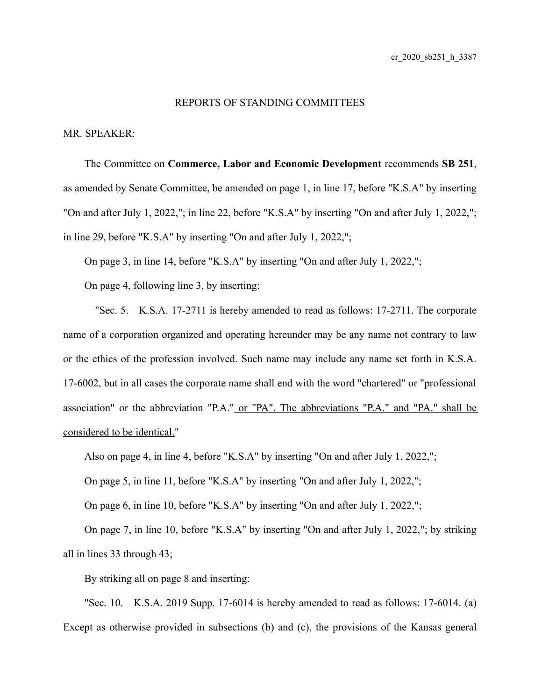## REPORTS OF STANDING COMMITTEES

## MR. SPEAKER:

The Committee on **Commerce, Labor and Economic Development** recommends **SB 251**, as amended by Senate Committee, be amended on page 1, in line 17, before "K.S.A" by inserting "On and after July 1, 2022,"; in line 22, before "K.S.A" by inserting "On and after July 1, 2022,"; in line 29, before "K.S.A" by inserting "On and after July 1, 2022,";

On page 3, in line 14, before "K.S.A" by inserting "On and after July 1, 2022,";

On page 4, following line 3, by inserting:

"Sec. 5. K.S.A. 17-2711 is hereby amended to read as follows: 17-2711. The corporate name of a corporation organized and operating hereunder may be any name not contrary to law or the ethics of the profession involved. Such name may include any name set forth in K.S.A. 17-6002, but in all cases the corporate name shall end with the word "chartered" or "professional association" or the abbreviation "P.A." or "PA". The abbreviations "P.A." and "PA." shall be considered to be identical."

Also on page 4, in line 4, before "K.S.A" by inserting "On and after July 1, 2022,";

On page 5, in line 11, before "K.S.A" by inserting "On and after July 1, 2022,";

On page 6, in line 10, before "K.S.A" by inserting "On and after July 1, 2022,";

On page 7, in line 10, before "K.S.A" by inserting "On and after July 1, 2022,"; by striking all in lines 33 through 43;

By striking all on page 8 and inserting:

"Sec. 10. K.S.A. 2019 Supp. 17-6014 is hereby amended to read as follows: 17-6014. (a) Except as otherwise provided in subsections (b) and (c), the provisions of the Kansas general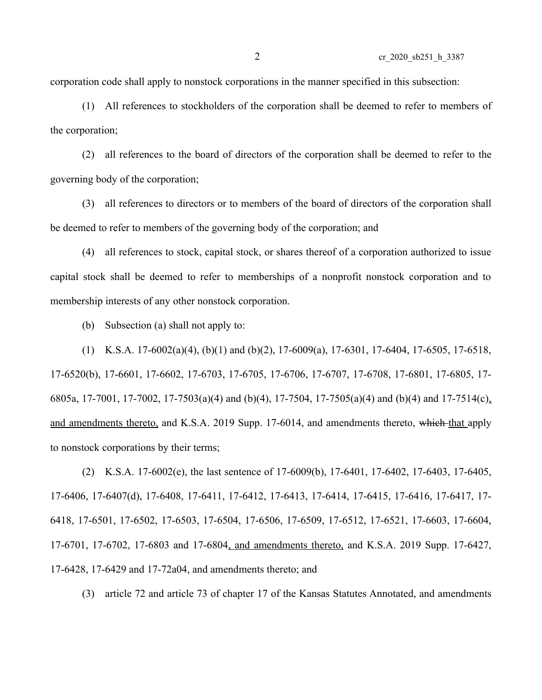corporation code shall apply to nonstock corporations in the manner specified in this subsection:

(1) All references to stockholders of the corporation shall be deemed to refer to members of the corporation;

(2) all references to the board of directors of the corporation shall be deemed to refer to the governing body of the corporation;

(3) all references to directors or to members of the board of directors of the corporation shall be deemed to refer to members of the governing body of the corporation; and

(4) all references to stock, capital stock, or shares thereof of a corporation authorized to issue capital stock shall be deemed to refer to memberships of a nonprofit nonstock corporation and to membership interests of any other nonstock corporation.

(b) Subsection (a) shall not apply to:

(1) K.S.A. 17-6002(a)(4), (b)(1) and (b)(2), 17-6009(a), 17-6301, 17-6404, 17-6505, 17-6518, 17-6520(b), 17-6601, 17-6602, 17-6703, 17-6705, 17-6706, 17-6707, 17-6708, 17-6801, 17-6805, 17- 6805a, 17-7001, 17-7002, 17-7503(a)(4) and (b)(4), 17-7504, 17-7505(a)(4) and (b)(4) and 17-7514(c), and amendments thereto, and K.S.A. 2019 Supp. 17-6014, and amendments thereto, which that apply to nonstock corporations by their terms;

(2) K.S.A. 17-6002(e), the last sentence of 17-6009(b), 17-6401, 17-6402, 17-6403, 17-6405, 17-6406, 17-6407(d), 17-6408, 17-6411, 17-6412, 17-6413, 17-6414, 17-6415, 17-6416, 17-6417, 17- 6418, 17-6501, 17-6502, 17-6503, 17-6504, 17-6506, 17-6509, 17-6512, 17-6521, 17-6603, 17-6604, 17-6701, 17-6702, 17-6803 and 17-6804, and amendments thereto, and K.S.A. 2019 Supp. 17-6427, 17-6428, 17-6429 and 17-72a04, and amendments thereto; and

(3) article 72 and article 73 of chapter 17 of the Kansas Statutes Annotated, and amendments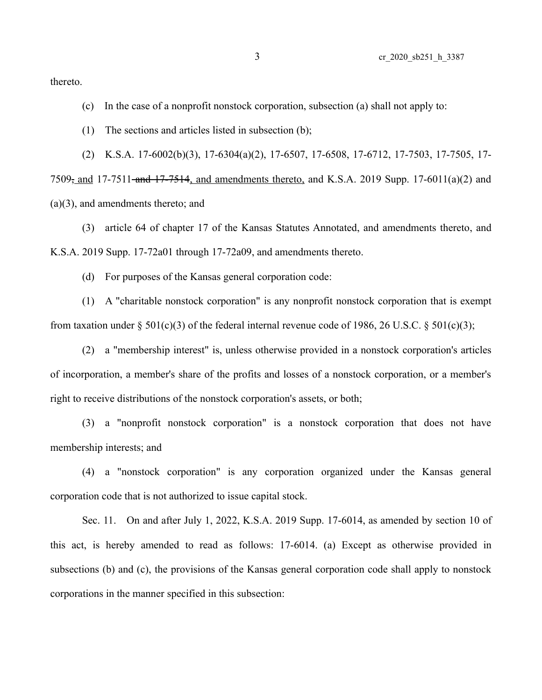thereto.

- (c) In the case of a nonprofit nonstock corporation, subsection (a) shall not apply to:
- (1) The sections and articles listed in subsection (b);

(2) K.S.A. 17-6002(b)(3), 17-6304(a)(2), 17-6507, 17-6508, 17-6712, 17-7503, 17-7505, 17- 7509<sub>7</sub> and 17-7511-and 17-7514, and amendments thereto, and K.S.A. 2019 Supp. 17-6011(a)(2) and (a)(3), and amendments thereto; and

(3) article 64 of chapter 17 of the Kansas Statutes Annotated, and amendments thereto, and K.S.A. 2019 Supp. 17-72a01 through 17-72a09, and amendments thereto.

(d) For purposes of the Kansas general corporation code:

(1) A "charitable nonstock corporation" is any nonprofit nonstock corporation that is exempt from taxation under  $\S 501(c)(3)$  of the federal internal revenue code of 1986, 26 U.S.C.  $\S 501(c)(3)$ ;

(2) a "membership interest" is, unless otherwise provided in a nonstock corporation's articles of incorporation, a member's share of the profits and losses of a nonstock corporation, or a member's right to receive distributions of the nonstock corporation's assets, or both;

(3) a "nonprofit nonstock corporation" is a nonstock corporation that does not have membership interests; and

(4) a "nonstock corporation" is any corporation organized under the Kansas general corporation code that is not authorized to issue capital stock.

Sec. 11. On and after July 1, 2022, K.S.A. 2019 Supp. 17-6014, as amended by section 10 of this act, is hereby amended to read as follows: 17-6014. (a) Except as otherwise provided in subsections (b) and (c), the provisions of the Kansas general corporation code shall apply to nonstock corporations in the manner specified in this subsection: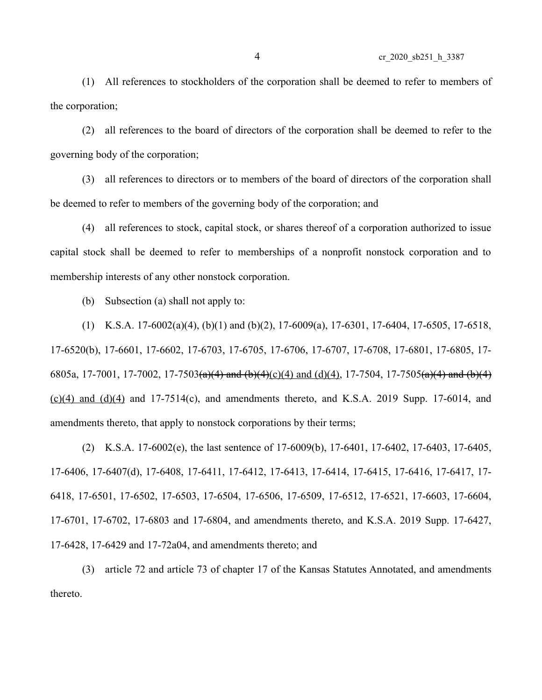(1) All references to stockholders of the corporation shall be deemed to refer to members of the corporation;

(2) all references to the board of directors of the corporation shall be deemed to refer to the governing body of the corporation;

(3) all references to directors or to members of the board of directors of the corporation shall be deemed to refer to members of the governing body of the corporation; and

(4) all references to stock, capital stock, or shares thereof of a corporation authorized to issue capital stock shall be deemed to refer to memberships of a nonprofit nonstock corporation and to membership interests of any other nonstock corporation.

(b) Subsection (a) shall not apply to:

(1) K.S.A. 17-6002(a)(4), (b)(1) and (b)(2), 17-6009(a), 17-6301, 17-6404, 17-6505, 17-6518, 17-6520(b), 17-6601, 17-6602, 17-6703, 17-6705, 17-6706, 17-6707, 17-6708, 17-6801, 17-6805, 17- 6805a, 17-7001, 17-7002, 17-7503(a)(4) and (b)(4)(c)(4) and (d)(4), 17-7504, 17-7505(a)(4) and (b)(4)  $(c)(4)$  and  $(d)(4)$  and  $17-7514(c)$ , and amendments thereto, and K.S.A. 2019 Supp. 17-6014, and amendments thereto, that apply to nonstock corporations by their terms;

(2) K.S.A. 17-6002(e), the last sentence of 17-6009(b), 17-6401, 17-6402, 17-6403, 17-6405, 17-6406, 17-6407(d), 17-6408, 17-6411, 17-6412, 17-6413, 17-6414, 17-6415, 17-6416, 17-6417, 17- 6418, 17-6501, 17-6502, 17-6503, 17-6504, 17-6506, 17-6509, 17-6512, 17-6521, 17-6603, 17-6604, 17-6701, 17-6702, 17-6803 and 17-6804, and amendments thereto, and K.S.A. 2019 Supp. 17-6427, 17-6428, 17-6429 and 17-72a04, and amendments thereto; and

(3) article 72 and article 73 of chapter 17 of the Kansas Statutes Annotated, and amendments thereto.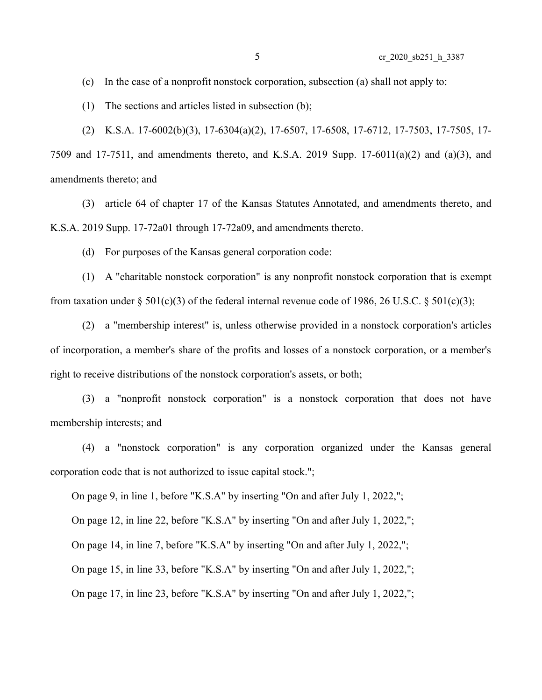(c) In the case of a nonprofit nonstock corporation, subsection (a) shall not apply to:

(1) The sections and articles listed in subsection (b);

(2) K.S.A. 17-6002(b)(3), 17-6304(a)(2), 17-6507, 17-6508, 17-6712, 17-7503, 17-7505, 17- 7509 and 17-7511, and amendments thereto, and K.S.A. 2019 Supp. 17-6011(a)(2) and (a)(3), and amendments thereto; and

(3) article 64 of chapter 17 of the Kansas Statutes Annotated, and amendments thereto, and K.S.A. 2019 Supp. 17-72a01 through 17-72a09, and amendments thereto.

(d) For purposes of the Kansas general corporation code:

(1) A "charitable nonstock corporation" is any nonprofit nonstock corporation that is exempt from taxation under  $\S 501(c)(3)$  of the federal internal revenue code of 1986, 26 U.S.C.  $\S 501(c)(3)$ ;

(2) a "membership interest" is, unless otherwise provided in a nonstock corporation's articles of incorporation, a member's share of the profits and losses of a nonstock corporation, or a member's right to receive distributions of the nonstock corporation's assets, or both;

(3) a "nonprofit nonstock corporation" is a nonstock corporation that does not have membership interests; and

(4) a "nonstock corporation" is any corporation organized under the Kansas general corporation code that is not authorized to issue capital stock.";

On page 9, in line 1, before "K.S.A" by inserting "On and after July 1, 2022,";

On page 12, in line 22, before "K.S.A" by inserting "On and after July 1, 2022,";

On page 14, in line 7, before "K.S.A" by inserting "On and after July 1, 2022,";

On page 15, in line 33, before "K.S.A" by inserting "On and after July 1, 2022,";

On page 17, in line 23, before "K.S.A" by inserting "On and after July 1, 2022,";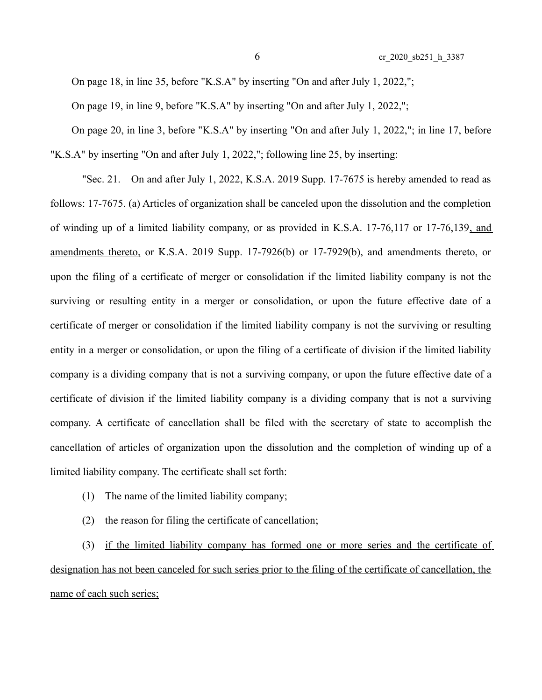On page 18, in line 35, before "K.S.A" by inserting "On and after July 1, 2022,";

On page 19, in line 9, before "K.S.A" by inserting "On and after July 1, 2022,";

On page 20, in line 3, before "K.S.A" by inserting "On and after July 1, 2022,"; in line 17, before "K.S.A" by inserting "On and after July 1, 2022,"; following line 25, by inserting:

"Sec. 21. On and after July 1, 2022, K.S.A. 2019 Supp. 17-7675 is hereby amended to read as follows: 17-7675. (a) Articles of organization shall be canceled upon the dissolution and the completion of winding up of a limited liability company, or as provided in K.S.A. 17-76,117 or 17-76,139, and amendments thereto, or K.S.A. 2019 Supp. 17-7926(b) or 17-7929(b), and amendments thereto, or upon the filing of a certificate of merger or consolidation if the limited liability company is not the surviving or resulting entity in a merger or consolidation, or upon the future effective date of a certificate of merger or consolidation if the limited liability company is not the surviving or resulting entity in a merger or consolidation, or upon the filing of a certificate of division if the limited liability company is a dividing company that is not a surviving company, or upon the future effective date of a certificate of division if the limited liability company is a dividing company that is not a surviving company. A certificate of cancellation shall be filed with the secretary of state to accomplish the cancellation of articles of organization upon the dissolution and the completion of winding up of a limited liability company. The certificate shall set forth:

- (1) The name of the limited liability company;
- (2) the reason for filing the certificate of cancellation;

(3) if the limited liability company has formed one or more series and the certificate of designation has not been canceled for such series prior to the filing of the certificate of cancellation, the name of each such series;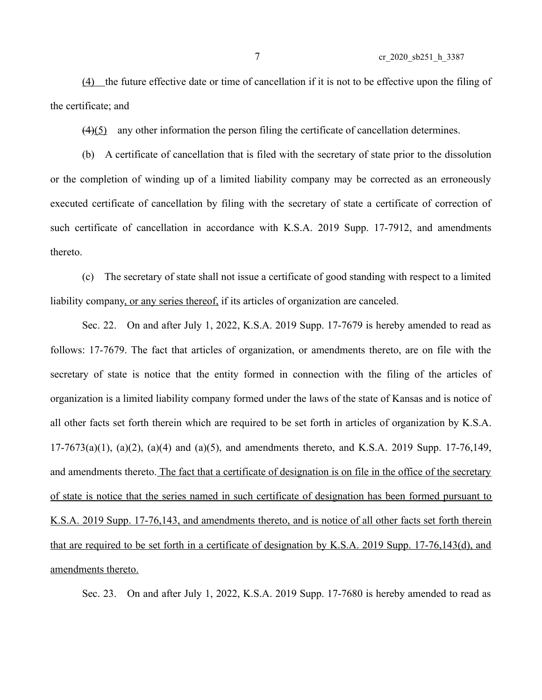(4) the future effective date or time of cancellation if it is not to be effective upon the filing of the certificate; and

(4)(5) any other information the person filing the certificate of cancellation determines.

(b) A certificate of cancellation that is filed with the secretary of state prior to the dissolution or the completion of winding up of a limited liability company may be corrected as an erroneously executed certificate of cancellation by filing with the secretary of state a certificate of correction of such certificate of cancellation in accordance with K.S.A. 2019 Supp. 17-7912, and amendments thereto.

(c) The secretary of state shall not issue a certificate of good standing with respect to a limited liability company, or any series thereof, if its articles of organization are canceled.

Sec. 22. On and after July 1, 2022, K.S.A. 2019 Supp. 17-7679 is hereby amended to read as follows: 17-7679. The fact that articles of organization, or amendments thereto, are on file with the secretary of state is notice that the entity formed in connection with the filing of the articles of organization is a limited liability company formed under the laws of the state of Kansas and is notice of all other facts set forth therein which are required to be set forth in articles of organization by K.S.A.  $17-7673(a)(1)$ ,  $(a)(2)$ ,  $(a)(4)$  and  $(a)(5)$ , and amendments thereto, and K.S.A. 2019 Supp. 17-76,149, and amendments thereto. The fact that a certificate of designation is on file in the office of the secretary of state is notice that the series named in such certificate of designation has been formed pursuant to K.S.A. 2019 Supp. 17-76,143, and amendments thereto, and is notice of all other facts set forth therein that are required to be set forth in a certificate of designation by K.S.A. 2019 Supp. 17-76,143(d), and amendments thereto.

Sec. 23. On and after July 1, 2022, K.S.A. 2019 Supp. 17-7680 is hereby amended to read as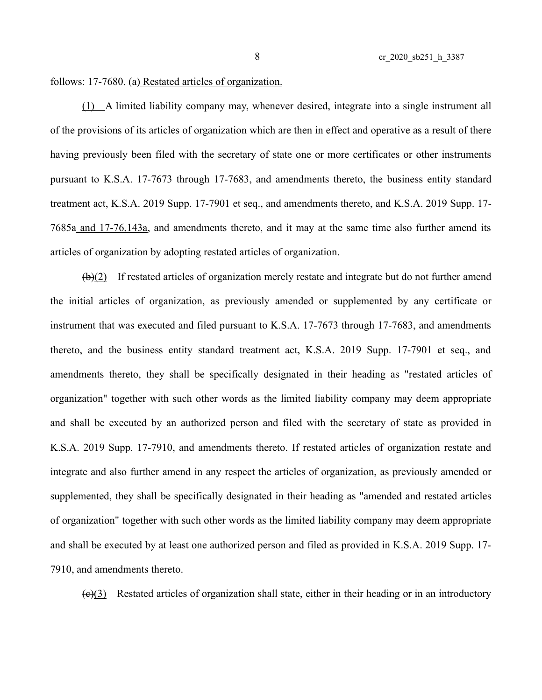follows: 17-7680. (a) Restated articles of organization.

(1) A limited liability company may, whenever desired, integrate into a single instrument all of the provisions of its articles of organization which are then in effect and operative as a result of there having previously been filed with the secretary of state one or more certificates or other instruments pursuant to K.S.A. 17-7673 through 17-7683, and amendments thereto, the business entity standard treatment act, K.S.A. 2019 Supp. 17-7901 et seq., and amendments thereto, and K.S.A. 2019 Supp. 17- 7685a and 17-76,143a, and amendments thereto, and it may at the same time also further amend its articles of organization by adopting restated articles of organization.

 $(b)(2)$  If restated articles of organization merely restate and integrate but do not further amend the initial articles of organization, as previously amended or supplemented by any certificate or instrument that was executed and filed pursuant to K.S.A. 17-7673 through 17-7683, and amendments thereto, and the business entity standard treatment act, K.S.A. 2019 Supp. 17-7901 et seq., and amendments thereto, they shall be specifically designated in their heading as "restated articles of organization" together with such other words as the limited liability company may deem appropriate and shall be executed by an authorized person and filed with the secretary of state as provided in K.S.A. 2019 Supp. 17-7910, and amendments thereto. If restated articles of organization restate and integrate and also further amend in any respect the articles of organization, as previously amended or supplemented, they shall be specifically designated in their heading as "amended and restated articles of organization" together with such other words as the limited liability company may deem appropriate and shall be executed by at least one authorized person and filed as provided in K.S.A. 2019 Supp. 17- 7910, and amendments thereto.

 $(e)(3)$  Restated articles of organization shall state, either in their heading or in an introductory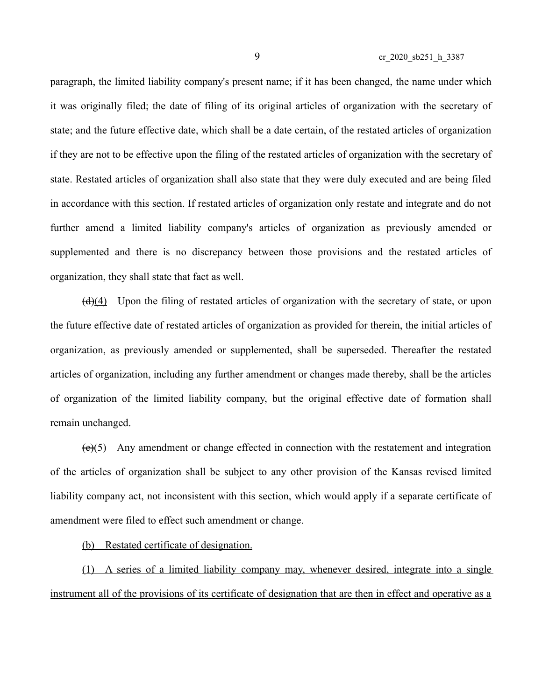paragraph, the limited liability company's present name; if it has been changed, the name under which it was originally filed; the date of filing of its original articles of organization with the secretary of state; and the future effective date, which shall be a date certain, of the restated articles of organization if they are not to be effective upon the filing of the restated articles of organization with the secretary of state. Restated articles of organization shall also state that they were duly executed and are being filed in accordance with this section. If restated articles of organization only restate and integrate and do not further amend a limited liability company's articles of organization as previously amended or supplemented and there is no discrepancy between those provisions and the restated articles of organization, they shall state that fact as well.

(d)(4) Upon the filing of restated articles of organization with the secretary of state, or upon the future effective date of restated articles of organization as provided for therein, the initial articles of organization, as previously amended or supplemented, shall be superseded. Thereafter the restated articles of organization, including any further amendment or changes made thereby, shall be the articles of organization of the limited liability company, but the original effective date of formation shall remain unchanged.

(e)(5) Any amendment or change effected in connection with the restatement and integration of the articles of organization shall be subject to any other provision of the Kansas revised limited liability company act, not inconsistent with this section, which would apply if a separate certificate of amendment were filed to effect such amendment or change.

(b) Restated certificate of designation.

(1) A series of a limited liability company may, whenever desired, integrate into a single instrument all of the provisions of its certificate of designation that are then in effect and operative as a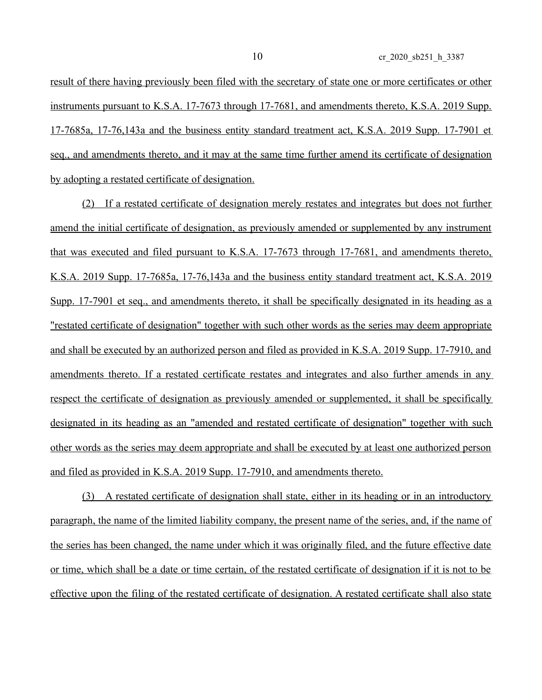result of there having previously been filed with the secretary of state one or more certificates or other instruments pursuant to K.S.A. 17-7673 through 17-7681, and amendments thereto, K.S.A. 2019 Supp. 17-7685a, 17-76,143a and the business entity standard treatment act, K.S.A. 2019 Supp. 17-7901 et seq., and amendments thereto, and it may at the same time further amend its certificate of designation by adopting a restated certificate of designation.

(2) If a restated certificate of designation merely restates and integrates but does not further amend the initial certificate of designation, as previously amended or supplemented by any instrument that was executed and filed pursuant to K.S.A. 17-7673 through 17-7681, and amendments thereto, K.S.A. 2019 Supp. 17-7685a, 17-76,143a and the business entity standard treatment act, K.S.A. 2019 Supp. 17-7901 et seq., and amendments thereto, it shall be specifically designated in its heading as a "restated certificate of designation" together with such other words as the series may deem appropriate and shall be executed by an authorized person and filed as provided in K.S.A. 2019 Supp. 17-7910, and amendments thereto. If a restated certificate restates and integrates and also further amends in any respect the certificate of designation as previously amended or supplemented, it shall be specifically designated in its heading as an "amended and restated certificate of designation" together with such other words as the series may deem appropriate and shall be executed by at least one authorized person and filed as provided in K.S.A. 2019 Supp. 17-7910, and amendments thereto.

(3) A restated certificate of designation shall state, either in its heading or in an introductory paragraph, the name of the limited liability company, the present name of the series, and, if the name of the series has been changed, the name under which it was originally filed, and the future effective date or time, which shall be a date or time certain, of the restated certificate of designation if it is not to be effective upon the filing of the restated certificate of designation. A restated certificate shall also state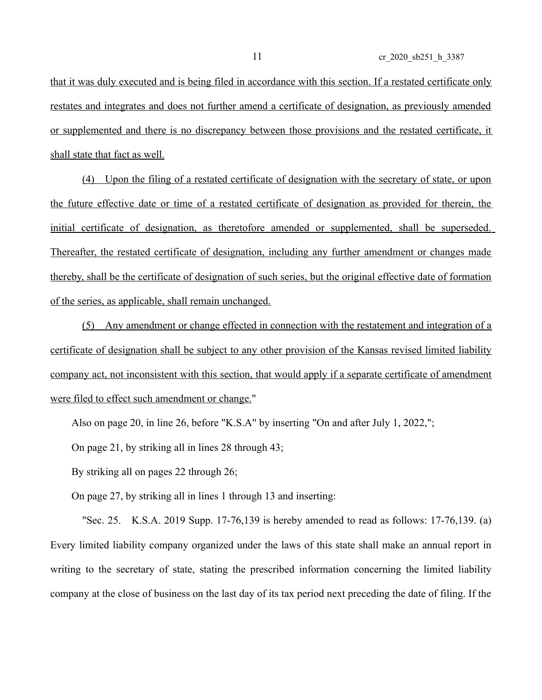that it was duly executed and is being filed in accordance with this section. If a restated certificate only restates and integrates and does not further amend a certificate of designation, as previously amended or supplemented and there is no discrepancy between those provisions and the restated certificate, it shall state that fact as well.

(4) Upon the filing of a restated certificate of designation with the secretary of state, or upon the future effective date or time of a restated certificate of designation as provided for therein, the initial certificate of designation, as theretofore amended or supplemented, shall be superseded. Thereafter, the restated certificate of designation, including any further amendment or changes made thereby, shall be the certificate of designation of such series, but the original effective date of formation of the series, as applicable, shall remain unchanged.

(5) Any amendment or change effected in connection with the restatement and integration of a certificate of designation shall be subject to any other provision of the Kansas revised limited liability company act, not inconsistent with this section, that would apply if a separate certificate of amendment were filed to effect such amendment or change."

Also on page 20, in line 26, before "K.S.A" by inserting "On and after July 1, 2022,";

On page 21, by striking all in lines 28 through 43;

By striking all on pages 22 through 26;

On page 27, by striking all in lines 1 through 13 and inserting:

"Sec. 25. K.S.A. 2019 Supp. 17-76,139 is hereby amended to read as follows: 17-76,139. (a) Every limited liability company organized under the laws of this state shall make an annual report in writing to the secretary of state, stating the prescribed information concerning the limited liability company at the close of business on the last day of its tax period next preceding the date of filing. If the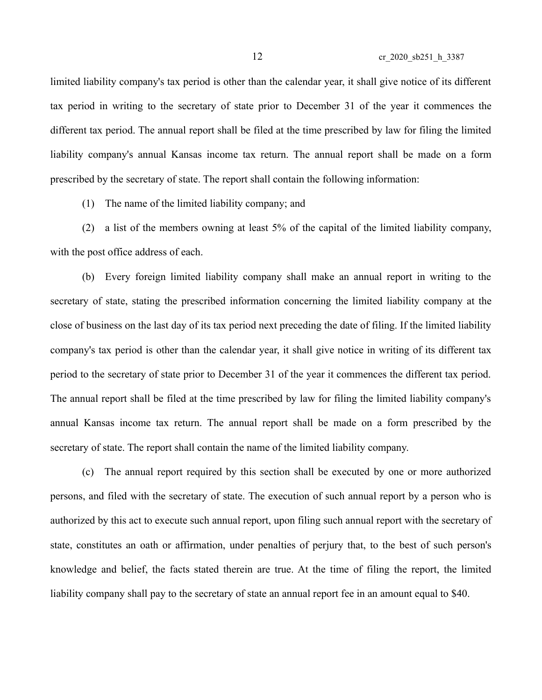limited liability company's tax period is other than the calendar year, it shall give notice of its different tax period in writing to the secretary of state prior to December 31 of the year it commences the different tax period. The annual report shall be filed at the time prescribed by law for filing the limited liability company's annual Kansas income tax return. The annual report shall be made on a form prescribed by the secretary of state. The report shall contain the following information:

(1) The name of the limited liability company; and

(2) a list of the members owning at least 5% of the capital of the limited liability company, with the post office address of each.

(b) Every foreign limited liability company shall make an annual report in writing to the secretary of state, stating the prescribed information concerning the limited liability company at the close of business on the last day of its tax period next preceding the date of filing. If the limited liability company's tax period is other than the calendar year, it shall give notice in writing of its different tax period to the secretary of state prior to December 31 of the year it commences the different tax period. The annual report shall be filed at the time prescribed by law for filing the limited liability company's annual Kansas income tax return. The annual report shall be made on a form prescribed by the secretary of state. The report shall contain the name of the limited liability company.

(c) The annual report required by this section shall be executed by one or more authorized persons, and filed with the secretary of state. The execution of such annual report by a person who is authorized by this act to execute such annual report, upon filing such annual report with the secretary of state, constitutes an oath or affirmation, under penalties of perjury that, to the best of such person's knowledge and belief, the facts stated therein are true. At the time of filing the report, the limited liability company shall pay to the secretary of state an annual report fee in an amount equal to \$40.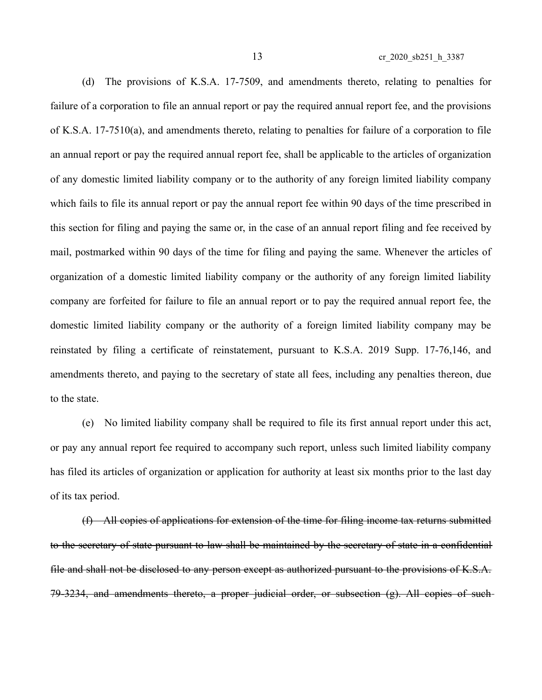(d) The provisions of K.S.A. 17-7509, and amendments thereto, relating to penalties for failure of a corporation to file an annual report or pay the required annual report fee, and the provisions of K.S.A. 17-7510(a), and amendments thereto, relating to penalties for failure of a corporation to file an annual report or pay the required annual report fee, shall be applicable to the articles of organization of any domestic limited liability company or to the authority of any foreign limited liability company which fails to file its annual report or pay the annual report fee within 90 days of the time prescribed in this section for filing and paying the same or, in the case of an annual report filing and fee received by mail, postmarked within 90 days of the time for filing and paying the same. Whenever the articles of organization of a domestic limited liability company or the authority of any foreign limited liability company are forfeited for failure to file an annual report or to pay the required annual report fee, the domestic limited liability company or the authority of a foreign limited liability company may be reinstated by filing a certificate of reinstatement, pursuant to K.S.A. 2019 Supp. 17-76,146, and amendments thereto, and paying to the secretary of state all fees, including any penalties thereon, due to the state.

(e) No limited liability company shall be required to file its first annual report under this act, or pay any annual report fee required to accompany such report, unless such limited liability company has filed its articles of organization or application for authority at least six months prior to the last day of its tax period.

(f) All copies of applications for extension of the time for filing income tax returns submitted to the secretary of state pursuant to law shall be maintained by the secretary of state in a confidential file and shall not be disclosed to any person except as authorized pursuant to the provisions of K.S.A. 79-3234, and amendments thereto, a proper judicial order, or subsection (g). All copies of such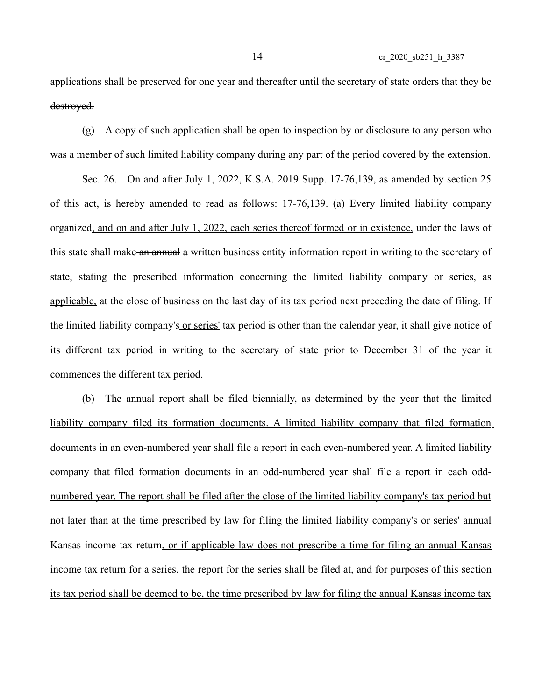applications shall be preserved for one year and thereafter until the secretary of state orders that they be destroyed.

 $(g)$  A copy of such application shall be open to inspection by or disclosure to any person who was a member of such limited liability company during any part of the period covered by the extension.

Sec. 26. On and after July 1, 2022, K.S.A. 2019 Supp. 17-76,139, as amended by section 25 of this act, is hereby amended to read as follows: 17-76,139. (a) Every limited liability company organized, and on and after July 1, 2022, each series thereof formed or in existence, under the laws of this state shall make an annual a written business entity information report in writing to the secretary of state, stating the prescribed information concerning the limited liability company or series, as applicable, at the close of business on the last day of its tax period next preceding the date of filing. If the limited liability company's or series' tax period is other than the calendar year, it shall give notice of its different tax period in writing to the secretary of state prior to December 31 of the year it commences the different tax period.

(b) The annual report shall be filed biennially, as determined by the year that the limited liability company filed its formation documents. A limited liability company that filed formation documents in an even-numbered year shall file a report in each even-numbered year. A limited liability company that filed formation documents in an odd-numbered year shall file a report in each oddnumbered year. The report shall be filed after the close of the limited liability company's tax period but not later than at the time prescribed by law for filing the limited liability company's or series' annual Kansas income tax return, or if applicable law does not prescribe a time for filing an annual Kansas income tax return for a series, the report for the series shall be filed at, and for purposes of this section its tax period shall be deemed to be, the time prescribed by law for filing the annual Kansas income tax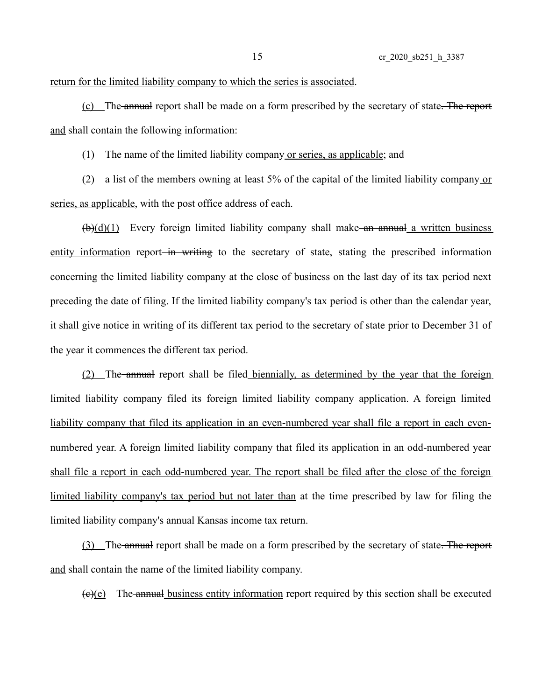## return for the limited liability company to which the series is associated.

(c) The annual report shall be made on a form prescribed by the secretary of state. The report and shall contain the following information:

(1) The name of the limited liability company or series, as applicable; and

(2) a list of the members owning at least 5% of the capital of the limited liability company or series, as applicable, with the post office address of each.

 $(\frac{b}{d})(1)$  Every foreign limited liability company shall make an annual a written business entity information report in writing to the secretary of state, stating the prescribed information concerning the limited liability company at the close of business on the last day of its tax period next preceding the date of filing. If the limited liability company's tax period is other than the calendar year, it shall give notice in writing of its different tax period to the secretary of state prior to December 31 of the year it commences the different tax period.

(2) The annual report shall be filed biennially, as determined by the year that the foreign limited liability company filed its foreign limited liability company application. A foreign limited liability company that filed its application in an even-numbered year shall file a report in each evennumbered year. A foreign limited liability company that filed its application in an odd-numbered year shall file a report in each odd-numbered year. The report shall be filed after the close of the foreign limited liability company's tax period but not later than at the time prescribed by law for filing the limited liability company's annual Kansas income tax return.

(3) The annual report shall be made on a form prescribed by the secretary of state. The report and shall contain the name of the limited liability company.

 $(e)(e)$  The annual business entity information report required by this section shall be executed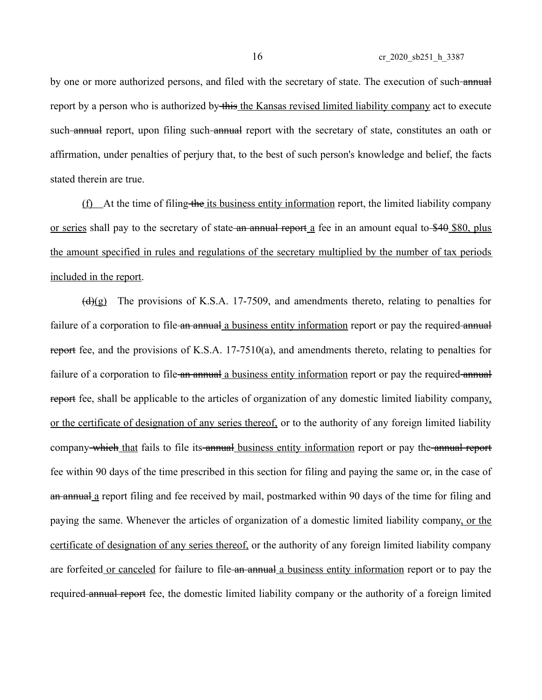by one or more authorized persons, and filed with the secretary of state. The execution of such annual report by a person who is authorized by this the Kansas revised limited liability company act to execute such annual report, upon filing such annual report with the secretary of state, constitutes an oath or affirmation, under penalties of perjury that, to the best of such person's knowledge and belief, the facts stated therein are true.

 $(f)$  At the time of filing the its business entity information report, the limited liability company or series shall pay to the secretary of state an annual report  $\alpha$  fee in an amount equal to \$40 \$80, plus the amount specified in rules and regulations of the secretary multiplied by the number of tax periods included in the report.

 $(d)(g)$  The provisions of K.S.A. 17-7509, and amendments thereto, relating to penalties for failure of a corporation to file an annual a business entity information report or pay the required annual report fee, and the provisions of K.S.A. 17-7510(a), and amendments thereto, relating to penalties for failure of a corporation to file an annual a business entity information report or pay the required annual report fee, shall be applicable to the articles of organization of any domestic limited liability company, or the certificate of designation of any series thereof, or to the authority of any foreign limited liability company which that fails to file its annual business entity information report or pay the annual report fee within 90 days of the time prescribed in this section for filing and paying the same or, in the case of an annual a report filing and fee received by mail, postmarked within 90 days of the time for filing and paying the same. Whenever the articles of organization of a domestic limited liability company, or the certificate of designation of any series thereof, or the authority of any foreign limited liability company are forfeited or canceled for failure to file an annual a business entity information report or to pay the required annual report fee, the domestic limited liability company or the authority of a foreign limited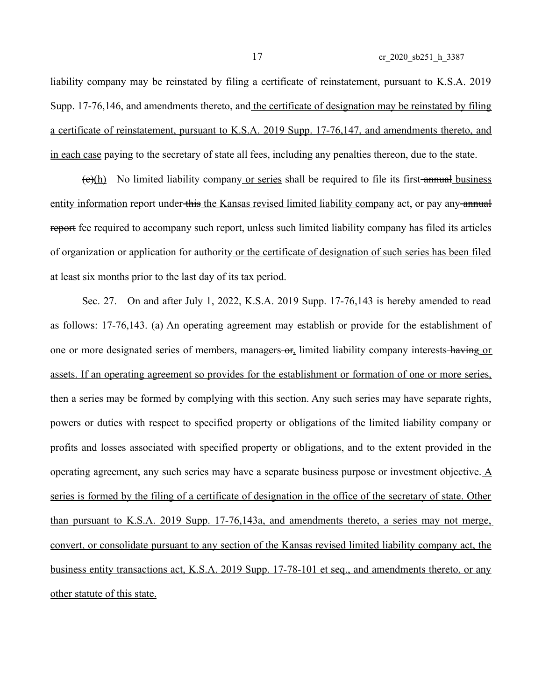liability company may be reinstated by filing a certificate of reinstatement, pursuant to K.S.A. 2019 Supp. 17-76,146, and amendments thereto, and the certificate of designation may be reinstated by filing a certificate of reinstatement, pursuant to K.S.A. 2019 Supp. 17-76,147, and amendments thereto, and in each case paying to the secretary of state all fees, including any penalties thereon, due to the state.

 $(e)(h)$  No limited liability company or series shall be required to file its first-annual business entity information report under this the Kansas revised limited liability company act, or pay any annual report fee required to accompany such report, unless such limited liability company has filed its articles of organization or application for authority or the certificate of designation of such series has been filed at least six months prior to the last day of its tax period.

Sec. 27. On and after July 1, 2022, K.S.A. 2019 Supp. 17-76,143 is hereby amended to read as follows: 17-76,143. (a) An operating agreement may establish or provide for the establishment of one or more designated series of members, managers-or, limited liability company interests-having or assets. If an operating agreement so provides for the establishment or formation of one or more series, then a series may be formed by complying with this section. Any such series may have separate rights, powers or duties with respect to specified property or obligations of the limited liability company or profits and losses associated with specified property or obligations, and to the extent provided in the operating agreement, any such series may have a separate business purpose or investment objective. A series is formed by the filing of a certificate of designation in the office of the secretary of state. Other than pursuant to K.S.A. 2019 Supp. 17-76,143a, and amendments thereto, a series may not merge, convert, or consolidate pursuant to any section of the Kansas revised limited liability company act, the business entity transactions act, K.S.A. 2019 Supp. 17-78-101 et seq., and amendments thereto, or any other statute of this state.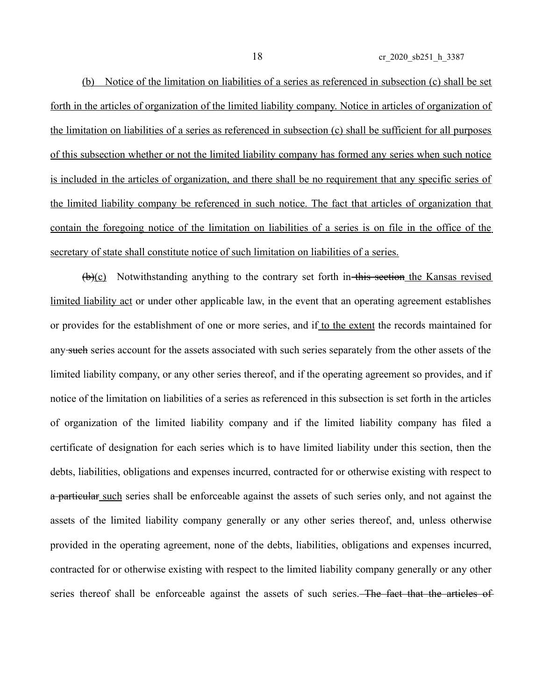(b) Notice of the limitation on liabilities of a series as referenced in subsection (c) shall be set forth in the articles of organization of the limited liability company. Notice in articles of organization of the limitation on liabilities of a series as referenced in subsection (c) shall be sufficient for all purposes of this subsection whether or not the limited liability company has formed any series when such notice is included in the articles of organization, and there shall be no requirement that any specific series of the limited liability company be referenced in such notice. The fact that articles of organization that contain the foregoing notice of the limitation on liabilities of a series is on file in the office of the secretary of state shall constitute notice of such limitation on liabilities of a series.

 $(\theta)(c)$  Notwithstanding anything to the contrary set forth in this section the Kansas revised limited liability act or under other applicable law, in the event that an operating agreement establishes or provides for the establishment of one or more series, and if to the extent the records maintained for any such series account for the assets associated with such series separately from the other assets of the limited liability company, or any other series thereof, and if the operating agreement so provides, and if notice of the limitation on liabilities of a series as referenced in this subsection is set forth in the articles of organization of the limited liability company and if the limited liability company has filed a certificate of designation for each series which is to have limited liability under this section, then the debts, liabilities, obligations and expenses incurred, contracted for or otherwise existing with respect to a particular such series shall be enforceable against the assets of such series only, and not against the assets of the limited liability company generally or any other series thereof, and, unless otherwise provided in the operating agreement, none of the debts, liabilities, obligations and expenses incurred, contracted for or otherwise existing with respect to the limited liability company generally or any other series thereof shall be enforceable against the assets of such series. The fact that the articles of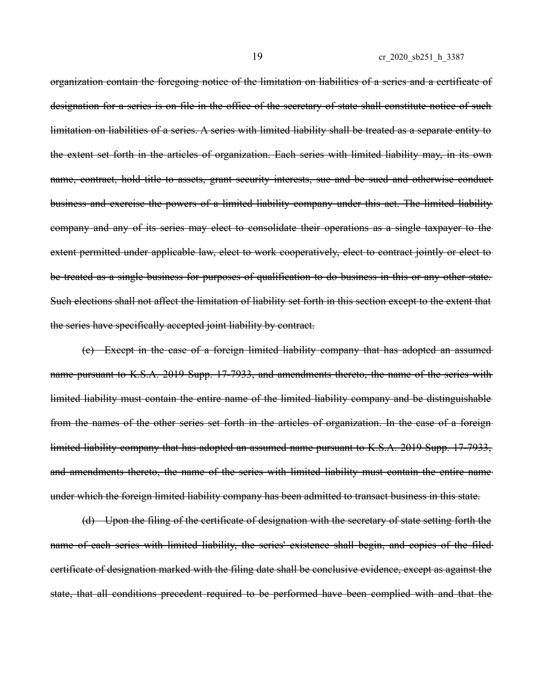organization contain the foregoing notice of the limitation on liabilities of a series and a certificate of designation for a series is on file in the office of the secretary of state shall constitute notice of such limitation on liabilities of a series. A series with limited liability shall be treated as a separate entity to the extent set forth in the articles of organization. Each series with limited liability may, in its own name, contract, hold title to assets, grant security interests, sue and be sued and otherwise conductbusiness and exercise the powers of a limited liability company under this act. The limited liability company and any of its series may elect to consolidate their operations as a single taxpayer to the extent permitted under applicable law, elect to work cooperatively, elect to contract jointly or elect to be treated as a single business for purposes of qualification to do business in this or any other state. Such elections shall not affect the limitation of liability set forth in this section except to the extent that the series have specifically accepted joint liability by contract.

(c) Except in the case of a foreign limited liability company that has adopted an assumed name pursuant to K.S.A. 2019 Supp. 17-7933, and amendments thereto, the name of the series with limited liability must contain the entire name of the limited liability company and be distinguishable from the names of the other series set forth in the articles of organization. In the case of a foreign limited liability company that has adopted an assumed name pursuant to K.S.A. 2019 Supp. 17-7933, and amendments thereto, the name of the series with limited liability must contain the entire name under which the foreign limited liability company has been admitted to transact business in this state.

(d) Upon the filing of the certificate of designation with the secretary of state setting forth the name of each series with limited liability, the series' existence shall begin, and copies of the filed certificate of designation marked with the filing date shall be conclusive evidence, except as against the state, that all conditions precedent required to be performed have been complied with and that the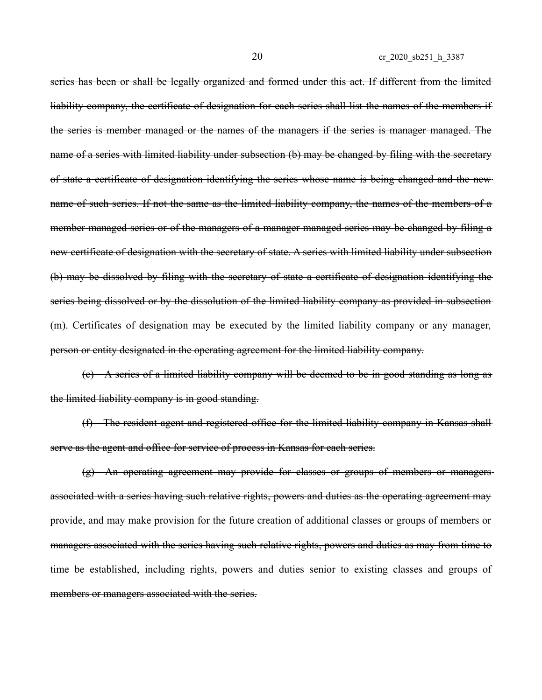series has been or shall be legally organized and formed under this act. If different from the limited liability company, the certificate of designation for each series shall list the names of the members if the series is member managed or the names of the managers if the series is manager managed. The name of a series with limited liability under subsection (b) may be changed by filing with the secretary of state a certificate of designation identifying the series whose name is being changed and the new name of such series. If not the same as the limited liability company, the names of the members of a member managed series or of the managers of a manager managed series may be changed by filing a new certificate of designation with the secretary of state. A series with limited liability under subsection (b) may be dissolved by filing with the secretary of state a certificate of designation identifying the series being dissolved or by the dissolution of the limited liability company as provided in subsection (m). Certificates of designation may be executed by the limited liability company or any manager, person or entity designated in the operating agreement for the limited liability company.

(e) A series of a limited liability company will be deemed to be in good standing as long as the limited liability company is in good standing.

(f) The resident agent and registered office for the limited liability company in Kansas shall serve as the agent and office for service of process in Kansas for each series.

(g) An operating agreement may provide for classes or groups of members or managers associated with a series having such relative rights, powers and duties as the operating agreement may provide, and may make provision for the future creation of additional classes or groups of members or managers associated with the series having such relative rights, powers and duties as may from time to time be established, including rights, powers and duties senior to existing classes and groups of members or managers associated with the series.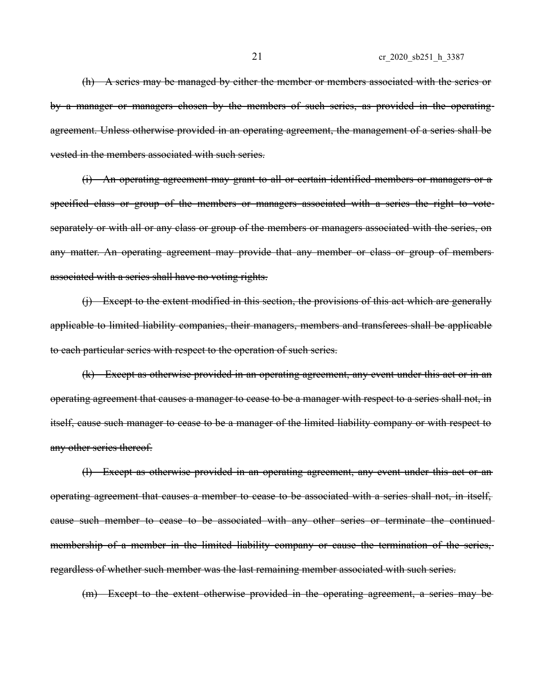(h) A series may be managed by either the member or members associated with the series or by a manager or managers chosen by the members of such series, as provided in the operating agreement. Unless otherwise provided in an operating agreement, the management of a series shall be vested in the members associated with such series.

(i) An operating agreement may grant to all or certain identified members or managers or a specified class or group of the members or managers associated with a series the right to voteseparately or with all or any class or group of the members or managers associated with the series, on any matter. An operating agreement may provide that any member or class or group of members associated with a series shall have no voting rights.

(j) Except to the extent modified in this section, the provisions of this act which are generally applicable to limited liability companies, their managers, members and transferees shall be applicable to each particular series with respect to the operation of such series.

(k) Except as otherwise provided in an operating agreement, any event under this act or in an operating agreement that causes a manager to cease to be a manager with respect to a series shall not, in itself, cause such manager to cease to be a manager of the limited liability company or with respect to any other series thereof.

(l) Except as otherwise provided in an operating agreement, any event under this act or an operating agreement that causes a member to cease to be associated with a series shall not, in itself, cause such member to cease to be associated with any other series or terminate the continued membership of a member in the limited liability company or cause the termination of the series, regardless of whether such member was the last remaining member associated with such series.

(m) Except to the extent otherwise provided in the operating agreement, a series may be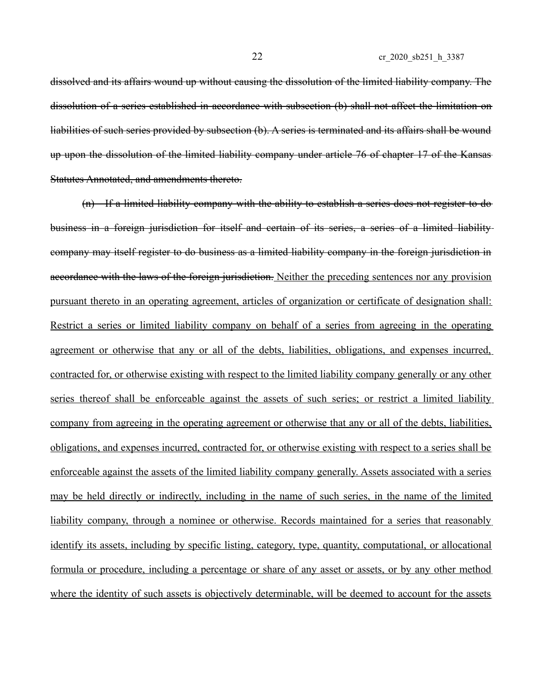dissolved and its affairs wound up without causing the dissolution of the limited liability company. The dissolution of a series established in accordance with subsection (b) shall not affect the limitation on liabilities of such series provided by subsection (b). A series is terminated and its affairs shall be wound up upon the dissolution of the limited liability company under article 76 of chapter 17 of the Kansas Statutes Annotated, and amendments thereto.

(n) If a limited liability company with the ability to establish a series does not register to do business in a foreign jurisdiction for itself and certain of its series, a series of a limited liability company may itself register to do business as a limited liability company in the foreign jurisdiction in accordance with the laws of the foreign jurisdiction. Neither the preceding sentences nor any provision pursuant thereto in an operating agreement, articles of organization or certificate of designation shall: Restrict a series or limited liability company on behalf of a series from agreeing in the operating agreement or otherwise that any or all of the debts, liabilities, obligations, and expenses incurred, contracted for, or otherwise existing with respect to the limited liability company generally or any other series thereof shall be enforceable against the assets of such series; or restrict a limited liability company from agreeing in the operating agreement or otherwise that any or all of the debts, liabilities, obligations, and expenses incurred, contracted for, or otherwise existing with respect to a series shall be enforceable against the assets of the limited liability company generally. Assets associated with a series may be held directly or indirectly, including in the name of such series, in the name of the limited liability company, through a nominee or otherwise. Records maintained for a series that reasonably identify its assets, including by specific listing, category, type, quantity, computational, or allocational formula or procedure, including a percentage or share of any asset or assets, or by any other method where the identity of such assets is objectively determinable, will be deemed to account for the assets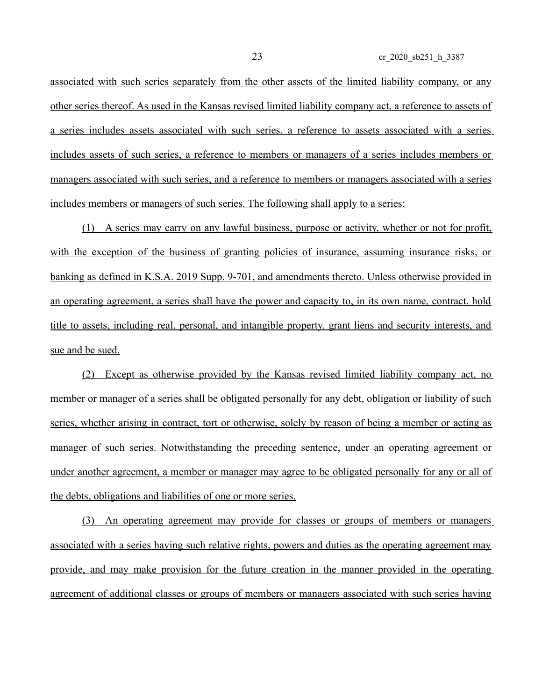associated with such series separately from the other assets of the limited liability company, or any other series thereof. As used in the Kansas revised limited liability company act, a reference to assets of a series includes assets associated with such series, a reference to assets associated with a series includes assets of such series, a reference to members or managers of a series includes members or managers associated with such series, and a reference to members or managers associated with a series includes members or managers of such series. The following shall apply to a series:

(1) A series may carry on any lawful business, purpose or activity, whether or not for profit, with the exception of the business of granting policies of insurance, assuming insurance risks, or banking as defined in K.S.A. 2019 Supp. 9-701, and amendments thereto. Unless otherwise provided in an operating agreement, a series shall have the power and capacity to, in its own name, contract, hold title to assets, including real, personal, and intangible property, grant liens and security interests, and sue and be sued.

(2) Except as otherwise provided by the Kansas revised limited liability company act, no member or manager of a series shall be obligated personally for any debt, obligation or liability of such series, whether arising in contract, tort or otherwise, solely by reason of being a member or acting as manager of such series. Notwithstanding the preceding sentence, under an operating agreement or under another agreement, a member or manager may agree to be obligated personally for any or all of the debts, obligations and liabilities of one or more series.

(3) An operating agreement may provide for classes or groups of members or managers associated with a series having such relative rights, powers and duties as the operating agreement may provide, and may make provision for the future creation in the manner provided in the operating agreement of additional classes or groups of members or managers associated with such series having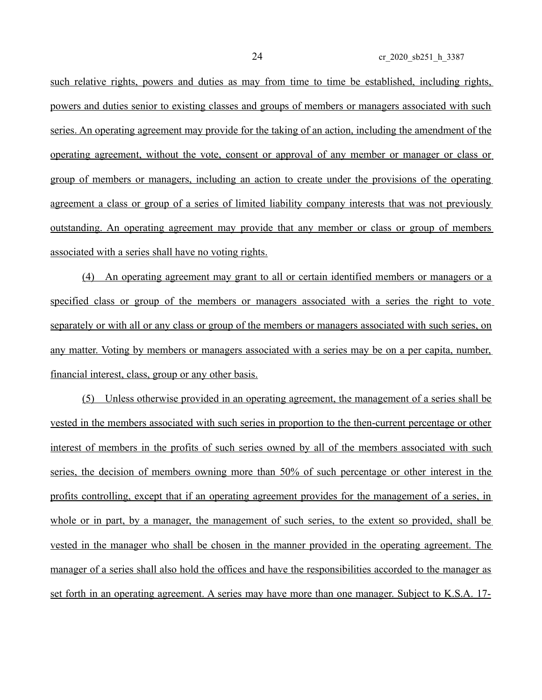such relative rights, powers and duties as may from time to time be established, including rights, powers and duties senior to existing classes and groups of members or managers associated with such series. An operating agreement may provide for the taking of an action, including the amendment of the operating agreement, without the vote, consent or approval of any member or manager or class or group of members or managers, including an action to create under the provisions of the operating agreement a class or group of a series of limited liability company interests that was not previously outstanding. An operating agreement may provide that any member or class or group of members associated with a series shall have no voting rights.

(4) An operating agreement may grant to all or certain identified members or managers or a specified class or group of the members or managers associated with a series the right to vote separately or with all or any class or group of the members or managers associated with such series, on any matter. Voting by members or managers associated with a series may be on a per capita, number, financial interest, class, group or any other basis.

(5) Unless otherwise provided in an operating agreement, the management of a series shall be vested in the members associated with such series in proportion to the then-current percentage or other interest of members in the profits of such series owned by all of the members associated with such series, the decision of members owning more than 50% of such percentage or other interest in the profits controlling, except that if an operating agreement provides for the management of a series, in whole or in part, by a manager, the management of such series, to the extent so provided, shall be vested in the manager who shall be chosen in the manner provided in the operating agreement. The manager of a series shall also hold the offices and have the responsibilities accorded to the manager as set forth in an operating agreement. A series may have more than one manager. Subject to K.S.A. 17-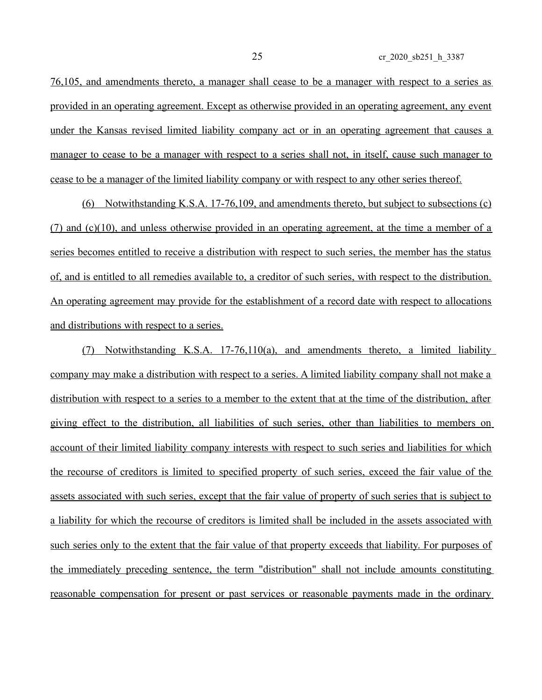76,105, and amendments thereto, a manager shall cease to be a manager with respect to a series as provided in an operating agreement. Except as otherwise provided in an operating agreement, any event under the Kansas revised limited liability company act or in an operating agreement that causes a manager to cease to be a manager with respect to a series shall not, in itself, cause such manager to cease to be a manager of the limited liability company or with respect to any other series thereof.

(6) Notwithstanding K.S.A. 17-76,109, and amendments thereto, but subject to subsections (c) (7) and (c)(10), and unless otherwise provided in an operating agreement, at the time a member of a series becomes entitled to receive a distribution with respect to such series, the member has the status of, and is entitled to all remedies available to, a creditor of such series, with respect to the distribution. An operating agreement may provide for the establishment of a record date with respect to allocations and distributions with respect to a series.

(7) Notwithstanding K.S.A. 17-76,110(a), and amendments thereto, a limited liability company may make a distribution with respect to a series. A limited liability company shall not make a distribution with respect to a series to a member to the extent that at the time of the distribution, after giving effect to the distribution, all liabilities of such series, other than liabilities to members on account of their limited liability company interests with respect to such series and liabilities for which the recourse of creditors is limited to specified property of such series, exceed the fair value of the assets associated with such series, except that the fair value of property of such series that is subject to a liability for which the recourse of creditors is limited shall be included in the assets associated with such series only to the extent that the fair value of that property exceeds that liability. For purposes of the immediately preceding sentence, the term "distribution" shall not include amounts constituting reasonable compensation for present or past services or reasonable payments made in the ordinary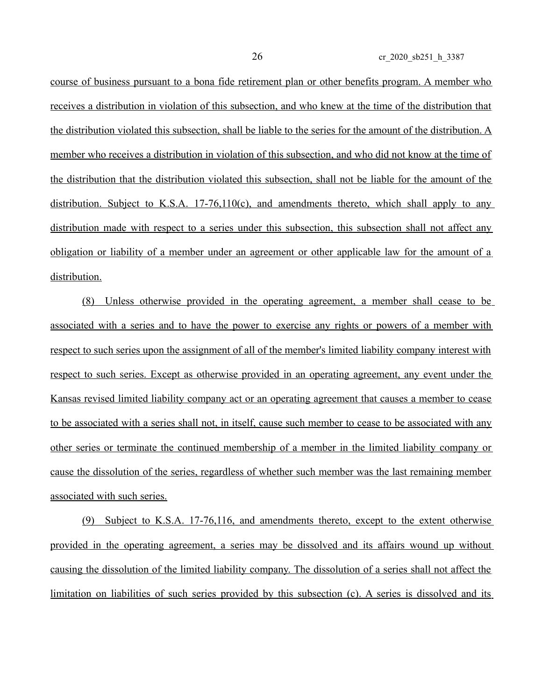course of business pursuant to a bona fide retirement plan or other benefits program. A member who receives a distribution in violation of this subsection, and who knew at the time of the distribution that the distribution violated this subsection, shall be liable to the series for the amount of the distribution. A member who receives a distribution in violation of this subsection, and who did not know at the time of the distribution that the distribution violated this subsection, shall not be liable for the amount of the distribution. Subject to K.S.A. 17-76,110(c), and amendments thereto, which shall apply to any distribution made with respect to a series under this subsection, this subsection shall not affect any obligation or liability of a member under an agreement or other applicable law for the amount of a distribution.

(8) Unless otherwise provided in the operating agreement, a member shall cease to be associated with a series and to have the power to exercise any rights or powers of a member with respect to such series upon the assignment of all of the member's limited liability company interest with respect to such series. Except as otherwise provided in an operating agreement, any event under the Kansas revised limited liability company act or an operating agreement that causes a member to cease to be associated with a series shall not, in itself, cause such member to cease to be associated with any other series or terminate the continued membership of a member in the limited liability company or cause the dissolution of the series, regardless of whether such member was the last remaining member associated with such series.

(9) Subject to K.S.A. 17-76,116, and amendments thereto, except to the extent otherwise provided in the operating agreement, a series may be dissolved and its affairs wound up without causing the dissolution of the limited liability company. The dissolution of a series shall not affect the limitation on liabilities of such series provided by this subsection (c). A series is dissolved and its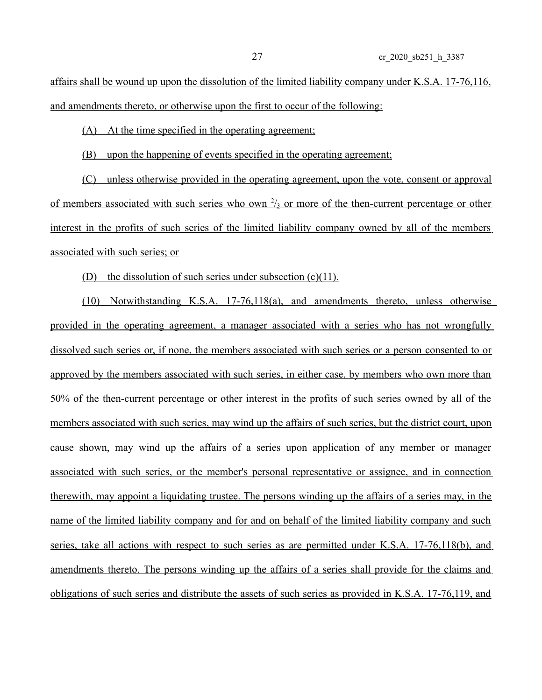affairs shall be wound up upon the dissolution of the limited liability company under K.S.A. 17-76,116, and amendments thereto, or otherwise upon the first to occur of the following:

(A) At the time specified in the operating agreement;

(B) upon the happening of events specified in the operating agreement;

(C) unless otherwise provided in the operating agreement, upon the vote, consent or approval of members associated with such series who own  $\frac{2}{3}$  or more of the then-current percentage or other interest in the profits of such series of the limited liability company owned by all of the members associated with such series; or

(D) the dissolution of such series under subsection  $(c)(11)$ .

(10) Notwithstanding K.S.A. 17-76,118(a), and amendments thereto, unless otherwise provided in the operating agreement, a manager associated with a series who has not wrongfully dissolved such series or, if none, the members associated with such series or a person consented to or approved by the members associated with such series, in either case, by members who own more than 50% of the then-current percentage or other interest in the profits of such series owned by all of the members associated with such series, may wind up the affairs of such series, but the district court, upon cause shown, may wind up the affairs of a series upon application of any member or manager associated with such series, or the member's personal representative or assignee, and in connection therewith, may appoint a liquidating trustee. The persons winding up the affairs of a series may, in the name of the limited liability company and for and on behalf of the limited liability company and such series, take all actions with respect to such series as are permitted under K.S.A. 17-76,118(b), and amendments thereto. The persons winding up the affairs of a series shall provide for the claims and obligations of such series and distribute the assets of such series as provided in K.S.A. 17-76,119, and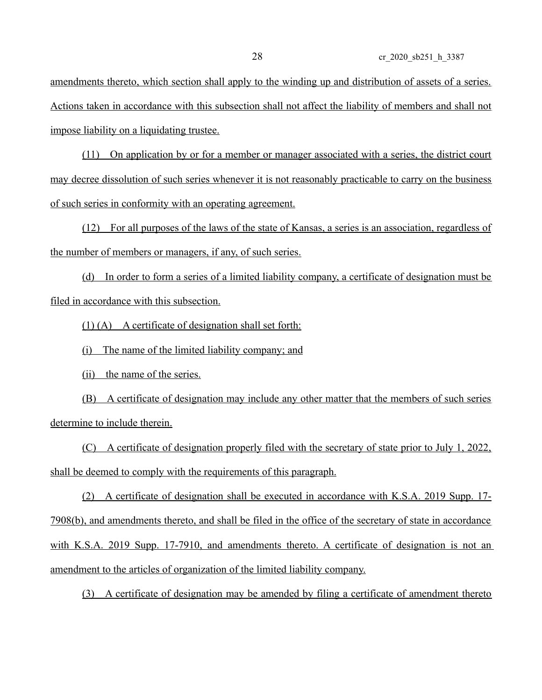amendments thereto, which section shall apply to the winding up and distribution of assets of a series. Actions taken in accordance with this subsection shall not affect the liability of members and shall not impose liability on a liquidating trustee.

(11) On application by or for a member or manager associated with a series, the district court may decree dissolution of such series whenever it is not reasonably practicable to carry on the business of such series in conformity with an operating agreement.

(12) For all purposes of the laws of the state of Kansas, a series is an association, regardless of the number of members or managers, if any, of such series.

(d) In order to form a series of a limited liability company, a certificate of designation must be filed in accordance with this subsection.

(1) (A) A certificate of designation shall set forth:

(i) The name of the limited liability company; and

(ii) the name of the series.

(B) A certificate of designation may include any other matter that the members of such series determine to include therein.

(C) A certificate of designation properly filed with the secretary of state prior to July 1, 2022, shall be deemed to comply with the requirements of this paragraph.

(2) A certificate of designation shall be executed in accordance with K.S.A. 2019 Supp. 17- 7908(b), and amendments thereto, and shall be filed in the office of the secretary of state in accordance with K.S.A. 2019 Supp. 17-7910, and amendments thereto. A certificate of designation is not an amendment to the articles of organization of the limited liability company.

(3) A certificate of designation may be amended by filing a certificate of amendment thereto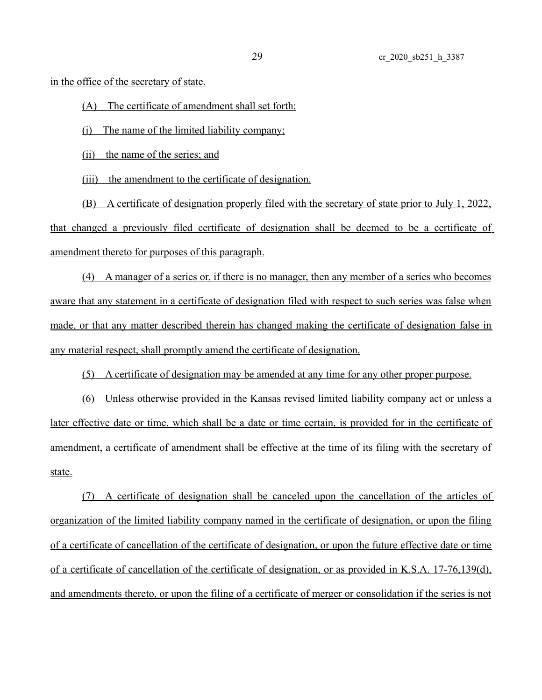in the office of the secretary of state.

(A) The certificate of amendment shall set forth:

(i) The name of the limited liability company;

(ii) the name of the series; and

(iii) the amendment to the certificate of designation.

(B) A certificate of designation properly filed with the secretary of state prior to July 1, 2022, that changed a previously filed certificate of designation shall be deemed to be a certificate of amendment thereto for purposes of this paragraph.

(4) A manager of a series or, if there is no manager, then any member of a series who becomes aware that any statement in a certificate of designation filed with respect to such series was false when made, or that any matter described therein has changed making the certificate of designation false in any material respect, shall promptly amend the certificate of designation.

(5) A certificate of designation may be amended at any time for any other proper purpose.

(6) Unless otherwise provided in the Kansas revised limited liability company act or unless a later effective date or time, which shall be a date or time certain, is provided for in the certificate of amendment, a certificate of amendment shall be effective at the time of its filing with the secretary of state.

(7) A certificate of designation shall be canceled upon the cancellation of the articles of organization of the limited liability company named in the certificate of designation, or upon the filing of a certificate of cancellation of the certificate of designation, or upon the future effective date or time of a certificate of cancellation of the certificate of designation, or as provided in K.S.A. 17-76,139(d), and amendments thereto, or upon the filing of a certificate of merger or consolidation if the series is not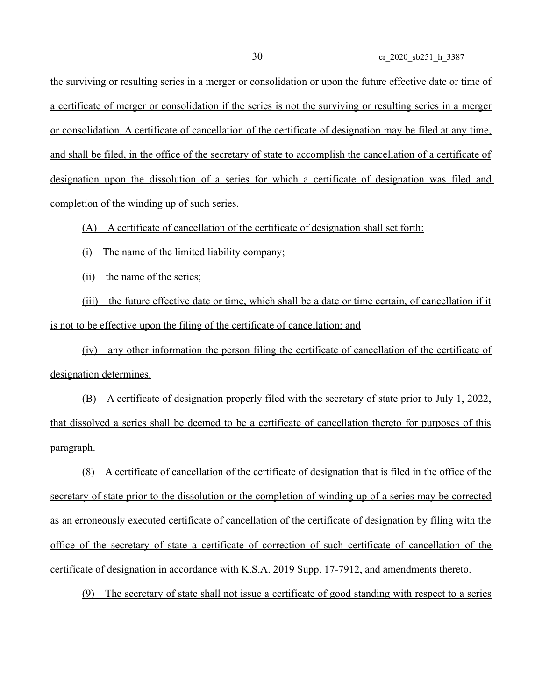the surviving or resulting series in a merger or consolidation or upon the future effective date or time of a certificate of merger or consolidation if the series is not the surviving or resulting series in a merger or consolidation. A certificate of cancellation of the certificate of designation may be filed at any time, and shall be filed, in the office of the secretary of state to accomplish the cancellation of a certificate of designation upon the dissolution of a series for which a certificate of designation was filed and completion of the winding up of such series.

(A) A certificate of cancellation of the certificate of designation shall set forth:

(i) The name of the limited liability company;

(ii) the name of the series;

(iii) the future effective date or time, which shall be a date or time certain, of cancellation if it is not to be effective upon the filing of the certificate of cancellation; and

(iv) any other information the person filing the certificate of cancellation of the certificate of designation determines.

(B) A certificate of designation properly filed with the secretary of state prior to July 1, 2022, that dissolved a series shall be deemed to be a certificate of cancellation thereto for purposes of this paragraph.

(8) A certificate of cancellation of the certificate of designation that is filed in the office of the secretary of state prior to the dissolution or the completion of winding up of a series may be corrected as an erroneously executed certificate of cancellation of the certificate of designation by filing with the office of the secretary of state a certificate of correction of such certificate of cancellation of the certificate of designation in accordance with K.S.A. 2019 Supp. 17-7912, and amendments thereto.

(9) The secretary of state shall not issue a certificate of good standing with respect to a series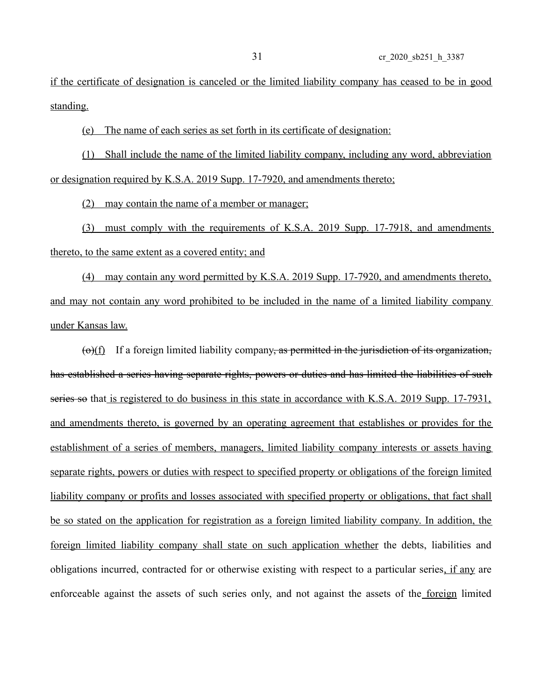if the certificate of designation is canceled or the limited liability company has ceased to be in good standing.

(e) The name of each series as set forth in its certificate of designation:

(1) Shall include the name of the limited liability company, including any word, abbreviation or designation required by K.S.A. 2019 Supp. 17-7920, and amendments thereto;

(2) may contain the name of a member or manager;

(3) must comply with the requirements of K.S.A. 2019 Supp. 17-7918, and amendments thereto, to the same extent as a covered entity; and

(4) may contain any word permitted by K.S.A. 2019 Supp. 17-7920, and amendments thereto, and may not contain any word prohibited to be included in the name of a limited liability company under Kansas law.

 $\left(\frac{\Theta}{f}\right)$  If a foreign limited liability company, as permitted in the jurisdiction of its organization, has established a series having separate rights, powers or duties and has limited the liabilities of such series so that is registered to do business in this state in accordance with K.S.A. 2019 Supp. 17-7931, and amendments thereto, is governed by an operating agreement that establishes or provides for the establishment of a series of members, managers, limited liability company interests or assets having separate rights, powers or duties with respect to specified property or obligations of the foreign limited liability company or profits and losses associated with specified property or obligations, that fact shall be so stated on the application for registration as a foreign limited liability company. In addition, the foreign limited liability company shall state on such application whether the debts, liabilities and obligations incurred, contracted for or otherwise existing with respect to a particular series, if any are enforceable against the assets of such series only, and not against the assets of the foreign limited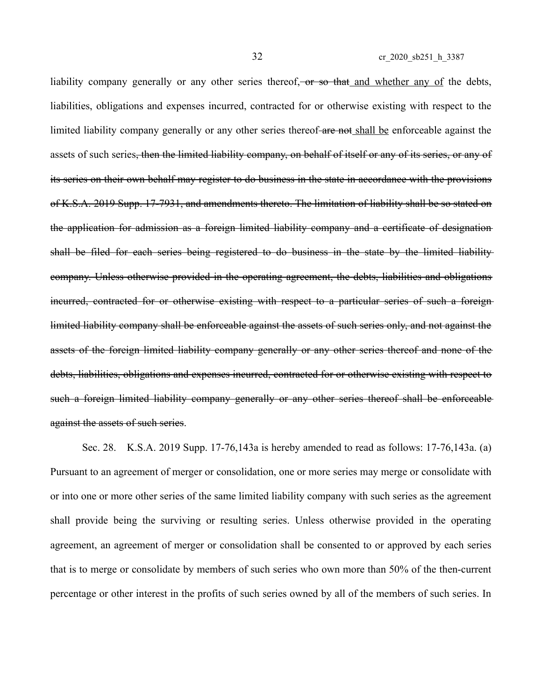liability company generally or any other series thereof, or so that and whether any of the debts, liabilities, obligations and expenses incurred, contracted for or otherwise existing with respect to the limited liability company generally or any other series thereof-are not shall be enforceable against the assets of such series<del>, then the limited liability company, on behalf of itself or any of its series, or any of</del> its series on their own behalf may register to do business in the state in accordance with the provisions of K.S.A. 2019 Supp. 17-7931, and amendments thereto. The limitation of liability shall be so stated on the application for admission as a foreign limited liability company and a certificate of designation shall be filed for each series being registered to do business in the state by the limited liability company. Unless otherwise provided in the operating agreement, the debts, liabilities and obligations incurred, contracted for or otherwise existing with respect to a particular series of such a foreign limited liability company shall be enforceable against the assets of such series only, and not against the assets of the foreign limited liability company generally or any other series thereof and none of the debts, liabilities, obligations and expenses incurred, contracted for or otherwise existing with respect to such a foreign limited liability company generally or any other series thereof shall be enforceable against the assets of such series.

Sec. 28. K.S.A. 2019 Supp. 17-76,143a is hereby amended to read as follows: 17-76,143a. (a) Pursuant to an agreement of merger or consolidation, one or more series may merge or consolidate with or into one or more other series of the same limited liability company with such series as the agreement shall provide being the surviving or resulting series. Unless otherwise provided in the operating agreement, an agreement of merger or consolidation shall be consented to or approved by each series that is to merge or consolidate by members of such series who own more than 50% of the then-current percentage or other interest in the profits of such series owned by all of the members of such series. In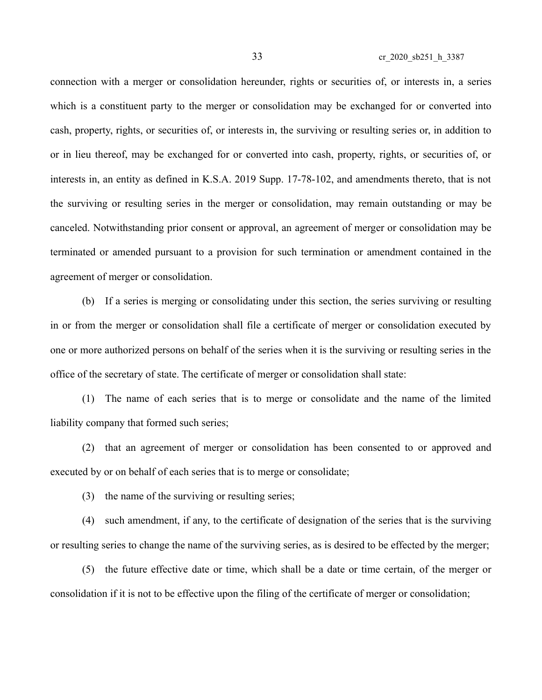connection with a merger or consolidation hereunder, rights or securities of, or interests in, a series which is a constituent party to the merger or consolidation may be exchanged for or converted into cash, property, rights, or securities of, or interests in, the surviving or resulting series or, in addition to or in lieu thereof, may be exchanged for or converted into cash, property, rights, or securities of, or interests in, an entity as defined in K.S.A. 2019 Supp. 17-78-102, and amendments thereto, that is not the surviving or resulting series in the merger or consolidation, may remain outstanding or may be canceled. Notwithstanding prior consent or approval, an agreement of merger or consolidation may be terminated or amended pursuant to a provision for such termination or amendment contained in the agreement of merger or consolidation.

(b) If a series is merging or consolidating under this section, the series surviving or resulting in or from the merger or consolidation shall file a certificate of merger or consolidation executed by one or more authorized persons on behalf of the series when it is the surviving or resulting series in the office of the secretary of state. The certificate of merger or consolidation shall state:

(1) The name of each series that is to merge or consolidate and the name of the limited liability company that formed such series;

(2) that an agreement of merger or consolidation has been consented to or approved and executed by or on behalf of each series that is to merge or consolidate;

(3) the name of the surviving or resulting series;

(4) such amendment, if any, to the certificate of designation of the series that is the surviving or resulting series to change the name of the surviving series, as is desired to be effected by the merger;

(5) the future effective date or time, which shall be a date or time certain, of the merger or consolidation if it is not to be effective upon the filing of the certificate of merger or consolidation;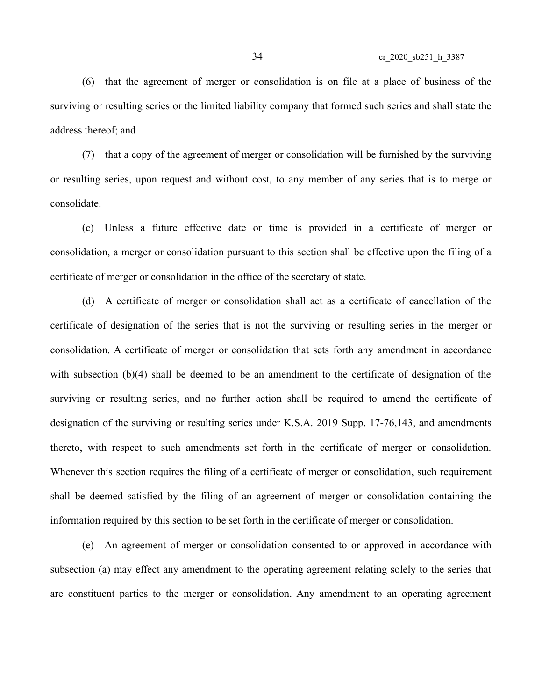(6) that the agreement of merger or consolidation is on file at a place of business of the surviving or resulting series or the limited liability company that formed such series and shall state the address thereof; and

(7) that a copy of the agreement of merger or consolidation will be furnished by the surviving or resulting series, upon request and without cost, to any member of any series that is to merge or consolidate.

(c) Unless a future effective date or time is provided in a certificate of merger or consolidation, a merger or consolidation pursuant to this section shall be effective upon the filing of a certificate of merger or consolidation in the office of the secretary of state.

(d) A certificate of merger or consolidation shall act as a certificate of cancellation of the certificate of designation of the series that is not the surviving or resulting series in the merger or consolidation. A certificate of merger or consolidation that sets forth any amendment in accordance with subsection (b)(4) shall be deemed to be an amendment to the certificate of designation of the surviving or resulting series, and no further action shall be required to amend the certificate of designation of the surviving or resulting series under K.S.A. 2019 Supp. 17-76,143, and amendments thereto, with respect to such amendments set forth in the certificate of merger or consolidation. Whenever this section requires the filing of a certificate of merger or consolidation, such requirement shall be deemed satisfied by the filing of an agreement of merger or consolidation containing the information required by this section to be set forth in the certificate of merger or consolidation.

(e) An agreement of merger or consolidation consented to or approved in accordance with subsection (a) may effect any amendment to the operating agreement relating solely to the series that are constituent parties to the merger or consolidation. Any amendment to an operating agreement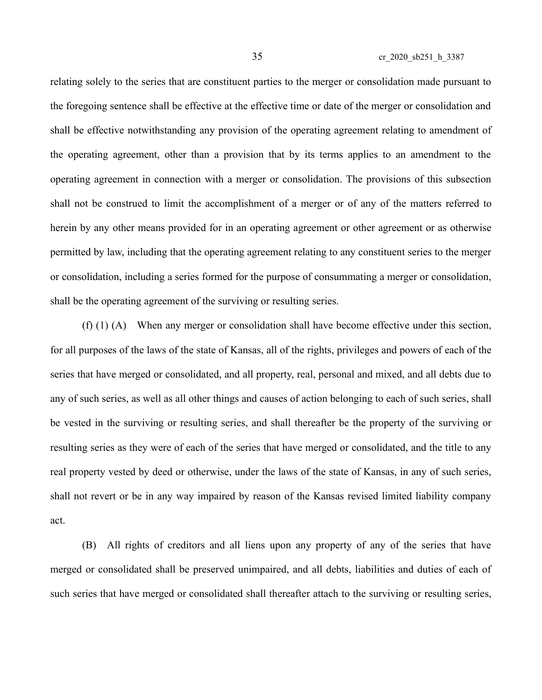relating solely to the series that are constituent parties to the merger or consolidation made pursuant to the foregoing sentence shall be effective at the effective time or date of the merger or consolidation and shall be effective notwithstanding any provision of the operating agreement relating to amendment of the operating agreement, other than a provision that by its terms applies to an amendment to the operating agreement in connection with a merger or consolidation. The provisions of this subsection shall not be construed to limit the accomplishment of a merger or of any of the matters referred to herein by any other means provided for in an operating agreement or other agreement or as otherwise permitted by law, including that the operating agreement relating to any constituent series to the merger or consolidation, including a series formed for the purpose of consummating a merger or consolidation, shall be the operating agreement of the surviving or resulting series.

(f) (1) (A) When any merger or consolidation shall have become effective under this section, for all purposes of the laws of the state of Kansas, all of the rights, privileges and powers of each of the series that have merged or consolidated, and all property, real, personal and mixed, and all debts due to any of such series, as well as all other things and causes of action belonging to each of such series, shall be vested in the surviving or resulting series, and shall thereafter be the property of the surviving or resulting series as they were of each of the series that have merged or consolidated, and the title to any real property vested by deed or otherwise, under the laws of the state of Kansas, in any of such series, shall not revert or be in any way impaired by reason of the Kansas revised limited liability company act.

(B) All rights of creditors and all liens upon any property of any of the series that have merged or consolidated shall be preserved unimpaired, and all debts, liabilities and duties of each of such series that have merged or consolidated shall thereafter attach to the surviving or resulting series,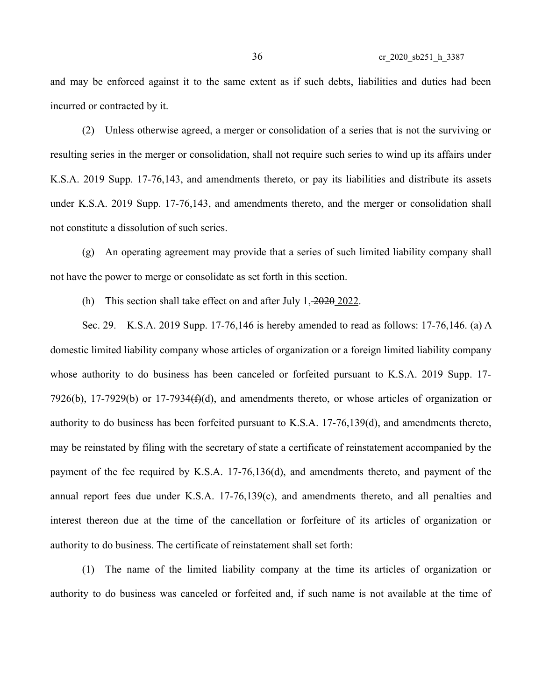and may be enforced against it to the same extent as if such debts, liabilities and duties had been incurred or contracted by it.

(2) Unless otherwise agreed, a merger or consolidation of a series that is not the surviving or resulting series in the merger or consolidation, shall not require such series to wind up its affairs under K.S.A. 2019 Supp. 17-76,143, and amendments thereto, or pay its liabilities and distribute its assets under K.S.A. 2019 Supp. 17-76,143, and amendments thereto, and the merger or consolidation shall not constitute a dissolution of such series.

(g) An operating agreement may provide that a series of such limited liability company shall not have the power to merge or consolidate as set forth in this section.

(h) This section shall take effect on and after July  $1, \frac{2020}{2022}$ .

Sec. 29. K.S.A. 2019 Supp. 17-76,146 is hereby amended to read as follows: 17-76,146. (a) A domestic limited liability company whose articles of organization or a foreign limited liability company whose authority to do business has been canceled or forfeited pursuant to K.S.A. 2019 Supp. 17- 7926(b), 17-7929(b) or 17-7934 $(f)(d)$ , and amendments thereto, or whose articles of organization or authority to do business has been forfeited pursuant to K.S.A. 17-76,139(d), and amendments thereto, may be reinstated by filing with the secretary of state a certificate of reinstatement accompanied by the payment of the fee required by K.S.A. 17-76,136(d), and amendments thereto, and payment of the annual report fees due under K.S.A. 17-76,139(c), and amendments thereto, and all penalties and interest thereon due at the time of the cancellation or forfeiture of its articles of organization or authority to do business. The certificate of reinstatement shall set forth:

(1) The name of the limited liability company at the time its articles of organization or authority to do business was canceled or forfeited and, if such name is not available at the time of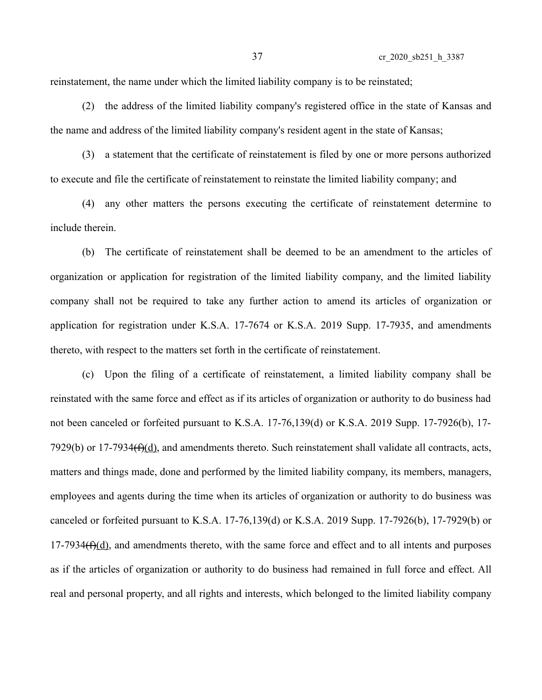reinstatement, the name under which the limited liability company is to be reinstated;

(2) the address of the limited liability company's registered office in the state of Kansas and the name and address of the limited liability company's resident agent in the state of Kansas;

(3) a statement that the certificate of reinstatement is filed by one or more persons authorized to execute and file the certificate of reinstatement to reinstate the limited liability company; and

(4) any other matters the persons executing the certificate of reinstatement determine to include therein.

(b) The certificate of reinstatement shall be deemed to be an amendment to the articles of organization or application for registration of the limited liability company, and the limited liability company shall not be required to take any further action to amend its articles of organization or application for registration under K.S.A. 17-7674 or K.S.A. 2019 Supp. 17-7935, and amendments thereto, with respect to the matters set forth in the certificate of reinstatement.

(c) Upon the filing of a certificate of reinstatement, a limited liability company shall be reinstated with the same force and effect as if its articles of organization or authority to do business had not been canceled or forfeited pursuant to K.S.A. 17-76,139(d) or K.S.A. 2019 Supp. 17-7926(b), 17- 7929(b) or 17-7934 $(f)(d)$ , and amendments thereto. Such reinstatement shall validate all contracts, acts, matters and things made, done and performed by the limited liability company, its members, managers, employees and agents during the time when its articles of organization or authority to do business was canceled or forfeited pursuant to K.S.A. 17-76,139(d) or K.S.A. 2019 Supp. 17-7926(b), 17-7929(b) or  $17-7934(f)(d)$ , and amendments thereto, with the same force and effect and to all intents and purposes as if the articles of organization or authority to do business had remained in full force and effect. All real and personal property, and all rights and interests, which belonged to the limited liability company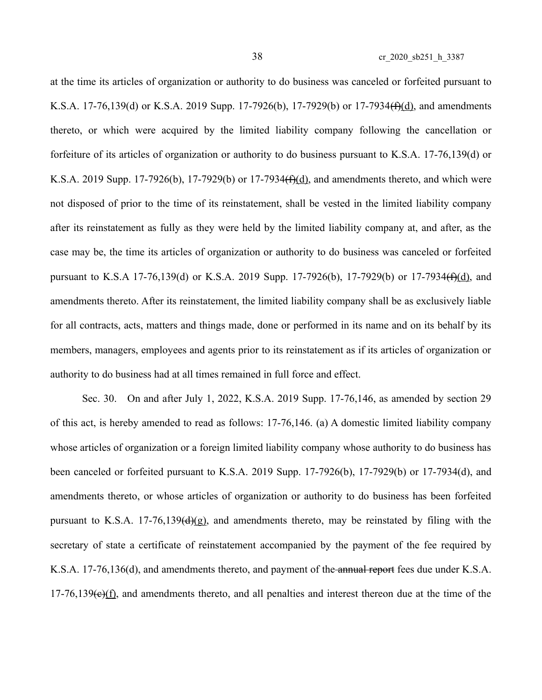at the time its articles of organization or authority to do business was canceled or forfeited pursuant to K.S.A. 17-76,139(d) or K.S.A. 2019 Supp. 17-7926(b), 17-7929(b) or 17-7934(f)(d), and amendments thereto, or which were acquired by the limited liability company following the cancellation or forfeiture of its articles of organization or authority to do business pursuant to K.S.A. 17-76,139(d) or K.S.A. 2019 Supp. 17-7926(b), 17-7929(b) or 17-7934<del>(f)(d)</del>, and amendments thereto, and which were not disposed of prior to the time of its reinstatement, shall be vested in the limited liability company after its reinstatement as fully as they were held by the limited liability company at, and after, as the case may be, the time its articles of organization or authority to do business was canceled or forfeited pursuant to K.S.A 17-76,139(d) or K.S.A. 2019 Supp. 17-7926(b), 17-7929(b) or 17-7934(f)(d), and amendments thereto. After its reinstatement, the limited liability company shall be as exclusively liable for all contracts, acts, matters and things made, done or performed in its name and on its behalf by its members, managers, employees and agents prior to its reinstatement as if its articles of organization or authority to do business had at all times remained in full force and effect.

Sec. 30. On and after July 1, 2022, K.S.A. 2019 Supp. 17-76,146, as amended by section 29 of this act, is hereby amended to read as follows: 17-76,146. (a) A domestic limited liability company whose articles of organization or a foreign limited liability company whose authority to do business has been canceled or forfeited pursuant to K.S.A. 2019 Supp. 17-7926(b), 17-7929(b) or 17-7934(d), and amendments thereto, or whose articles of organization or authority to do business has been forfeited pursuant to K.S.A. 17-76,139 $(\frac{d}{g})$ , and amendments thereto, may be reinstated by filing with the secretary of state a certificate of reinstatement accompanied by the payment of the fee required by K.S.A. 17-76,136(d), and amendments thereto, and payment of the annual report fees due under K.S.A.  $17-76,139(e)(f)$ , and amendments thereto, and all penalties and interest thereon due at the time of the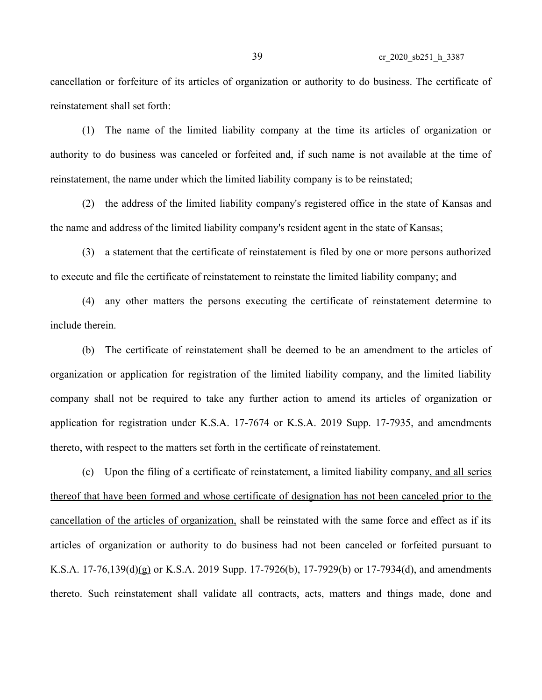cancellation or forfeiture of its articles of organization or authority to do business. The certificate of reinstatement shall set forth:

(1) The name of the limited liability company at the time its articles of organization or authority to do business was canceled or forfeited and, if such name is not available at the time of reinstatement, the name under which the limited liability company is to be reinstated;

(2) the address of the limited liability company's registered office in the state of Kansas and the name and address of the limited liability company's resident agent in the state of Kansas;

(3) a statement that the certificate of reinstatement is filed by one or more persons authorized to execute and file the certificate of reinstatement to reinstate the limited liability company; and

(4) any other matters the persons executing the certificate of reinstatement determine to include therein.

(b) The certificate of reinstatement shall be deemed to be an amendment to the articles of organization or application for registration of the limited liability company, and the limited liability company shall not be required to take any further action to amend its articles of organization or application for registration under K.S.A. 17-7674 or K.S.A. 2019 Supp. 17-7935, and amendments thereto, with respect to the matters set forth in the certificate of reinstatement.

(c) Upon the filing of a certificate of reinstatement, a limited liability company, and all series thereof that have been formed and whose certificate of designation has not been canceled prior to the cancellation of the articles of organization, shall be reinstated with the same force and effect as if its articles of organization or authority to do business had not been canceled or forfeited pursuant to K.S.A. 17-76,139(d)(g) or K.S.A. 2019 Supp. 17-7926(b), 17-7929(b) or 17-7934(d), and amendments thereto. Such reinstatement shall validate all contracts, acts, matters and things made, done and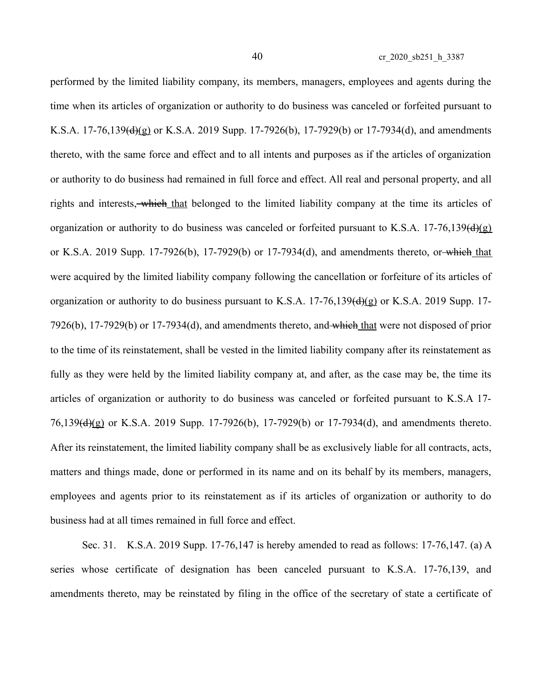performed by the limited liability company, its members, managers, employees and agents during the time when its articles of organization or authority to do business was canceled or forfeited pursuant to K.S.A. 17-76,139(d)(g) or K.S.A. 2019 Supp. 17-7926(b), 17-7929(b) or 17-7934(d), and amendments thereto, with the same force and effect and to all intents and purposes as if the articles of organization or authority to do business had remained in full force and effect. All real and personal property, and all rights and interests, which that belonged to the limited liability company at the time its articles of organization or authority to do business was canceled or forfeited pursuant to K.S.A. 17-76,139( $\frac{d}{g}$ ) or K.S.A. 2019 Supp. 17-7926(b), 17-7929(b) or 17-7934(d), and amendments thereto, or which that were acquired by the limited liability company following the cancellation or forfeiture of its articles of organization or authority to do business pursuant to K.S.A.  $17-76,139\text{(d)}\text{(g)}$  or K.S.A. 2019 Supp. 17-7926(b), 17-7929(b) or 17-7934(d), and amendments thereto, and which that were not disposed of prior to the time of its reinstatement, shall be vested in the limited liability company after its reinstatement as fully as they were held by the limited liability company at, and after, as the case may be, the time its articles of organization or authority to do business was canceled or forfeited pursuant to K.S.A 17- 76,139(d)(g) or K.S.A. 2019 Supp. 17-7926(b), 17-7929(b) or 17-7934(d), and amendments thereto. After its reinstatement, the limited liability company shall be as exclusively liable for all contracts, acts, matters and things made, done or performed in its name and on its behalf by its members, managers, employees and agents prior to its reinstatement as if its articles of organization or authority to do business had at all times remained in full force and effect.

Sec. 31. K.S.A. 2019 Supp. 17-76,147 is hereby amended to read as follows: 17-76,147. (a) A series whose certificate of designation has been canceled pursuant to K.S.A. 17-76,139, and amendments thereto, may be reinstated by filing in the office of the secretary of state a certificate of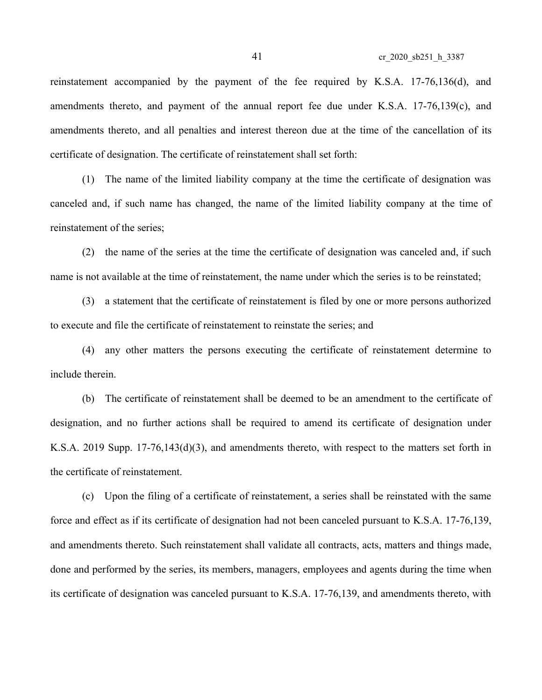reinstatement accompanied by the payment of the fee required by K.S.A. 17-76,136(d), and amendments thereto, and payment of the annual report fee due under K.S.A. 17-76,139(c), and amendments thereto, and all penalties and interest thereon due at the time of the cancellation of its certificate of designation. The certificate of reinstatement shall set forth:

(1) The name of the limited liability company at the time the certificate of designation was canceled and, if such name has changed, the name of the limited liability company at the time of reinstatement of the series;

(2) the name of the series at the time the certificate of designation was canceled and, if such name is not available at the time of reinstatement, the name under which the series is to be reinstated;

(3) a statement that the certificate of reinstatement is filed by one or more persons authorized to execute and file the certificate of reinstatement to reinstate the series; and

(4) any other matters the persons executing the certificate of reinstatement determine to include therein.

(b) The certificate of reinstatement shall be deemed to be an amendment to the certificate of designation, and no further actions shall be required to amend its certificate of designation under K.S.A. 2019 Supp. 17-76,143(d)(3), and amendments thereto, with respect to the matters set forth in the certificate of reinstatement.

(c) Upon the filing of a certificate of reinstatement, a series shall be reinstated with the same force and effect as if its certificate of designation had not been canceled pursuant to K.S.A. 17-76,139, and amendments thereto. Such reinstatement shall validate all contracts, acts, matters and things made, done and performed by the series, its members, managers, employees and agents during the time when its certificate of designation was canceled pursuant to K.S.A. 17-76,139, and amendments thereto, with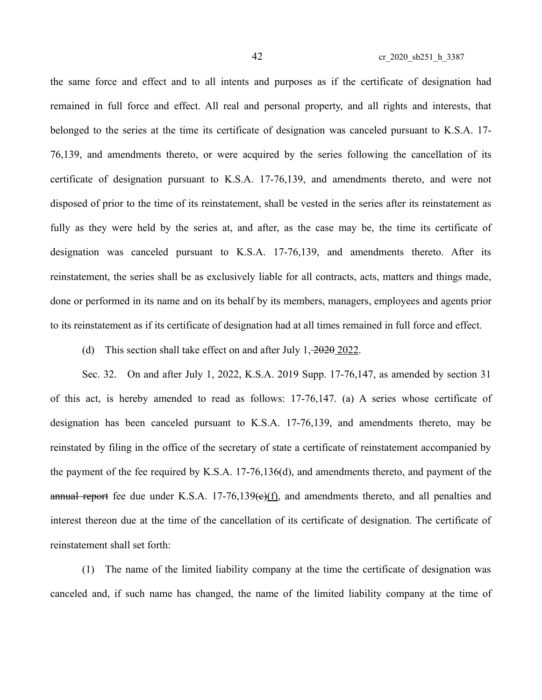the same force and effect and to all intents and purposes as if the certificate of designation had remained in full force and effect. All real and personal property, and all rights and interests, that belonged to the series at the time its certificate of designation was canceled pursuant to K.S.A. 17- 76,139, and amendments thereto, or were acquired by the series following the cancellation of its certificate of designation pursuant to K.S.A. 17-76,139, and amendments thereto, and were not disposed of prior to the time of its reinstatement, shall be vested in the series after its reinstatement as fully as they were held by the series at, and after, as the case may be, the time its certificate of designation was canceled pursuant to K.S.A. 17-76,139, and amendments thereto. After its reinstatement, the series shall be as exclusively liable for all contracts, acts, matters and things made, done or performed in its name and on its behalf by its members, managers, employees and agents prior to its reinstatement as if its certificate of designation had at all times remained in full force and effect.

(d) This section shall take effect on and after July 1, 2020 2022.

Sec. 32. On and after July 1, 2022, K.S.A. 2019 Supp. 17-76,147, as amended by section 31 of this act, is hereby amended to read as follows: 17-76,147. (a) A series whose certificate of designation has been canceled pursuant to K.S.A. 17-76,139, and amendments thereto, may be reinstated by filing in the office of the secretary of state a certificate of reinstatement accompanied by the payment of the fee required by K.S.A. 17-76,136(d), and amendments thereto, and payment of the annual report fee due under K.S.A.  $17-76,139(e)(f)$ , and amendments thereto, and all penalties and interest thereon due at the time of the cancellation of its certificate of designation. The certificate of reinstatement shall set forth:

(1) The name of the limited liability company at the time the certificate of designation was canceled and, if such name has changed, the name of the limited liability company at the time of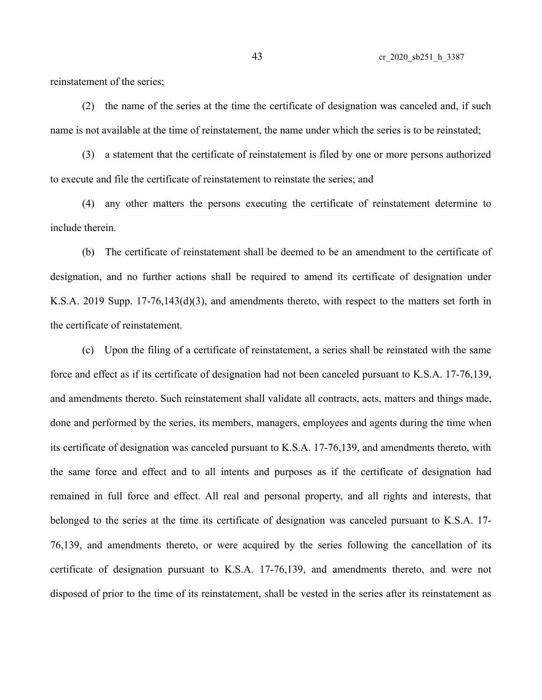reinstatement of the series;

(2) the name of the series at the time the certificate of designation was canceled and, if such name is not available at the time of reinstatement, the name under which the series is to be reinstated;

(3) a statement that the certificate of reinstatement is filed by one or more persons authorized to execute and file the certificate of reinstatement to reinstate the series; and

(4) any other matters the persons executing the certificate of reinstatement determine to include therein.

(b) The certificate of reinstatement shall be deemed to be an amendment to the certificate of designation, and no further actions shall be required to amend its certificate of designation under K.S.A. 2019 Supp. 17-76,143(d)(3), and amendments thereto, with respect to the matters set forth in the certificate of reinstatement.

(c) Upon the filing of a certificate of reinstatement, a series shall be reinstated with the same force and effect as if its certificate of designation had not been canceled pursuant to K.S.A. 17-76,139, and amendments thereto. Such reinstatement shall validate all contracts, acts, matters and things made, done and performed by the series, its members, managers, employees and agents during the time when its certificate of designation was canceled pursuant to K.S.A. 17-76,139, and amendments thereto, with the same force and effect and to all intents and purposes as if the certificate of designation had remained in full force and effect. All real and personal property, and all rights and interests, that belonged to the series at the time its certificate of designation was canceled pursuant to K.S.A. 17- 76,139, and amendments thereto, or were acquired by the series following the cancellation of its certificate of designation pursuant to K.S.A. 17-76,139, and amendments thereto, and were not disposed of prior to the time of its reinstatement, shall be vested in the series after its reinstatement as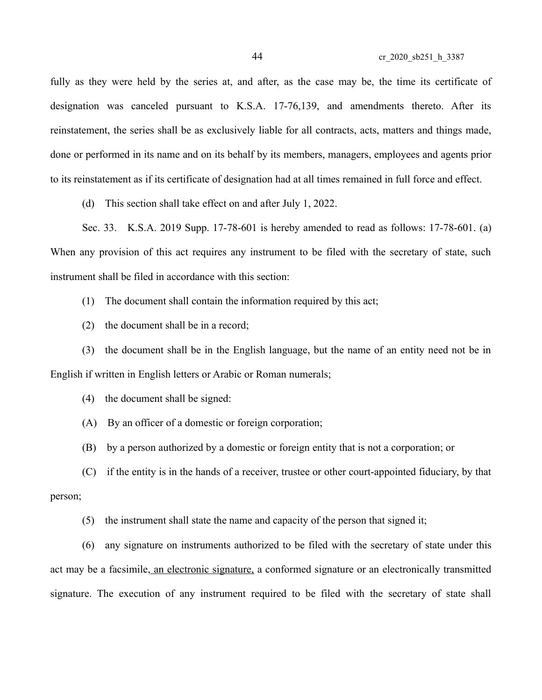fully as they were held by the series at, and after, as the case may be, the time its certificate of designation was canceled pursuant to K.S.A. 17-76,139, and amendments thereto. After its reinstatement, the series shall be as exclusively liable for all contracts, acts, matters and things made, done or performed in its name and on its behalf by its members, managers, employees and agents prior to its reinstatement as if its certificate of designation had at all times remained in full force and effect.

(d) This section shall take effect on and after July 1, 2022.

Sec. 33. K.S.A. 2019 Supp. 17-78-601 is hereby amended to read as follows: 17-78-601. (a) When any provision of this act requires any instrument to be filed with the secretary of state, such instrument shall be filed in accordance with this section:

(1) The document shall contain the information required by this act;

(2) the document shall be in a record;

(3) the document shall be in the English language, but the name of an entity need not be in English if written in English letters or Arabic or Roman numerals;

(4) the document shall be signed:

(A) By an officer of a domestic or foreign corporation;

(B) by a person authorized by a domestic or foreign entity that is not a corporation; or

(C) if the entity is in the hands of a receiver, trustee or other court-appointed fiduciary, by that

person;

(5) the instrument shall state the name and capacity of the person that signed it;

(6) any signature on instruments authorized to be filed with the secretary of state under this act may be a facsimile, an electronic signature, a conformed signature or an electronically transmitted signature. The execution of any instrument required to be filed with the secretary of state shall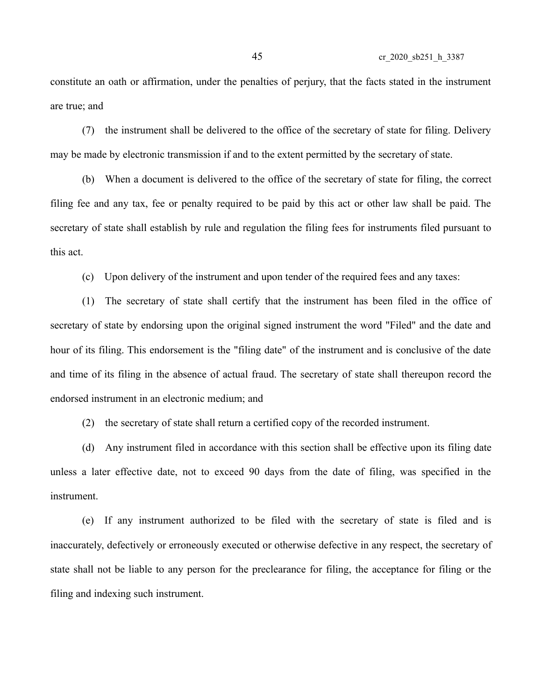constitute an oath or affirmation, under the penalties of perjury, that the facts stated in the instrument are true; and

(7) the instrument shall be delivered to the office of the secretary of state for filing. Delivery may be made by electronic transmission if and to the extent permitted by the secretary of state.

(b) When a document is delivered to the office of the secretary of state for filing, the correct filing fee and any tax, fee or penalty required to be paid by this act or other law shall be paid. The secretary of state shall establish by rule and regulation the filing fees for instruments filed pursuant to this act.

(c) Upon delivery of the instrument and upon tender of the required fees and any taxes:

(1) The secretary of state shall certify that the instrument has been filed in the office of secretary of state by endorsing upon the original signed instrument the word "Filed" and the date and hour of its filing. This endorsement is the "filing date" of the instrument and is conclusive of the date and time of its filing in the absence of actual fraud. The secretary of state shall thereupon record the endorsed instrument in an electronic medium; and

(2) the secretary of state shall return a certified copy of the recorded instrument.

(d) Any instrument filed in accordance with this section shall be effective upon its filing date unless a later effective date, not to exceed 90 days from the date of filing, was specified in the instrument.

(e) If any instrument authorized to be filed with the secretary of state is filed and is inaccurately, defectively or erroneously executed or otherwise defective in any respect, the secretary of state shall not be liable to any person for the preclearance for filing, the acceptance for filing or the filing and indexing such instrument.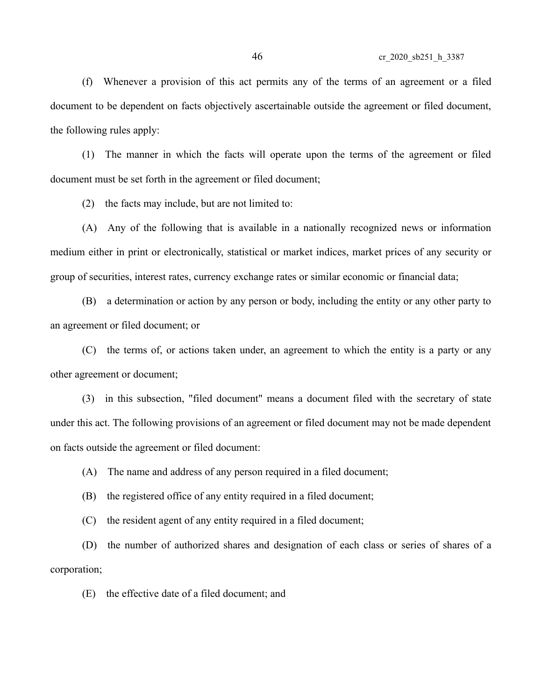(f) Whenever a provision of this act permits any of the terms of an agreement or a filed document to be dependent on facts objectively ascertainable outside the agreement or filed document, the following rules apply:

(1) The manner in which the facts will operate upon the terms of the agreement or filed document must be set forth in the agreement or filed document;

(2) the facts may include, but are not limited to:

(A) Any of the following that is available in a nationally recognized news or information medium either in print or electronically, statistical or market indices, market prices of any security or group of securities, interest rates, currency exchange rates or similar economic or financial data;

(B) a determination or action by any person or body, including the entity or any other party to an agreement or filed document; or

(C) the terms of, or actions taken under, an agreement to which the entity is a party or any other agreement or document;

(3) in this subsection, "filed document" means a document filed with the secretary of state under this act. The following provisions of an agreement or filed document may not be made dependent on facts outside the agreement or filed document:

(A) The name and address of any person required in a filed document;

(B) the registered office of any entity required in a filed document;

(C) the resident agent of any entity required in a filed document;

(D) the number of authorized shares and designation of each class or series of shares of a corporation;

(E) the effective date of a filed document; and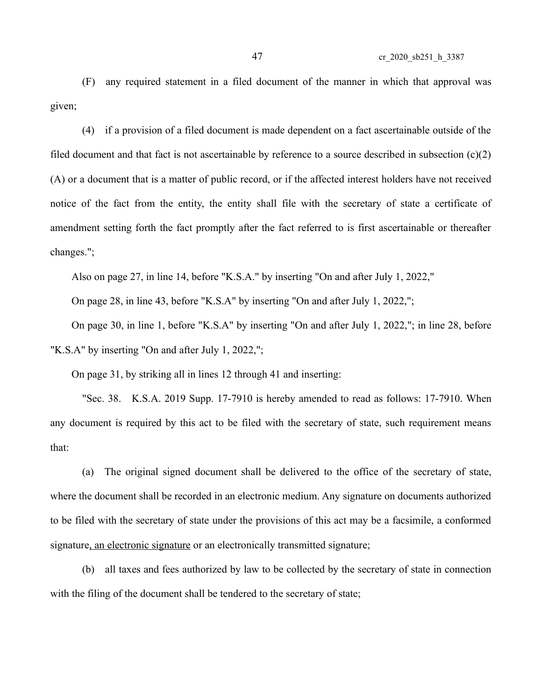(F) any required statement in a filed document of the manner in which that approval was given;

(4) if a provision of a filed document is made dependent on a fact ascertainable outside of the filed document and that fact is not ascertainable by reference to a source described in subsection  $(c)(2)$ (A) or a document that is a matter of public record, or if the affected interest holders have not received notice of the fact from the entity, the entity shall file with the secretary of state a certificate of amendment setting forth the fact promptly after the fact referred to is first ascertainable or thereafter changes.";

Also on page 27, in line 14, before "K.S.A." by inserting "On and after July 1, 2022,"

On page 28, in line 43, before "K.S.A" by inserting "On and after July 1, 2022,";

On page 30, in line 1, before "K.S.A" by inserting "On and after July 1, 2022,"; in line 28, before "K.S.A" by inserting "On and after July 1, 2022,";

On page 31, by striking all in lines 12 through 41 and inserting:

"Sec. 38. K.S.A. 2019 Supp. 17-7910 is hereby amended to read as follows: 17-7910. When any document is required by this act to be filed with the secretary of state, such requirement means that:

(a) The original signed document shall be delivered to the office of the secretary of state, where the document shall be recorded in an electronic medium. Any signature on documents authorized to be filed with the secretary of state under the provisions of this act may be a facsimile, a conformed signature, an electronic signature or an electronically transmitted signature;

(b) all taxes and fees authorized by law to be collected by the secretary of state in connection with the filing of the document shall be tendered to the secretary of state;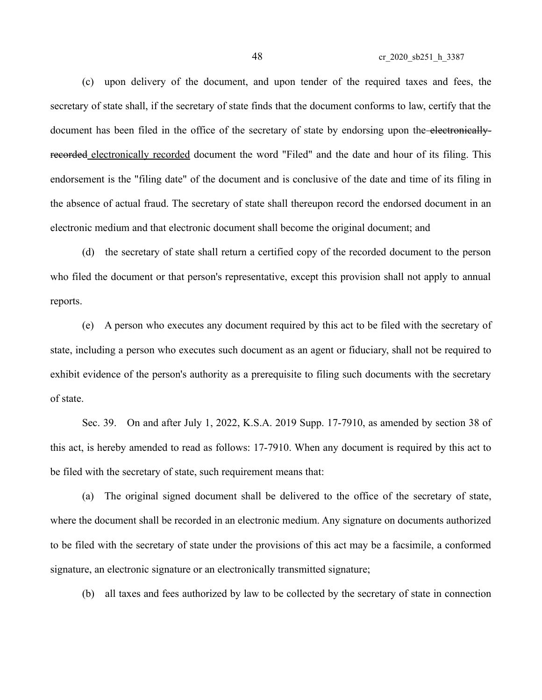(c) upon delivery of the document, and upon tender of the required taxes and fees, the secretary of state shall, if the secretary of state finds that the document conforms to law, certify that the document has been filed in the office of the secretary of state by endorsing upon the electronicallyrecorded electronically recorded document the word "Filed" and the date and hour of its filing. This endorsement is the "filing date" of the document and is conclusive of the date and time of its filing in the absence of actual fraud. The secretary of state shall thereupon record the endorsed document in an electronic medium and that electronic document shall become the original document; and

(d) the secretary of state shall return a certified copy of the recorded document to the person who filed the document or that person's representative, except this provision shall not apply to annual reports.

(e) A person who executes any document required by this act to be filed with the secretary of state, including a person who executes such document as an agent or fiduciary, shall not be required to exhibit evidence of the person's authority as a prerequisite to filing such documents with the secretary of state.

Sec. 39. On and after July 1, 2022, K.S.A. 2019 Supp. 17-7910, as amended by section 38 of this act, is hereby amended to read as follows: 17-7910. When any document is required by this act to be filed with the secretary of state, such requirement means that:

(a) The original signed document shall be delivered to the office of the secretary of state, where the document shall be recorded in an electronic medium. Any signature on documents authorized to be filed with the secretary of state under the provisions of this act may be a facsimile, a conformed signature, an electronic signature or an electronically transmitted signature;

(b) all taxes and fees authorized by law to be collected by the secretary of state in connection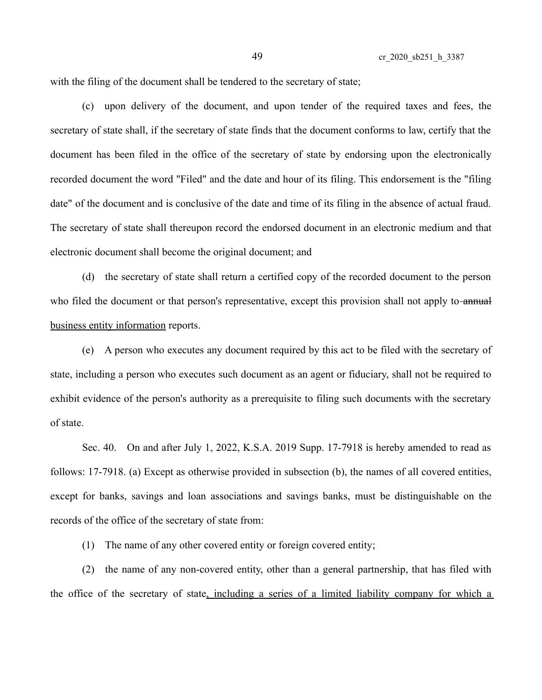with the filing of the document shall be tendered to the secretary of state;

(c) upon delivery of the document, and upon tender of the required taxes and fees, the secretary of state shall, if the secretary of state finds that the document conforms to law, certify that the document has been filed in the office of the secretary of state by endorsing upon the electronically recorded document the word "Filed" and the date and hour of its filing. This endorsement is the "filing date" of the document and is conclusive of the date and time of its filing in the absence of actual fraud. The secretary of state shall thereupon record the endorsed document in an electronic medium and that electronic document shall become the original document; and

(d) the secretary of state shall return a certified copy of the recorded document to the person who filed the document or that person's representative, except this provision shall not apply to-annual business entity information reports.

(e) A person who executes any document required by this act to be filed with the secretary of state, including a person who executes such document as an agent or fiduciary, shall not be required to exhibit evidence of the person's authority as a prerequisite to filing such documents with the secretary of state.

Sec. 40. On and after July 1, 2022, K.S.A. 2019 Supp. 17-7918 is hereby amended to read as follows: 17-7918. (a) Except as otherwise provided in subsection (b), the names of all covered entities, except for banks, savings and loan associations and savings banks, must be distinguishable on the records of the office of the secretary of state from:

(1) The name of any other covered entity or foreign covered entity;

(2) the name of any non-covered entity, other than a general partnership, that has filed with the office of the secretary of state, including a series of a limited liability company for which a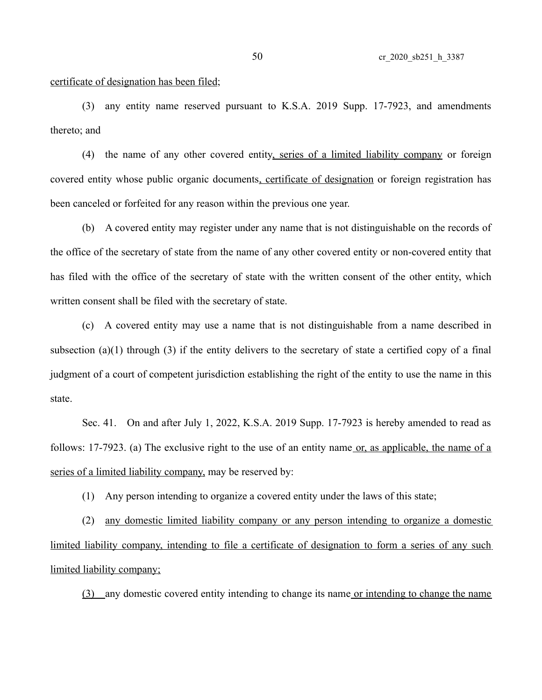certificate of designation has been filed;

(3) any entity name reserved pursuant to K.S.A. 2019 Supp. 17-7923, and amendments thereto; and

(4) the name of any other covered entity, series of a limited liability company or foreign covered entity whose public organic documents, certificate of designation or foreign registration has been canceled or forfeited for any reason within the previous one year.

(b) A covered entity may register under any name that is not distinguishable on the records of the office of the secretary of state from the name of any other covered entity or non-covered entity that has filed with the office of the secretary of state with the written consent of the other entity, which written consent shall be filed with the secretary of state.

(c) A covered entity may use a name that is not distinguishable from a name described in subsection (a)(1) through (3) if the entity delivers to the secretary of state a certified copy of a final judgment of a court of competent jurisdiction establishing the right of the entity to use the name in this state.

Sec. 41. On and after July 1, 2022, K.S.A. 2019 Supp. 17-7923 is hereby amended to read as follows: 17-7923. (a) The exclusive right to the use of an entity name or, as applicable, the name of a series of a limited liability company, may be reserved by:

(1) Any person intending to organize a covered entity under the laws of this state;

(2) any domestic limited liability company or any person intending to organize a domestic limited liability company, intending to file a certificate of designation to form a series of any such limited liability company;

(3) any domestic covered entity intending to change its name or intending to change the name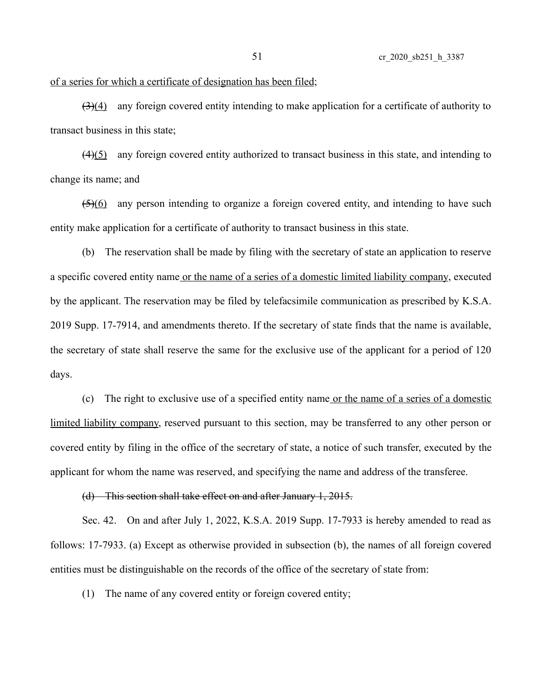## of a series for which a certificate of designation has been filed;

 $\left(\frac{3}{4}\right)$  any foreign covered entity intending to make application for a certificate of authority to transact business in this state;

 $(4)(5)$  any foreign covered entity authorized to transact business in this state, and intending to change its name; and

(5)(6) any person intending to organize a foreign covered entity, and intending to have such entity make application for a certificate of authority to transact business in this state.

(b) The reservation shall be made by filing with the secretary of state an application to reserve a specific covered entity name or the name of a series of a domestic limited liability company, executed by the applicant. The reservation may be filed by telefacsimile communication as prescribed by K.S.A. 2019 Supp. 17-7914, and amendments thereto. If the secretary of state finds that the name is available, the secretary of state shall reserve the same for the exclusive use of the applicant for a period of 120 days.

(c) The right to exclusive use of a specified entity name or the name of a series of a domestic limited liability company, reserved pursuant to this section, may be transferred to any other person or covered entity by filing in the office of the secretary of state, a notice of such transfer, executed by the applicant for whom the name was reserved, and specifying the name and address of the transferee.

## (d) This section shall take effect on and after January 1, 2015.

Sec. 42. On and after July 1, 2022, K.S.A. 2019 Supp. 17-7933 is hereby amended to read as follows: 17-7933. (a) Except as otherwise provided in subsection (b), the names of all foreign covered entities must be distinguishable on the records of the office of the secretary of state from:

(1) The name of any covered entity or foreign covered entity;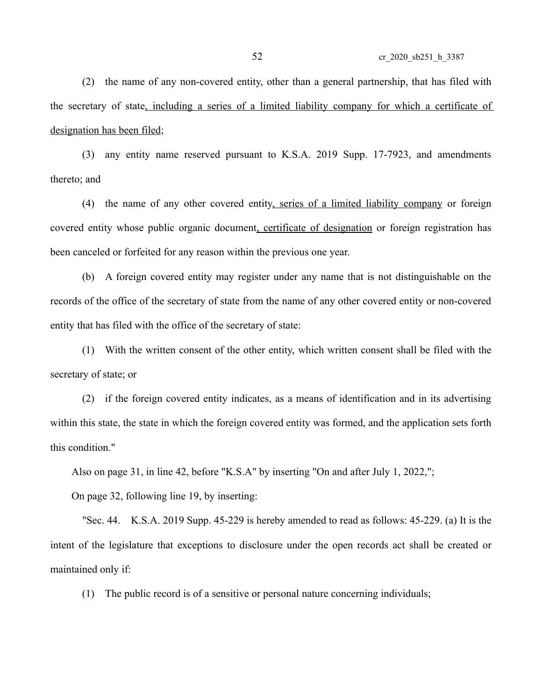(2) the name of any non-covered entity, other than a general partnership, that has filed with the secretary of state, including a series of a limited liability company for which a certificate of designation has been filed;

(3) any entity name reserved pursuant to K.S.A. 2019 Supp. 17-7923, and amendments thereto; and

(4) the name of any other covered entity, series of a limited liability company or foreign covered entity whose public organic document, certificate of designation or foreign registration has been canceled or forfeited for any reason within the previous one year.

(b) A foreign covered entity may register under any name that is not distinguishable on the records of the office of the secretary of state from the name of any other covered entity or non-covered entity that has filed with the office of the secretary of state:

(1) With the written consent of the other entity, which written consent shall be filed with the secretary of state; or

(2) if the foreign covered entity indicates, as a means of identification and in its advertising within this state, the state in which the foreign covered entity was formed, and the application sets forth this condition."

Also on page 31, in line 42, before "K.S.A" by inserting "On and after July 1, 2022,";

On page 32, following line 19, by inserting:

"Sec. 44. K.S.A. 2019 Supp. 45-229 is hereby amended to read as follows: 45-229. (a) It is the intent of the legislature that exceptions to disclosure under the open records act shall be created or maintained only if:

(1) The public record is of a sensitive or personal nature concerning individuals;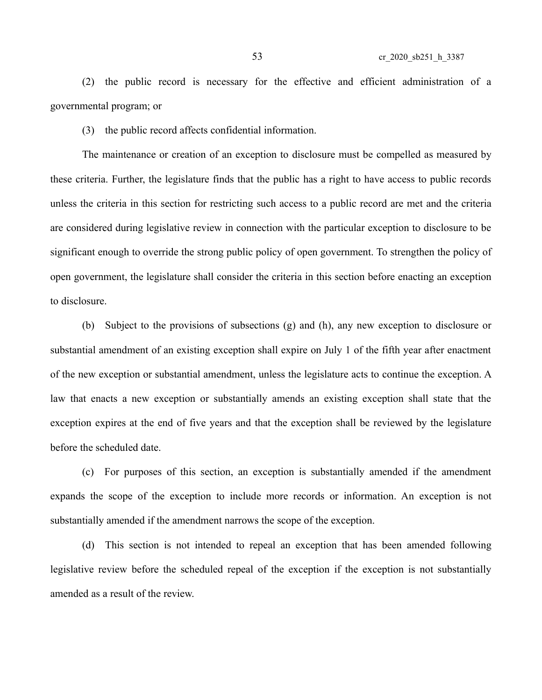(2) the public record is necessary for the effective and efficient administration of a governmental program; or

(3) the public record affects confidential information.

The maintenance or creation of an exception to disclosure must be compelled as measured by these criteria. Further, the legislature finds that the public has a right to have access to public records unless the criteria in this section for restricting such access to a public record are met and the criteria are considered during legislative review in connection with the particular exception to disclosure to be significant enough to override the strong public policy of open government. To strengthen the policy of open government, the legislature shall consider the criteria in this section before enacting an exception to disclosure.

(b) Subject to the provisions of subsections (g) and (h), any new exception to disclosure or substantial amendment of an existing exception shall expire on July 1 of the fifth year after enactment of the new exception or substantial amendment, unless the legislature acts to continue the exception. A law that enacts a new exception or substantially amends an existing exception shall state that the exception expires at the end of five years and that the exception shall be reviewed by the legislature before the scheduled date.

(c) For purposes of this section, an exception is substantially amended if the amendment expands the scope of the exception to include more records or information. An exception is not substantially amended if the amendment narrows the scope of the exception.

(d) This section is not intended to repeal an exception that has been amended following legislative review before the scheduled repeal of the exception if the exception is not substantially amended as a result of the review.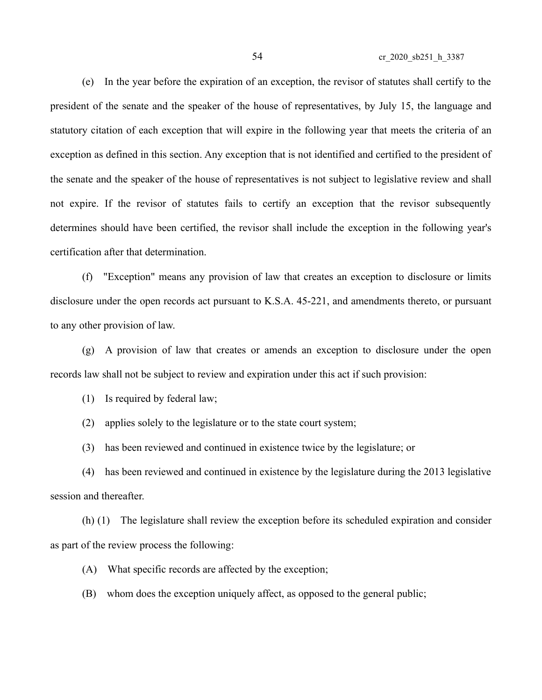(e) In the year before the expiration of an exception, the revisor of statutes shall certify to the president of the senate and the speaker of the house of representatives, by July 15, the language and statutory citation of each exception that will expire in the following year that meets the criteria of an exception as defined in this section. Any exception that is not identified and certified to the president of the senate and the speaker of the house of representatives is not subject to legislative review and shall not expire. If the revisor of statutes fails to certify an exception that the revisor subsequently determines should have been certified, the revisor shall include the exception in the following year's certification after that determination.

(f) "Exception" means any provision of law that creates an exception to disclosure or limits disclosure under the open records act pursuant to K.S.A. 45-221, and amendments thereto, or pursuant to any other provision of law.

(g) A provision of law that creates or amends an exception to disclosure under the open records law shall not be subject to review and expiration under this act if such provision:

(1) Is required by federal law;

(2) applies solely to the legislature or to the state court system;

(3) has been reviewed and continued in existence twice by the legislature; or

(4) has been reviewed and continued in existence by the legislature during the 2013 legislative session and thereafter.

(h) (1) The legislature shall review the exception before its scheduled expiration and consider as part of the review process the following:

(A) What specific records are affected by the exception;

(B) whom does the exception uniquely affect, as opposed to the general public;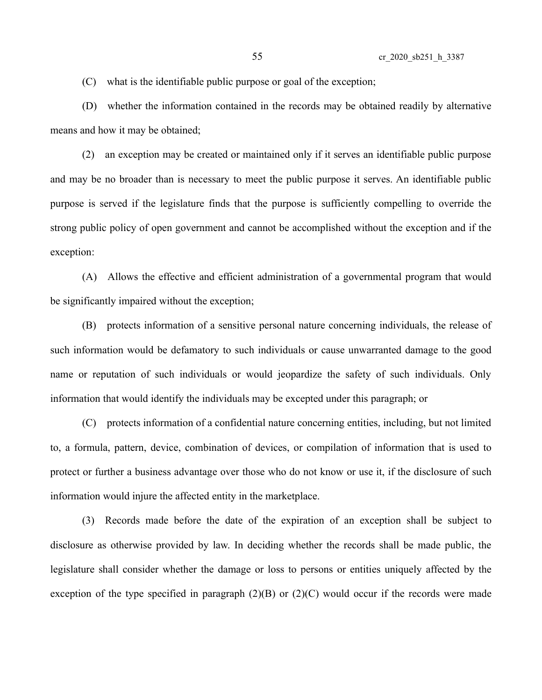(C) what is the identifiable public purpose or goal of the exception;

(D) whether the information contained in the records may be obtained readily by alternative means and how it may be obtained;

(2) an exception may be created or maintained only if it serves an identifiable public purpose and may be no broader than is necessary to meet the public purpose it serves. An identifiable public purpose is served if the legislature finds that the purpose is sufficiently compelling to override the strong public policy of open government and cannot be accomplished without the exception and if the exception:

(A) Allows the effective and efficient administration of a governmental program that would be significantly impaired without the exception;

(B) protects information of a sensitive personal nature concerning individuals, the release of such information would be defamatory to such individuals or cause unwarranted damage to the good name or reputation of such individuals or would jeopardize the safety of such individuals. Only information that would identify the individuals may be excepted under this paragraph; or

(C) protects information of a confidential nature concerning entities, including, but not limited to, a formula, pattern, device, combination of devices, or compilation of information that is used to protect or further a business advantage over those who do not know or use it, if the disclosure of such information would injure the affected entity in the marketplace.

(3) Records made before the date of the expiration of an exception shall be subject to disclosure as otherwise provided by law. In deciding whether the records shall be made public, the legislature shall consider whether the damage or loss to persons or entities uniquely affected by the exception of the type specified in paragraph  $(2)(B)$  or  $(2)(C)$  would occur if the records were made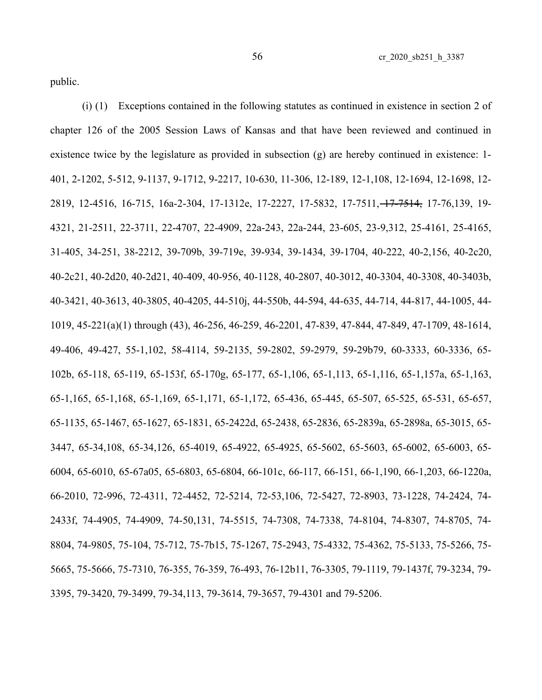public.

(i) (1) Exceptions contained in the following statutes as continued in existence in section 2 of chapter 126 of the 2005 Session Laws of Kansas and that have been reviewed and continued in existence twice by the legislature as provided in subsection (g) are hereby continued in existence: 1- 401, 2-1202, 5-512, 9-1137, 9-1712, 9-2217, 10-630, 11-306, 12-189, 12-1,108, 12-1694, 12-1698, 12- 2819, 12-4516, 16-715, 16a-2-304, 17-1312e, 17-2227, 17-5832, 17-7511, 17-7514, 17-76,139, 19- 4321, 21-2511, 22-3711, 22-4707, 22-4909, 22a-243, 22a-244, 23-605, 23-9,312, 25-4161, 25-4165, 31-405, 34-251, 38-2212, 39-709b, 39-719e, 39-934, 39-1434, 39-1704, 40-222, 40-2,156, 40-2c20, 40-2c21, 40-2d20, 40-2d21, 40-409, 40-956, 40-1128, 40-2807, 40-3012, 40-3304, 40-3308, 40-3403b, 40-3421, 40-3613, 40-3805, 40-4205, 44-510j, 44-550b, 44-594, 44-635, 44-714, 44-817, 44-1005, 44- 1019, 45-221(a)(1) through (43), 46-256, 46-259, 46-2201, 47-839, 47-844, 47-849, 47-1709, 48-1614, 49-406, 49-427, 55-1,102, 58-4114, 59-2135, 59-2802, 59-2979, 59-29b79, 60-3333, 60-3336, 65- 102b, 65-118, 65-119, 65-153f, 65-170g, 65-177, 65-1,106, 65-1,113, 65-1,116, 65-1,157a, 65-1,163, 65-1,165, 65-1,168, 65-1,169, 65-1,171, 65-1,172, 65-436, 65-445, 65-507, 65-525, 65-531, 65-657, 65-1135, 65-1467, 65-1627, 65-1831, 65-2422d, 65-2438, 65-2836, 65-2839a, 65-2898a, 65-3015, 65- 3447, 65-34,108, 65-34,126, 65-4019, 65-4922, 65-4925, 65-5602, 65-5603, 65-6002, 65-6003, 65- 6004, 65-6010, 65-67a05, 65-6803, 65-6804, 66-101c, 66-117, 66-151, 66-1,190, 66-1,203, 66-1220a, 66-2010, 72-996, 72-4311, 72-4452, 72-5214, 72-53,106, 72-5427, 72-8903, 73-1228, 74-2424, 74- 2433f, 74-4905, 74-4909, 74-50,131, 74-5515, 74-7308, 74-7338, 74-8104, 74-8307, 74-8705, 74- 8804, 74-9805, 75-104, 75-712, 75-7b15, 75-1267, 75-2943, 75-4332, 75-4362, 75-5133, 75-5266, 75- 5665, 75-5666, 75-7310, 76-355, 76-359, 76-493, 76-12b11, 76-3305, 79-1119, 79-1437f, 79-3234, 79- 3395, 79-3420, 79-3499, 79-34,113, 79-3614, 79-3657, 79-4301 and 79-5206.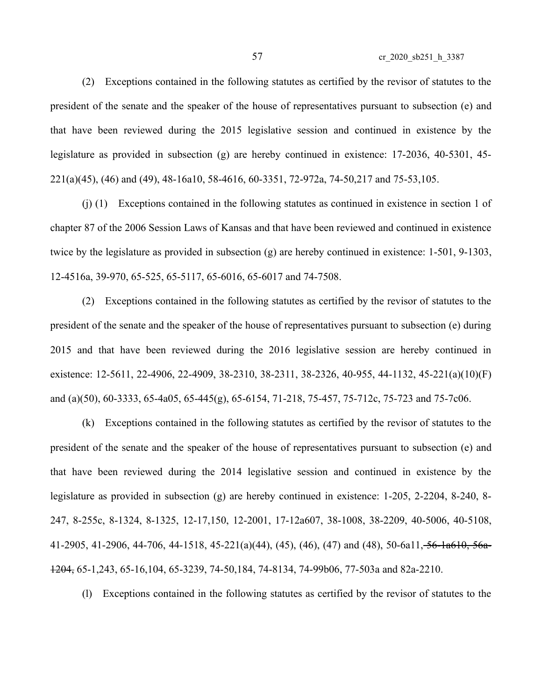(2) Exceptions contained in the following statutes as certified by the revisor of statutes to the president of the senate and the speaker of the house of representatives pursuant to subsection (e) and that have been reviewed during the 2015 legislative session and continued in existence by the legislature as provided in subsection (g) are hereby continued in existence: 17-2036, 40-5301, 45- 221(a)(45), (46) and (49), 48-16a10, 58-4616, 60-3351, 72-972a, 74-50,217 and 75-53,105.

(j) (1) Exceptions contained in the following statutes as continued in existence in section 1 of chapter 87 of the 2006 Session Laws of Kansas and that have been reviewed and continued in existence twice by the legislature as provided in subsection (g) are hereby continued in existence: 1-501, 9-1303, 12-4516a, 39-970, 65-525, 65-5117, 65-6016, 65-6017 and 74-7508.

(2) Exceptions contained in the following statutes as certified by the revisor of statutes to the president of the senate and the speaker of the house of representatives pursuant to subsection (e) during 2015 and that have been reviewed during the 2016 legislative session are hereby continued in existence: 12-5611, 22-4906, 22-4909, 38-2310, 38-2311, 38-2326, 40-955, 44-1132, 45-221(a)(10)(F) and (a)(50), 60-3333, 65-4a05, 65-445(g), 65-6154, 71-218, 75-457, 75-712c, 75-723 and 75-7c06.

(k) Exceptions contained in the following statutes as certified by the revisor of statutes to the president of the senate and the speaker of the house of representatives pursuant to subsection (e) and that have been reviewed during the 2014 legislative session and continued in existence by the legislature as provided in subsection (g) are hereby continued in existence: 1-205, 2-2204, 8-240, 8- 247, 8-255c, 8-1324, 8-1325, 12-17,150, 12-2001, 17-12a607, 38-1008, 38-2209, 40-5006, 40-5108, 41-2905, 41-2906, 44-706, 44-1518, 45-221(a)(44), (45), (46), (47) and (48), 50-6a11, 56-1a610, 56a-1204, 65-1,243, 65-16,104, 65-3239, 74-50,184, 74-8134, 74-99b06, 77-503a and 82a-2210.

(l) Exceptions contained in the following statutes as certified by the revisor of statutes to the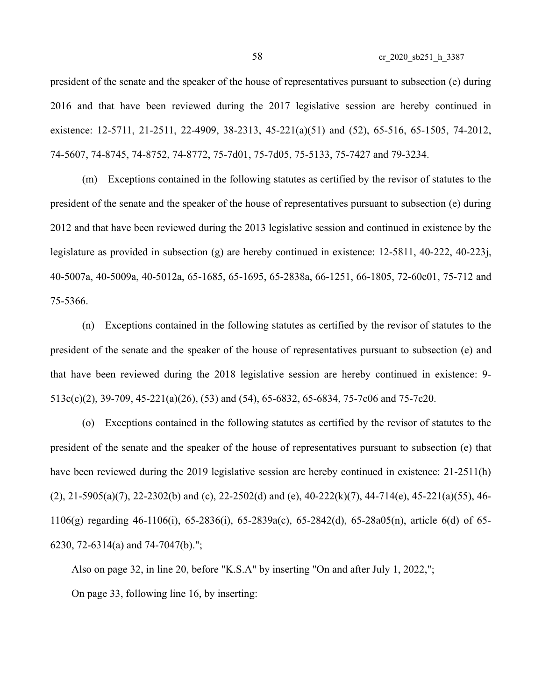president of the senate and the speaker of the house of representatives pursuant to subsection (e) during 2016 and that have been reviewed during the 2017 legislative session are hereby continued in existence: 12-5711, 21-2511, 22-4909, 38-2313, 45-221(a)(51) and (52), 65-516, 65-1505, 74-2012, 74-5607, 74-8745, 74-8752, 74-8772, 75-7d01, 75-7d05, 75-5133, 75-7427 and 79-3234.

(m) Exceptions contained in the following statutes as certified by the revisor of statutes to the president of the senate and the speaker of the house of representatives pursuant to subsection (e) during 2012 and that have been reviewed during the 2013 legislative session and continued in existence by the legislature as provided in subsection (g) are hereby continued in existence: 12-5811, 40-222, 40-223j, 40-5007a, 40-5009a, 40-5012a, 65-1685, 65-1695, 65-2838a, 66-1251, 66-1805, 72-60c01, 75-712 and 75-5366.

(n) Exceptions contained in the following statutes as certified by the revisor of statutes to the president of the senate and the speaker of the house of representatives pursuant to subsection (e) and that have been reviewed during the 2018 legislative session are hereby continued in existence: 9- 513c(c)(2), 39-709, 45-221(a)(26), (53) and (54), 65-6832, 65-6834, 75-7c06 and 75-7c20.

(o) Exceptions contained in the following statutes as certified by the revisor of statutes to the president of the senate and the speaker of the house of representatives pursuant to subsection (e) that have been reviewed during the 2019 legislative session are hereby continued in existence: 21-2511(h)  $(2)$ , 21-5905(a)(7), 22-2302(b) and (c), 22-2502(d) and (e), 40-222(k)(7), 44-714(e), 45-221(a)(55), 46-1106(g) regarding 46-1106(i), 65-2836(i), 65-2839a(c), 65-2842(d), 65-28a05(n), article 6(d) of 65- 6230, 72-6314(a) and 74-7047(b).";

Also on page 32, in line 20, before "K.S.A" by inserting "On and after July 1, 2022,";

On page 33, following line 16, by inserting: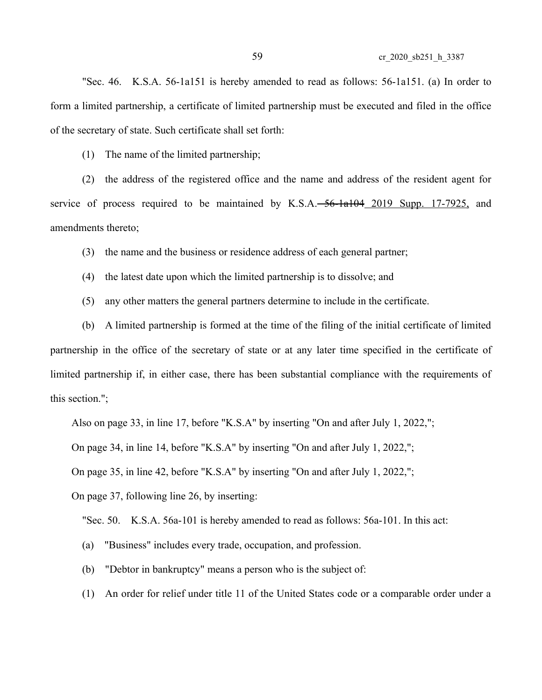"Sec. 46. K.S.A. 56-1a151 is hereby amended to read as follows: 56-1a151. (a) In order to form a limited partnership, a certificate of limited partnership must be executed and filed in the office of the secretary of state. Such certificate shall set forth:

(1) The name of the limited partnership;

(2) the address of the registered office and the name and address of the resident agent for service of process required to be maintained by  $K.S.A. -56-1a104 - 2019$  Supp. 17-7925, and amendments thereto;

(3) the name and the business or residence address of each general partner;

(4) the latest date upon which the limited partnership is to dissolve; and

(5) any other matters the general partners determine to include in the certificate.

(b) A limited partnership is formed at the time of the filing of the initial certificate of limited partnership in the office of the secretary of state or at any later time specified in the certificate of limited partnership if, in either case, there has been substantial compliance with the requirements of this section.";

Also on page 33, in line 17, before "K.S.A" by inserting "On and after July 1, 2022,";

On page 34, in line 14, before "K.S.A" by inserting "On and after July 1, 2022,";

On page 35, in line 42, before "K.S.A" by inserting "On and after July 1, 2022,";

On page 37, following line 26, by inserting:

"Sec. 50. K.S.A. 56a-101 is hereby amended to read as follows: 56a-101. In this act:

- (a) "Business" includes every trade, occupation, and profession.
- (b) "Debtor in bankruptcy" means a person who is the subject of:
- (1) An order for relief under title 11 of the United States code or a comparable order under a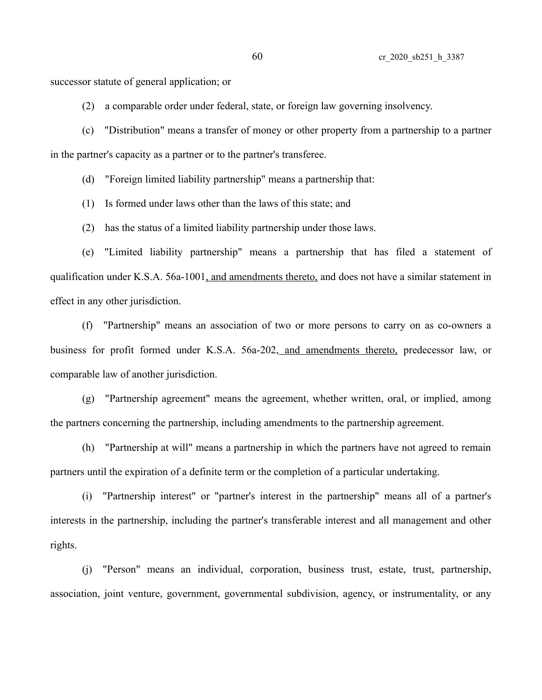successor statute of general application; or

(2) a comparable order under federal, state, or foreign law governing insolvency.

(c) "Distribution" means a transfer of money or other property from a partnership to a partner in the partner's capacity as a partner or to the partner's transferee.

(d) "Foreign limited liability partnership" means a partnership that:

(1) Is formed under laws other than the laws of this state; and

(2) has the status of a limited liability partnership under those laws.

(e) "Limited liability partnership" means a partnership that has filed a statement of qualification under K.S.A. 56a-1001, and amendments thereto, and does not have a similar statement in effect in any other jurisdiction.

(f) "Partnership" means an association of two or more persons to carry on as co-owners a business for profit formed under K.S.A. 56a-202, and amendments thereto, predecessor law, or comparable law of another jurisdiction.

(g) "Partnership agreement" means the agreement, whether written, oral, or implied, among the partners concerning the partnership, including amendments to the partnership agreement.

(h) "Partnership at will" means a partnership in which the partners have not agreed to remain partners until the expiration of a definite term or the completion of a particular undertaking.

(i) "Partnership interest" or "partner's interest in the partnership" means all of a partner's interests in the partnership, including the partner's transferable interest and all management and other rights.

(j) "Person" means an individual, corporation, business trust, estate, trust, partnership, association, joint venture, government, governmental subdivision, agency, or instrumentality, or any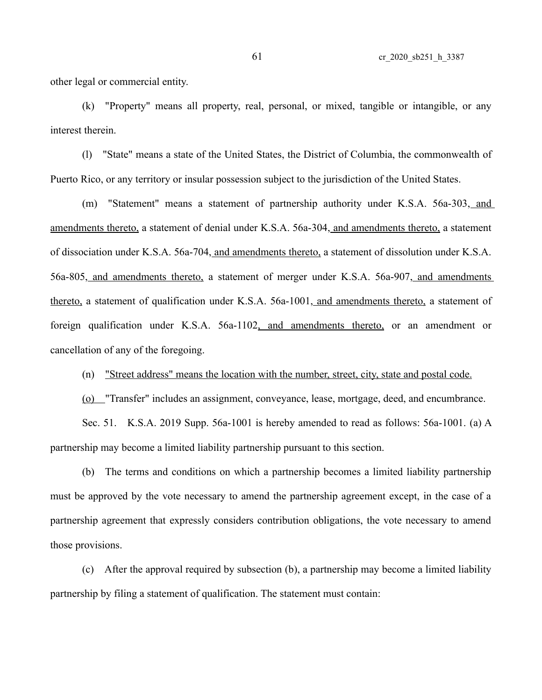other legal or commercial entity.

(k) "Property" means all property, real, personal, or mixed, tangible or intangible, or any interest therein.

(l) "State" means a state of the United States, the District of Columbia, the commonwealth of Puerto Rico, or any territory or insular possession subject to the jurisdiction of the United States.

(m) "Statement" means a statement of partnership authority under K.S.A. 56a-303, and amendments thereto, a statement of denial under K.S.A. 56a-304, and amendments thereto, a statement of dissociation under K.S.A. 56a-704, and amendments thereto, a statement of dissolution under K.S.A. 56a-805, and amendments thereto, a statement of merger under K.S.A. 56a-907, and amendments thereto, a statement of qualification under K.S.A. 56a-1001, and amendments thereto, a statement of foreign qualification under K.S.A. 56a-1102, and amendments thereto, or an amendment or cancellation of any of the foregoing.

(n) "Street address" means the location with the number, street, city, state and postal code.

(o) "Transfer" includes an assignment, conveyance, lease, mortgage, deed, and encumbrance.

Sec. 51. K.S.A. 2019 Supp. 56a-1001 is hereby amended to read as follows: 56a-1001. (a) A partnership may become a limited liability partnership pursuant to this section.

(b) The terms and conditions on which a partnership becomes a limited liability partnership must be approved by the vote necessary to amend the partnership agreement except, in the case of a partnership agreement that expressly considers contribution obligations, the vote necessary to amend those provisions.

(c) After the approval required by subsection (b), a partnership may become a limited liability partnership by filing a statement of qualification. The statement must contain: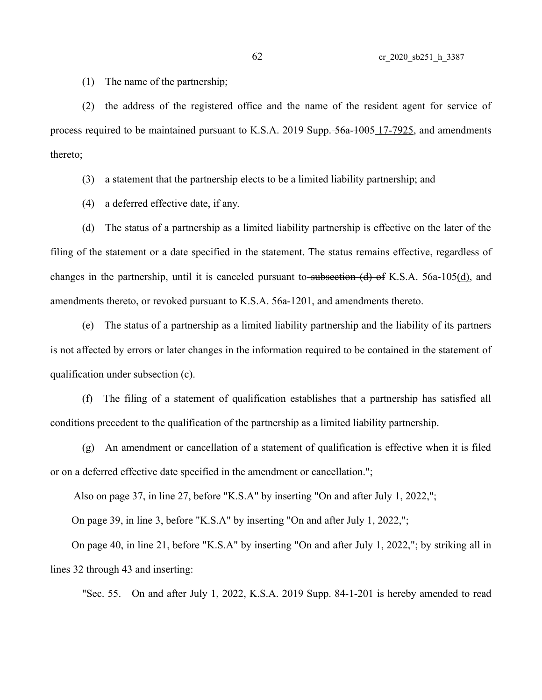(1) The name of the partnership;

(2) the address of the registered office and the name of the resident agent for service of process required to be maintained pursuant to K.S.A. 2019 Supp.  $\frac{56a - 1005}{17}$ -7925, and amendments thereto;

(3) a statement that the partnership elects to be a limited liability partnership; and

(4) a deferred effective date, if any.

(d) The status of a partnership as a limited liability partnership is effective on the later of the filing of the statement or a date specified in the statement. The status remains effective, regardless of changes in the partnership, until it is canceled pursuant to-subsection  $(d)$  of K.S.A. 56a-105 $(d)$ , and amendments thereto, or revoked pursuant to K.S.A. 56a-1201, and amendments thereto.

(e) The status of a partnership as a limited liability partnership and the liability of its partners is not affected by errors or later changes in the information required to be contained in the statement of qualification under subsection (c).

(f) The filing of a statement of qualification establishes that a partnership has satisfied all conditions precedent to the qualification of the partnership as a limited liability partnership.

(g) An amendment or cancellation of a statement of qualification is effective when it is filed or on a deferred effective date specified in the amendment or cancellation.";

Also on page 37, in line 27, before "K.S.A" by inserting "On and after July 1, 2022,";

On page 39, in line 3, before "K.S.A" by inserting "On and after July 1, 2022,";

On page 40, in line 21, before "K.S.A" by inserting "On and after July 1, 2022,"; by striking all in lines 32 through 43 and inserting:

"Sec. 55. On and after July 1, 2022, K.S.A. 2019 Supp. 84-1-201 is hereby amended to read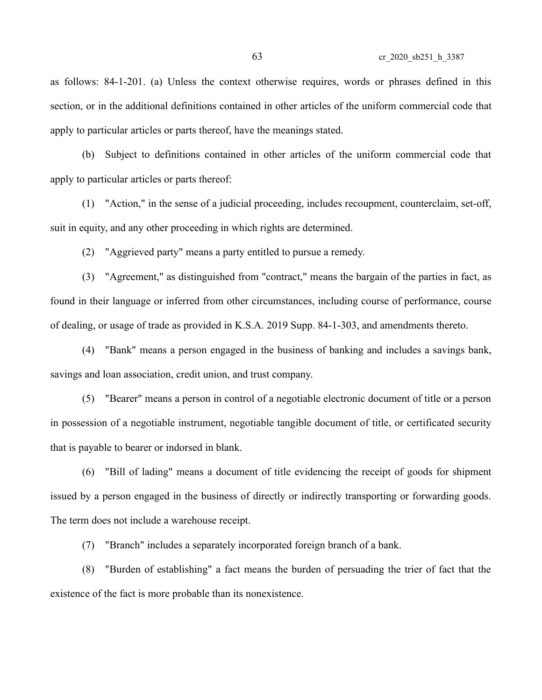as follows: 84-1-201. (a) Unless the context otherwise requires, words or phrases defined in this section, or in the additional definitions contained in other articles of the uniform commercial code that apply to particular articles or parts thereof, have the meanings stated.

(b) Subject to definitions contained in other articles of the uniform commercial code that apply to particular articles or parts thereof:

(1) "Action," in the sense of a judicial proceeding, includes recoupment, counterclaim, set-off, suit in equity, and any other proceeding in which rights are determined.

(2) "Aggrieved party" means a party entitled to pursue a remedy.

(3) "Agreement," as distinguished from "contract," means the bargain of the parties in fact, as found in their language or inferred from other circumstances, including course of performance, course of dealing, or usage of trade as provided in K.S.A. 2019 Supp. 84-1-303, and amendments thereto.

(4) "Bank" means a person engaged in the business of banking and includes a savings bank, savings and loan association, credit union, and trust company.

(5) "Bearer" means a person in control of a negotiable electronic document of title or a person in possession of a negotiable instrument, negotiable tangible document of title, or certificated security that is payable to bearer or indorsed in blank.

(6) "Bill of lading" means a document of title evidencing the receipt of goods for shipment issued by a person engaged in the business of directly or indirectly transporting or forwarding goods. The term does not include a warehouse receipt.

(7) "Branch" includes a separately incorporated foreign branch of a bank.

(8) "Burden of establishing" a fact means the burden of persuading the trier of fact that the existence of the fact is more probable than its nonexistence.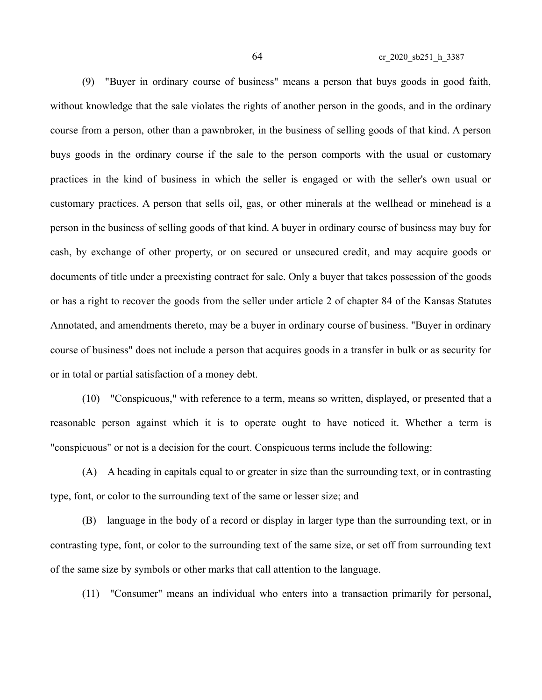(9) "Buyer in ordinary course of business" means a person that buys goods in good faith, without knowledge that the sale violates the rights of another person in the goods, and in the ordinary course from a person, other than a pawnbroker, in the business of selling goods of that kind. A person buys goods in the ordinary course if the sale to the person comports with the usual or customary practices in the kind of business in which the seller is engaged or with the seller's own usual or customary practices. A person that sells oil, gas, or other minerals at the wellhead or minehead is a person in the business of selling goods of that kind. A buyer in ordinary course of business may buy for cash, by exchange of other property, or on secured or unsecured credit, and may acquire goods or documents of title under a preexisting contract for sale. Only a buyer that takes possession of the goods or has a right to recover the goods from the seller under article 2 of chapter 84 of the Kansas Statutes Annotated, and amendments thereto, may be a buyer in ordinary course of business. "Buyer in ordinary course of business" does not include a person that acquires goods in a transfer in bulk or as security for or in total or partial satisfaction of a money debt.

(10) "Conspicuous," with reference to a term, means so written, displayed, or presented that a reasonable person against which it is to operate ought to have noticed it. Whether a term is "conspicuous" or not is a decision for the court. Conspicuous terms include the following:

(A) A heading in capitals equal to or greater in size than the surrounding text, or in contrasting type, font, or color to the surrounding text of the same or lesser size; and

(B) language in the body of a record or display in larger type than the surrounding text, or in contrasting type, font, or color to the surrounding text of the same size, or set off from surrounding text of the same size by symbols or other marks that call attention to the language.

(11) "Consumer" means an individual who enters into a transaction primarily for personal,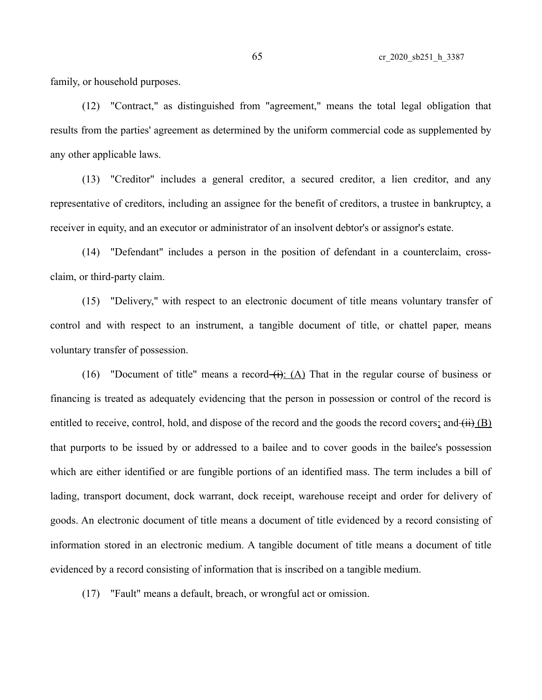family, or household purposes.

(12) "Contract," as distinguished from "agreement," means the total legal obligation that results from the parties' agreement as determined by the uniform commercial code as supplemented by any other applicable laws.

(13) "Creditor" includes a general creditor, a secured creditor, a lien creditor, and any representative of creditors, including an assignee for the benefit of creditors, a trustee in bankruptcy, a receiver in equity, and an executor or administrator of an insolvent debtor's or assignor's estate.

(14) "Defendant" includes a person in the position of defendant in a counterclaim, crossclaim, or third-party claim.

(15) "Delivery," with respect to an electronic document of title means voluntary transfer of control and with respect to an instrument, a tangible document of title, or chattel paper, means voluntary transfer of possession.

(16) "Document of title" means a record- $\overrightarrow{(i)}$ : (A) That in the regular course of business or financing is treated as adequately evidencing that the person in possession or control of the record is entitled to receive, control, hold, and dispose of the record and the goods the record covers; and  $\overline{(ii)}$  (B) that purports to be issued by or addressed to a bailee and to cover goods in the bailee's possession which are either identified or are fungible portions of an identified mass. The term includes a bill of lading, transport document, dock warrant, dock receipt, warehouse receipt and order for delivery of goods. An electronic document of title means a document of title evidenced by a record consisting of information stored in an electronic medium. A tangible document of title means a document of title evidenced by a record consisting of information that is inscribed on a tangible medium.

(17) "Fault" means a default, breach, or wrongful act or omission.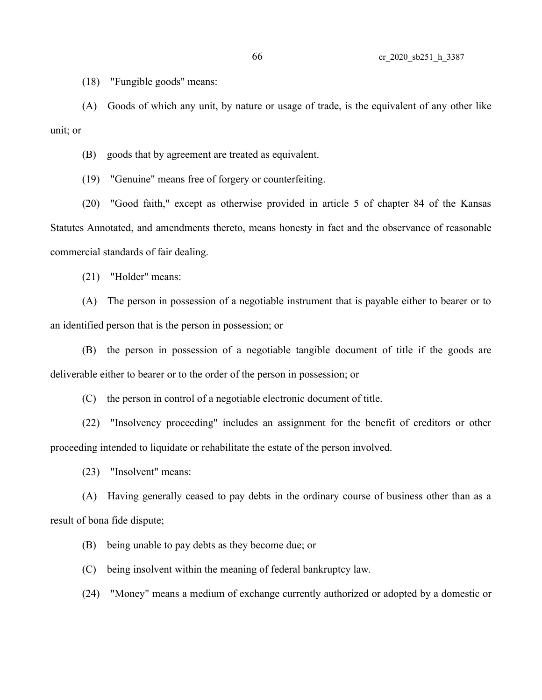(18) "Fungible goods" means:

(A) Goods of which any unit, by nature or usage of trade, is the equivalent of any other like unit; or

(B) goods that by agreement are treated as equivalent.

(19) "Genuine" means free of forgery or counterfeiting.

(20) "Good faith," except as otherwise provided in article 5 of chapter 84 of the Kansas Statutes Annotated, and amendments thereto, means honesty in fact and the observance of reasonable commercial standards of fair dealing.

(21) "Holder" means:

(A) The person in possession of a negotiable instrument that is payable either to bearer or to an identified person that is the person in possession; or

(B) the person in possession of a negotiable tangible document of title if the goods are deliverable either to bearer or to the order of the person in possession; or

(C) the person in control of a negotiable electronic document of title.

(22) "Insolvency proceeding" includes an assignment for the benefit of creditors or other proceeding intended to liquidate or rehabilitate the estate of the person involved.

(23) "Insolvent" means:

(A) Having generally ceased to pay debts in the ordinary course of business other than as a result of bona fide dispute;

(B) being unable to pay debts as they become due; or

(C) being insolvent within the meaning of federal bankruptcy law.

(24) "Money" means a medium of exchange currently authorized or adopted by a domestic or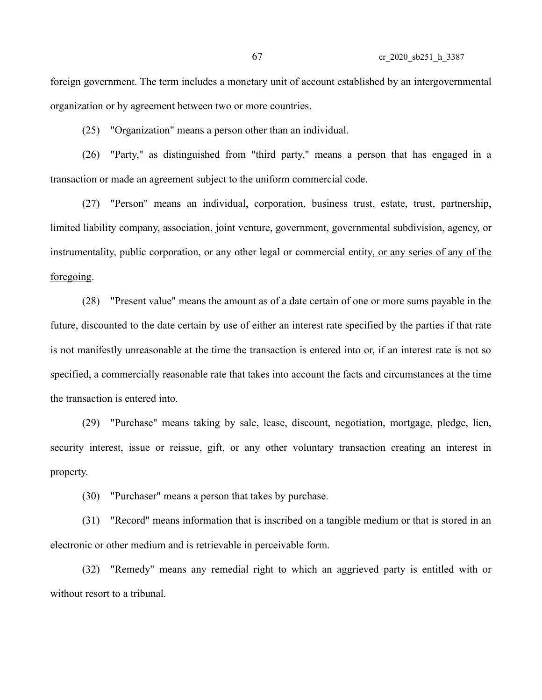foreign government. The term includes a monetary unit of account established by an intergovernmental organization or by agreement between two or more countries.

(25) "Organization" means a person other than an individual.

(26) "Party," as distinguished from "third party," means a person that has engaged in a transaction or made an agreement subject to the uniform commercial code.

(27) "Person" means an individual, corporation, business trust, estate, trust, partnership, limited liability company, association, joint venture, government, governmental subdivision, agency, or instrumentality, public corporation, or any other legal or commercial entity, or any series of any of the foregoing.

(28) "Present value" means the amount as of a date certain of one or more sums payable in the future, discounted to the date certain by use of either an interest rate specified by the parties if that rate is not manifestly unreasonable at the time the transaction is entered into or, if an interest rate is not so specified, a commercially reasonable rate that takes into account the facts and circumstances at the time the transaction is entered into.

(29) "Purchase" means taking by sale, lease, discount, negotiation, mortgage, pledge, lien, security interest, issue or reissue, gift, or any other voluntary transaction creating an interest in property.

(30) "Purchaser" means a person that takes by purchase.

(31) "Record" means information that is inscribed on a tangible medium or that is stored in an electronic or other medium and is retrievable in perceivable form.

(32) "Remedy" means any remedial right to which an aggrieved party is entitled with or without resort to a tribunal.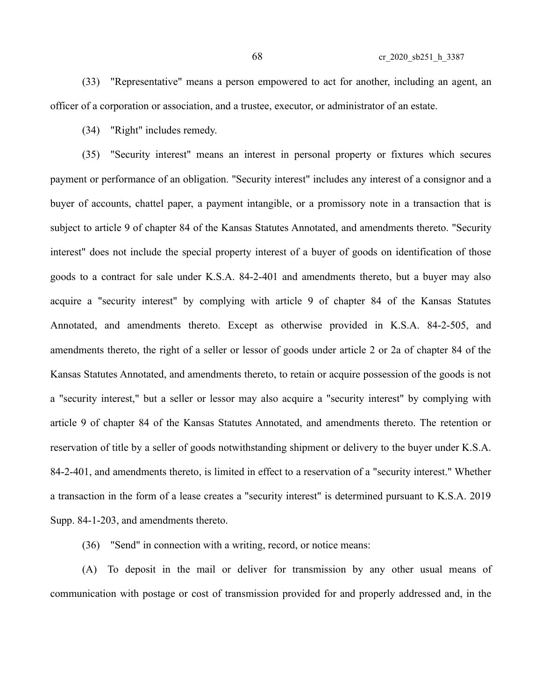(33) "Representative" means a person empowered to act for another, including an agent, an officer of a corporation or association, and a trustee, executor, or administrator of an estate.

(34) "Right" includes remedy.

(35) "Security interest" means an interest in personal property or fixtures which secures payment or performance of an obligation. "Security interest" includes any interest of a consignor and a buyer of accounts, chattel paper, a payment intangible, or a promissory note in a transaction that is subject to article 9 of chapter 84 of the Kansas Statutes Annotated, and amendments thereto. "Security interest" does not include the special property interest of a buyer of goods on identification of those goods to a contract for sale under K.S.A. 84-2-401 and amendments thereto, but a buyer may also acquire a "security interest" by complying with article 9 of chapter 84 of the Kansas Statutes Annotated, and amendments thereto. Except as otherwise provided in K.S.A. 84-2-505, and amendments thereto, the right of a seller or lessor of goods under article 2 or 2a of chapter 84 of the Kansas Statutes Annotated, and amendments thereto, to retain or acquire possession of the goods is not a "security interest," but a seller or lessor may also acquire a "security interest" by complying with article 9 of chapter 84 of the Kansas Statutes Annotated, and amendments thereto. The retention or reservation of title by a seller of goods notwithstanding shipment or delivery to the buyer under K.S.A. 84-2-401, and amendments thereto, is limited in effect to a reservation of a "security interest." Whether a transaction in the form of a lease creates a "security interest" is determined pursuant to K.S.A. 2019 Supp. 84-1-203, and amendments thereto.

(36) "Send" in connection with a writing, record, or notice means:

(A) To deposit in the mail or deliver for transmission by any other usual means of communication with postage or cost of transmission provided for and properly addressed and, in the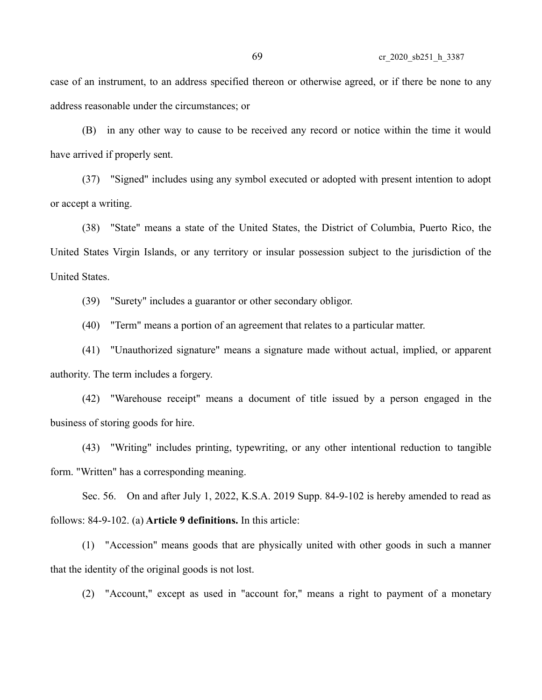case of an instrument, to an address specified thereon or otherwise agreed, or if there be none to any address reasonable under the circumstances; or

(B) in any other way to cause to be received any record or notice within the time it would have arrived if properly sent.

(37) "Signed" includes using any symbol executed or adopted with present intention to adopt or accept a writing.

(38) "State" means a state of the United States, the District of Columbia, Puerto Rico, the United States Virgin Islands, or any territory or insular possession subject to the jurisdiction of the United States.

(39) "Surety" includes a guarantor or other secondary obligor.

(40) "Term" means a portion of an agreement that relates to a particular matter.

(41) "Unauthorized signature" means a signature made without actual, implied, or apparent authority. The term includes a forgery.

(42) "Warehouse receipt" means a document of title issued by a person engaged in the business of storing goods for hire.

(43) "Writing" includes printing, typewriting, or any other intentional reduction to tangible form. "Written" has a corresponding meaning.

Sec. 56. On and after July 1, 2022, K.S.A. 2019 Supp. 84-9-102 is hereby amended to read as follows: 84-9-102. (a) **Article 9 definitions.** In this article:

(1) "Accession" means goods that are physically united with other goods in such a manner that the identity of the original goods is not lost.

(2) "Account," except as used in "account for," means a right to payment of a monetary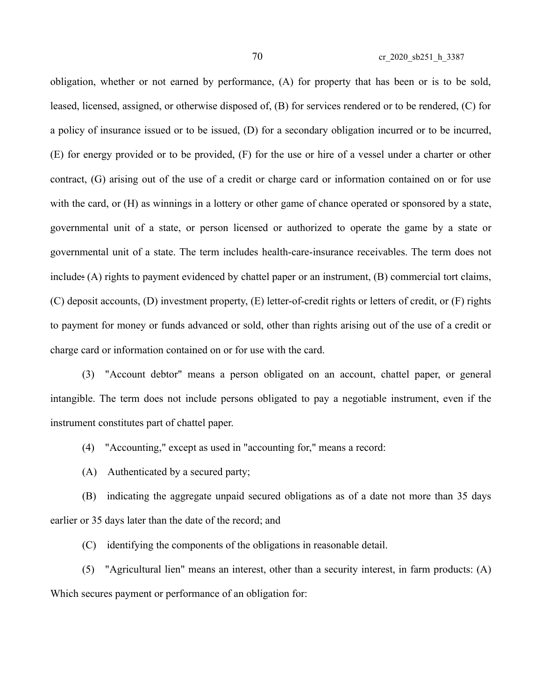obligation, whether or not earned by performance, (A) for property that has been or is to be sold, leased, licensed, assigned, or otherwise disposed of, (B) for services rendered or to be rendered, (C) for a policy of insurance issued or to be issued, (D) for a secondary obligation incurred or to be incurred, (E) for energy provided or to be provided, (F) for the use or hire of a vessel under a charter or other contract, (G) arising out of the use of a credit or charge card or information contained on or for use with the card, or  $(H)$  as winnings in a lottery or other game of chance operated or sponsored by a state, governmental unit of a state, or person licensed or authorized to operate the game by a state or governmental unit of a state. The term includes health-care-insurance receivables. The term does not include: (A) rights to payment evidenced by chattel paper or an instrument, (B) commercial tort claims, (C) deposit accounts, (D) investment property, (E) letter-of-credit rights or letters of credit, or (F) rights to payment for money or funds advanced or sold, other than rights arising out of the use of a credit or charge card or information contained on or for use with the card.

(3) "Account debtor" means a person obligated on an account, chattel paper, or general intangible. The term does not include persons obligated to pay a negotiable instrument, even if the instrument constitutes part of chattel paper.

(4) "Accounting," except as used in "accounting for," means a record:

(A) Authenticated by a secured party;

(B) indicating the aggregate unpaid secured obligations as of a date not more than 35 days earlier or 35 days later than the date of the record; and

(C) identifying the components of the obligations in reasonable detail.

(5) "Agricultural lien" means an interest, other than a security interest, in farm products: (A) Which secures payment or performance of an obligation for: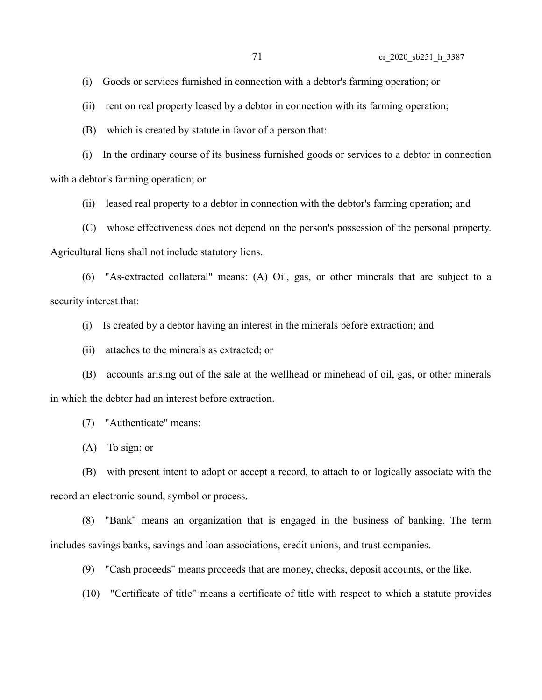(i) Goods or services furnished in connection with a debtor's farming operation; or

(ii) rent on real property leased by a debtor in connection with its farming operation;

(B) which is created by statute in favor of a person that:

(i) In the ordinary course of its business furnished goods or services to a debtor in connection with a debtor's farming operation; or

(ii) leased real property to a debtor in connection with the debtor's farming operation; and

(C) whose effectiveness does not depend on the person's possession of the personal property.

Agricultural liens shall not include statutory liens.

(6) "As-extracted collateral" means: (A) Oil, gas, or other minerals that are subject to a security interest that:

(i) Is created by a debtor having an interest in the minerals before extraction; and

(ii) attaches to the minerals as extracted; or

(B) accounts arising out of the sale at the wellhead or minehead of oil, gas, or other minerals in which the debtor had an interest before extraction.

(7) "Authenticate" means:

(A) To sign; or

(B) with present intent to adopt or accept a record, to attach to or logically associate with the record an electronic sound, symbol or process.

(8) "Bank" means an organization that is engaged in the business of banking. The term includes savings banks, savings and loan associations, credit unions, and trust companies.

(9) "Cash proceeds" means proceeds that are money, checks, deposit accounts, or the like.

(10) "Certificate of title" means a certificate of title with respect to which a statute provides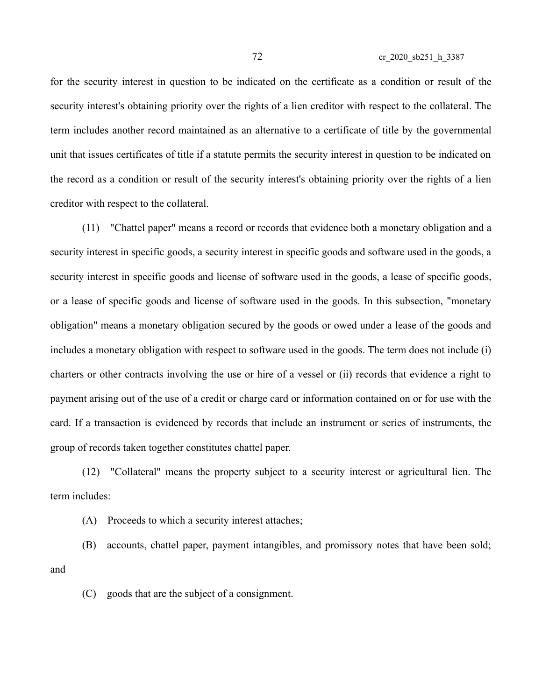for the security interest in question to be indicated on the certificate as a condition or result of the security interest's obtaining priority over the rights of a lien creditor with respect to the collateral. The term includes another record maintained as an alternative to a certificate of title by the governmental unit that issues certificates of title if a statute permits the security interest in question to be indicated on the record as a condition or result of the security interest's obtaining priority over the rights of a lien creditor with respect to the collateral.

(11) "Chattel paper" means a record or records that evidence both a monetary obligation and a security interest in specific goods, a security interest in specific goods and software used in the goods, a security interest in specific goods and license of software used in the goods, a lease of specific goods, or a lease of specific goods and license of software used in the goods. In this subsection, "monetary obligation" means a monetary obligation secured by the goods or owed under a lease of the goods and includes a monetary obligation with respect to software used in the goods. The term does not include (i) charters or other contracts involving the use or hire of a vessel or (ii) records that evidence a right to payment arising out of the use of a credit or charge card or information contained on or for use with the card. If a transaction is evidenced by records that include an instrument or series of instruments, the group of records taken together constitutes chattel paper.

(12) "Collateral" means the property subject to a security interest or agricultural lien. The term includes:

(A) Proceeds to which a security interest attaches;

(B) accounts, chattel paper, payment intangibles, and promissory notes that have been sold; and

(C) goods that are the subject of a consignment.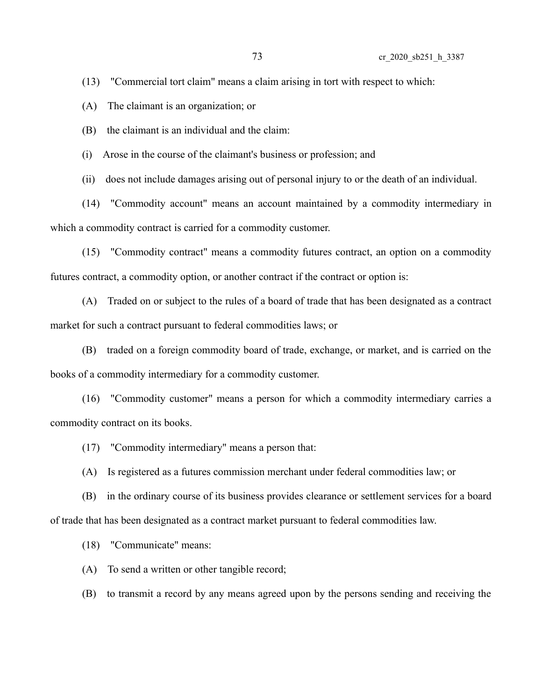(13) "Commercial tort claim" means a claim arising in tort with respect to which:

(A) The claimant is an organization; or

(B) the claimant is an individual and the claim:

(i) Arose in the course of the claimant's business or profession; and

(ii) does not include damages arising out of personal injury to or the death of an individual.

(14) "Commodity account" means an account maintained by a commodity intermediary in which a commodity contract is carried for a commodity customer.

(15) "Commodity contract" means a commodity futures contract, an option on a commodity futures contract, a commodity option, or another contract if the contract or option is:

(A) Traded on or subject to the rules of a board of trade that has been designated as a contract market for such a contract pursuant to federal commodities laws; or

(B) traded on a foreign commodity board of trade, exchange, or market, and is carried on the books of a commodity intermediary for a commodity customer.

(16) "Commodity customer" means a person for which a commodity intermediary carries a commodity contract on its books.

(17) "Commodity intermediary" means a person that:

(A) Is registered as a futures commission merchant under federal commodities law; or

(B) in the ordinary course of its business provides clearance or settlement services for a board of trade that has been designated as a contract market pursuant to federal commodities law.

(18) "Communicate" means:

(A) To send a written or other tangible record;

(B) to transmit a record by any means agreed upon by the persons sending and receiving the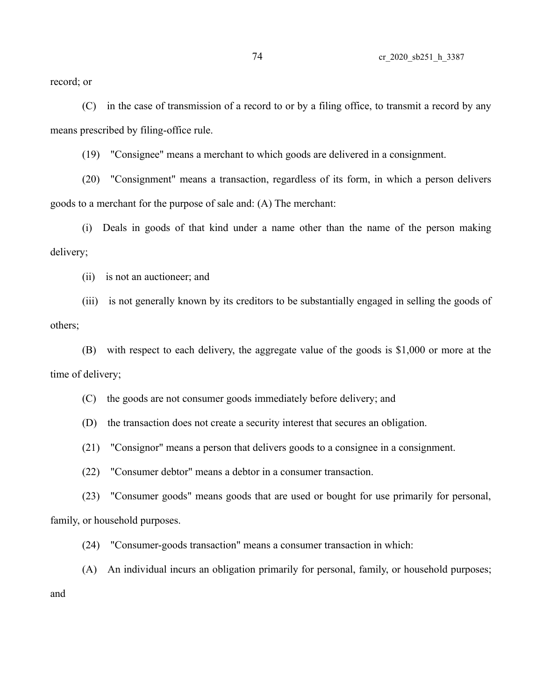record; or

(C) in the case of transmission of a record to or by a filing office, to transmit a record by any means prescribed by filing-office rule.

(19) "Consignee" means a merchant to which goods are delivered in a consignment.

(20) "Consignment" means a transaction, regardless of its form, in which a person delivers goods to a merchant for the purpose of sale and: (A) The merchant:

(i) Deals in goods of that kind under a name other than the name of the person making delivery;

(ii) is not an auctioneer; and

(iii) is not generally known by its creditors to be substantially engaged in selling the goods of others;

(B) with respect to each delivery, the aggregate value of the goods is \$1,000 or more at the time of delivery;

(C) the goods are not consumer goods immediately before delivery; and

(D) the transaction does not create a security interest that secures an obligation.

(21) "Consignor" means a person that delivers goods to a consignee in a consignment.

(22) "Consumer debtor" means a debtor in a consumer transaction.

(23) "Consumer goods" means goods that are used or bought for use primarily for personal, family, or household purposes.

(24) "Consumer-goods transaction" means a consumer transaction in which:

(A) An individual incurs an obligation primarily for personal, family, or household purposes;

and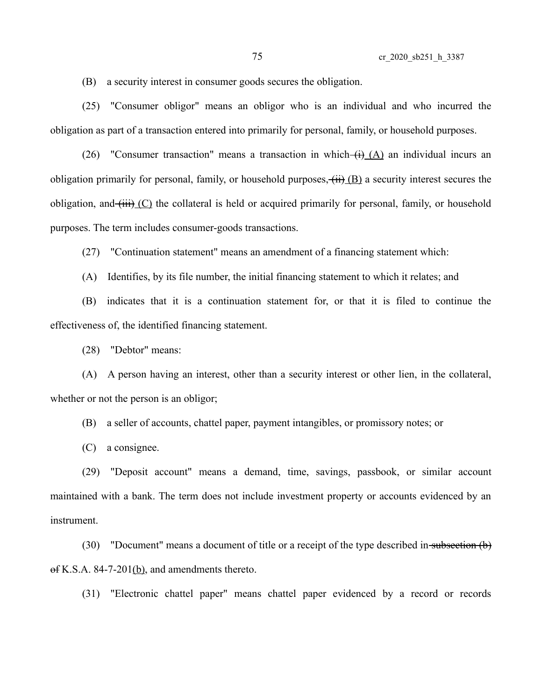(B) a security interest in consumer goods secures the obligation.

(25) "Consumer obligor" means an obligor who is an individual and who incurred the obligation as part of a transaction entered into primarily for personal, family, or household purposes.

(26) "Consumer transaction" means a transaction in which  $\frac{(\lambda)}{(\lambda)}$  an individual incurs an obligation primarily for personal, family, or household purposes,  $\overline{(ii)}$  (B) a security interest secures the obligation, and  $(\overrightarrow{iii})$  (C) the collateral is held or acquired primarily for personal, family, or household purposes. The term includes consumer-goods transactions.

(27) "Continuation statement" means an amendment of a financing statement which:

(A) Identifies, by its file number, the initial financing statement to which it relates; and

(B) indicates that it is a continuation statement for, or that it is filed to continue the effectiveness of, the identified financing statement.

(28) "Debtor" means:

(A) A person having an interest, other than a security interest or other lien, in the collateral, whether or not the person is an obligor;

(B) a seller of accounts, chattel paper, payment intangibles, or promissory notes; or

(C) a consignee.

(29) "Deposit account" means a demand, time, savings, passbook, or similar account maintained with a bank. The term does not include investment property or accounts evidenced by an instrument.

(30) "Document" means a document of title or a receipt of the type described in subsection  $(b)$ of K.S.A. 84-7-201(b), and amendments thereto.

(31) "Electronic chattel paper" means chattel paper evidenced by a record or records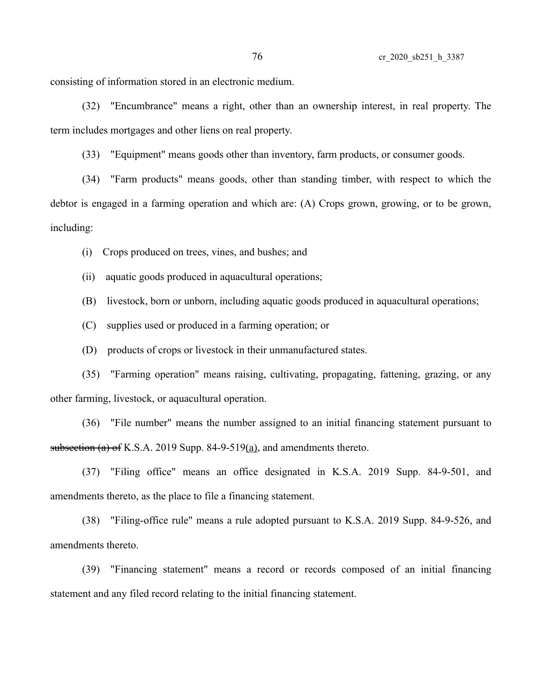consisting of information stored in an electronic medium.

(32) "Encumbrance" means a right, other than an ownership interest, in real property. The term includes mortgages and other liens on real property.

(33) "Equipment" means goods other than inventory, farm products, or consumer goods.

(34) "Farm products" means goods, other than standing timber, with respect to which the debtor is engaged in a farming operation and which are: (A) Crops grown, growing, or to be grown, including:

(i) Crops produced on trees, vines, and bushes; and

(ii) aquatic goods produced in aquacultural operations;

(B) livestock, born or unborn, including aquatic goods produced in aquacultural operations;

(C) supplies used or produced in a farming operation; or

(D) products of crops or livestock in their unmanufactured states.

(35) "Farming operation" means raising, cultivating, propagating, fattening, grazing, or any other farming, livestock, or aquacultural operation.

(36) "File number" means the number assigned to an initial financing statement pursuant to subsection (a) of K.S.A. 2019 Supp. 84-9-519(a), and amendments thereto.

(37) "Filing office" means an office designated in K.S.A. 2019 Supp. 84-9-501, and amendments thereto, as the place to file a financing statement.

(38) "Filing-office rule" means a rule adopted pursuant to K.S.A. 2019 Supp. 84-9-526, and amendments thereto.

(39) "Financing statement" means a record or records composed of an initial financing statement and any filed record relating to the initial financing statement.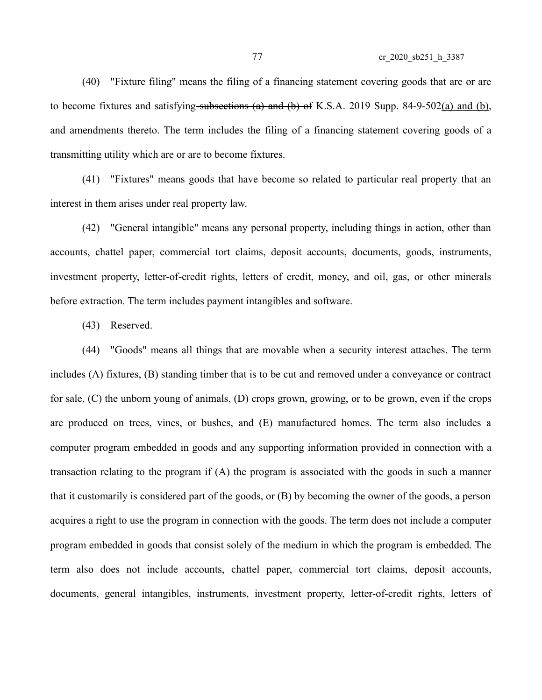77 cr\_2020\_sb251\_h\_3387

(40) "Fixture filing" means the filing of a financing statement covering goods that are or are to become fixtures and satisfying subsections (a) and (b) of K.S.A. 2019 Supp. 84-9-502(a) and (b), and amendments thereto. The term includes the filing of a financing statement covering goods of a transmitting utility which are or are to become fixtures.

(41) "Fixtures" means goods that have become so related to particular real property that an interest in them arises under real property law.

(42) "General intangible" means any personal property, including things in action, other than accounts, chattel paper, commercial tort claims, deposit accounts, documents, goods, instruments, investment property, letter-of-credit rights, letters of credit, money, and oil, gas, or other minerals before extraction. The term includes payment intangibles and software.

(43) Reserved.

(44) "Goods" means all things that are movable when a security interest attaches. The term includes (A) fixtures, (B) standing timber that is to be cut and removed under a conveyance or contract for sale, (C) the unborn young of animals, (D) crops grown, growing, or to be grown, even if the crops are produced on trees, vines, or bushes, and (E) manufactured homes. The term also includes a computer program embedded in goods and any supporting information provided in connection with a transaction relating to the program if (A) the program is associated with the goods in such a manner that it customarily is considered part of the goods, or (B) by becoming the owner of the goods, a person acquires a right to use the program in connection with the goods. The term does not include a computer program embedded in goods that consist solely of the medium in which the program is embedded. The term also does not include accounts, chattel paper, commercial tort claims, deposit accounts, documents, general intangibles, instruments, investment property, letter-of-credit rights, letters of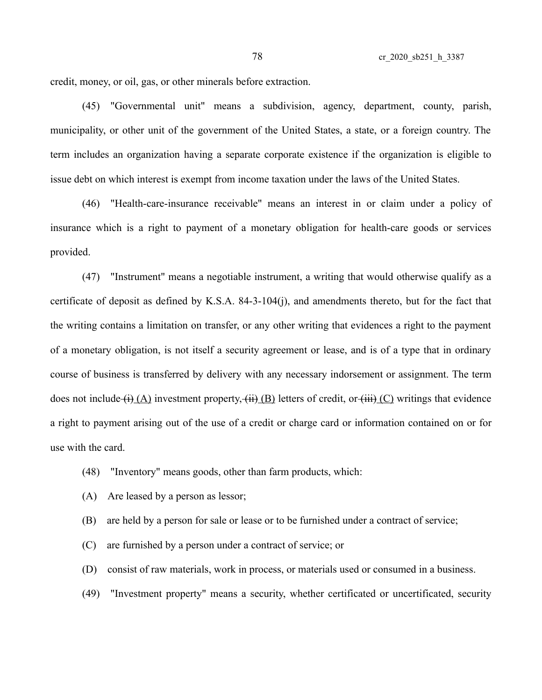credit, money, or oil, gas, or other minerals before extraction.

(45) "Governmental unit" means a subdivision, agency, department, county, parish, municipality, or other unit of the government of the United States, a state, or a foreign country. The term includes an organization having a separate corporate existence if the organization is eligible to issue debt on which interest is exempt from income taxation under the laws of the United States.

(46) "Health-care-insurance receivable" means an interest in or claim under a policy of insurance which is a right to payment of a monetary obligation for health-care goods or services provided.

(47) "Instrument" means a negotiable instrument, a writing that would otherwise qualify as a certificate of deposit as defined by K.S.A. 84-3-104(j), and amendments thereto, but for the fact that the writing contains a limitation on transfer, or any other writing that evidences a right to the payment of a monetary obligation, is not itself a security agreement or lease, and is of a type that in ordinary course of business is transferred by delivery with any necessary indorsement or assignment. The term does not include  $(i)$  (A) investment property,  $(ii)$  (B) letters of credit, or  $(iii)$  (C) writings that evidence a right to payment arising out of the use of a credit or charge card or information contained on or for use with the card.

- (48) "Inventory" means goods, other than farm products, which:
- (A) Are leased by a person as lessor;
- (B) are held by a person for sale or lease or to be furnished under a contract of service;
- (C) are furnished by a person under a contract of service; or
- (D) consist of raw materials, work in process, or materials used or consumed in a business.
- (49) "Investment property" means a security, whether certificated or uncertificated, security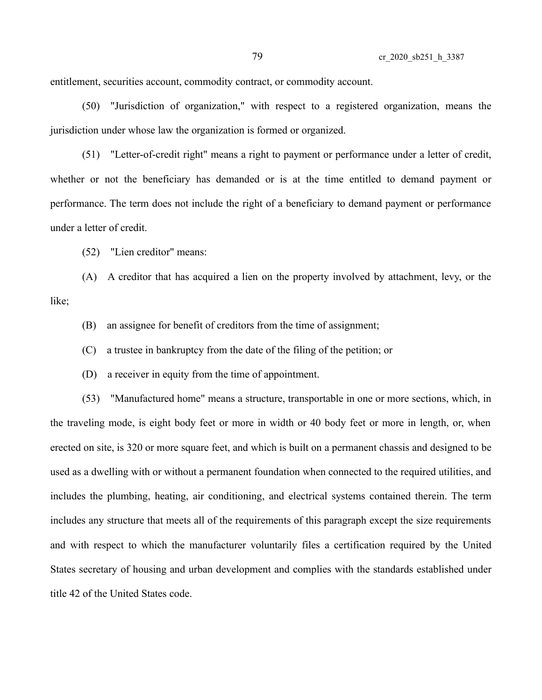entitlement, securities account, commodity contract, or commodity account.

(50) "Jurisdiction of organization," with respect to a registered organization, means the jurisdiction under whose law the organization is formed or organized.

(51) "Letter-of-credit right" means a right to payment or performance under a letter of credit, whether or not the beneficiary has demanded or is at the time entitled to demand payment or performance. The term does not include the right of a beneficiary to demand payment or performance under a letter of credit.

(52) "Lien creditor" means:

(A) A creditor that has acquired a lien on the property involved by attachment, levy, or the like;

(B) an assignee for benefit of creditors from the time of assignment;

(C) a trustee in bankruptcy from the date of the filing of the petition; or

(D) a receiver in equity from the time of appointment.

(53) "Manufactured home" means a structure, transportable in one or more sections, which, in the traveling mode, is eight body feet or more in width or 40 body feet or more in length, or, when erected on site, is 320 or more square feet, and which is built on a permanent chassis and designed to be used as a dwelling with or without a permanent foundation when connected to the required utilities, and includes the plumbing, heating, air conditioning, and electrical systems contained therein. The term includes any structure that meets all of the requirements of this paragraph except the size requirements and with respect to which the manufacturer voluntarily files a certification required by the United States secretary of housing and urban development and complies with the standards established under title 42 of the United States code.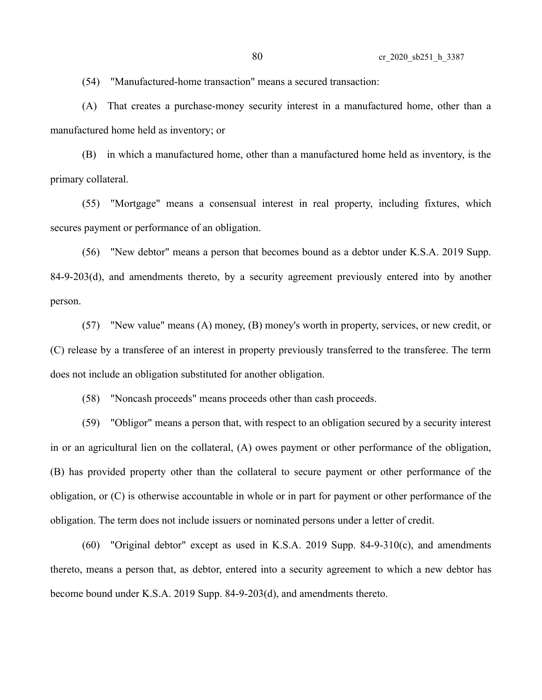(54) "Manufactured-home transaction" means a secured transaction:

(A) That creates a purchase-money security interest in a manufactured home, other than a manufactured home held as inventory; or

(B) in which a manufactured home, other than a manufactured home held as inventory, is the primary collateral.

(55) "Mortgage" means a consensual interest in real property, including fixtures, which secures payment or performance of an obligation.

(56) "New debtor" means a person that becomes bound as a debtor under K.S.A. 2019 Supp. 84-9-203(d), and amendments thereto, by a security agreement previously entered into by another person.

(57) "New value" means (A) money, (B) money's worth in property, services, or new credit, or (C) release by a transferee of an interest in property previously transferred to the transferee. The term does not include an obligation substituted for another obligation.

(58) "Noncash proceeds" means proceeds other than cash proceeds.

(59) "Obligor" means a person that, with respect to an obligation secured by a security interest in or an agricultural lien on the collateral, (A) owes payment or other performance of the obligation, (B) has provided property other than the collateral to secure payment or other performance of the obligation, or (C) is otherwise accountable in whole or in part for payment or other performance of the obligation. The term does not include issuers or nominated persons under a letter of credit.

(60) "Original debtor" except as used in K.S.A. 2019 Supp. 84-9-310(c), and amendments thereto, means a person that, as debtor, entered into a security agreement to which a new debtor has become bound under K.S.A. 2019 Supp. 84-9-203(d), and amendments thereto.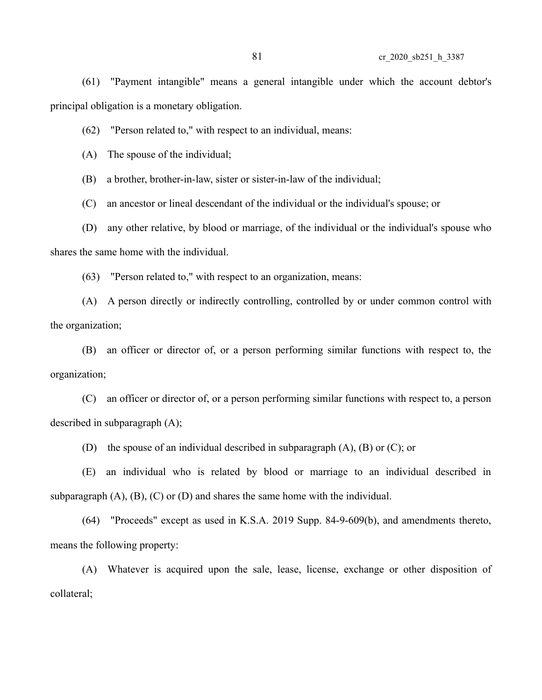(61) "Payment intangible" means a general intangible under which the account debtor's principal obligation is a monetary obligation.

(62) "Person related to," with respect to an individual, means:

(A) The spouse of the individual;

(B) a brother, brother-in-law, sister or sister-in-law of the individual;

(C) an ancestor or lineal descendant of the individual or the individual's spouse; or

(D) any other relative, by blood or marriage, of the individual or the individual's spouse who

shares the same home with the individual.

(63) "Person related to," with respect to an organization, means:

(A) A person directly or indirectly controlling, controlled by or under common control with the organization;

(B) an officer or director of, or a person performing similar functions with respect to, the organization;

(C) an officer or director of, or a person performing similar functions with respect to, a person described in subparagraph (A);

(D) the spouse of an individual described in subparagraph (A), (B) or (C); or

(E) an individual who is related by blood or marriage to an individual described in subparagraph  $(A)$ ,  $(B)$ ,  $(C)$  or  $(D)$  and shares the same home with the individual.

(64) "Proceeds" except as used in K.S.A. 2019 Supp. 84-9-609(b), and amendments thereto, means the following property:

(A) Whatever is acquired upon the sale, lease, license, exchange or other disposition of collateral;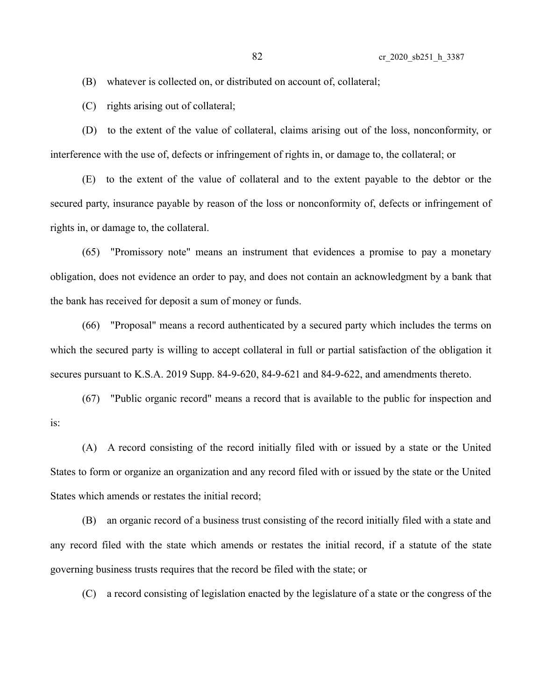(B) whatever is collected on, or distributed on account of, collateral;

(C) rights arising out of collateral;

(D) to the extent of the value of collateral, claims arising out of the loss, nonconformity, or interference with the use of, defects or infringement of rights in, or damage to, the collateral; or

(E) to the extent of the value of collateral and to the extent payable to the debtor or the secured party, insurance payable by reason of the loss or nonconformity of, defects or infringement of rights in, or damage to, the collateral.

(65) "Promissory note" means an instrument that evidences a promise to pay a monetary obligation, does not evidence an order to pay, and does not contain an acknowledgment by a bank that the bank has received for deposit a sum of money or funds.

(66) "Proposal" means a record authenticated by a secured party which includes the terms on which the secured party is willing to accept collateral in full or partial satisfaction of the obligation it secures pursuant to K.S.A. 2019 Supp. 84-9-620, 84-9-621 and 84-9-622, and amendments thereto.

(67) "Public organic record" means a record that is available to the public for inspection and is:

(A) A record consisting of the record initially filed with or issued by a state or the United States to form or organize an organization and any record filed with or issued by the state or the United States which amends or restates the initial record;

(B) an organic record of a business trust consisting of the record initially filed with a state and any record filed with the state which amends or restates the initial record, if a statute of the state governing business trusts requires that the record be filed with the state; or

(C) a record consisting of legislation enacted by the legislature of a state or the congress of the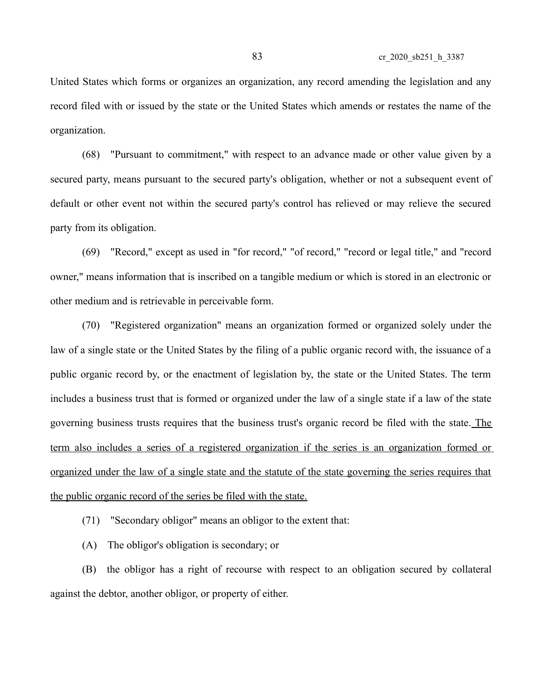United States which forms or organizes an organization, any record amending the legislation and any record filed with or issued by the state or the United States which amends or restates the name of the organization.

(68) "Pursuant to commitment," with respect to an advance made or other value given by a secured party, means pursuant to the secured party's obligation, whether or not a subsequent event of default or other event not within the secured party's control has relieved or may relieve the secured party from its obligation.

(69) "Record," except as used in "for record," "of record," "record or legal title," and "record owner," means information that is inscribed on a tangible medium or which is stored in an electronic or other medium and is retrievable in perceivable form.

(70) "Registered organization" means an organization formed or organized solely under the law of a single state or the United States by the filing of a public organic record with, the issuance of a public organic record by, or the enactment of legislation by, the state or the United States. The term includes a business trust that is formed or organized under the law of a single state if a law of the state governing business trusts requires that the business trust's organic record be filed with the state. The term also includes a series of a registered organization if the series is an organization formed or organized under the law of a single state and the statute of the state governing the series requires that the public organic record of the series be filed with the state.

(71) "Secondary obligor" means an obligor to the extent that:

(A) The obligor's obligation is secondary; or

(B) the obligor has a right of recourse with respect to an obligation secured by collateral against the debtor, another obligor, or property of either.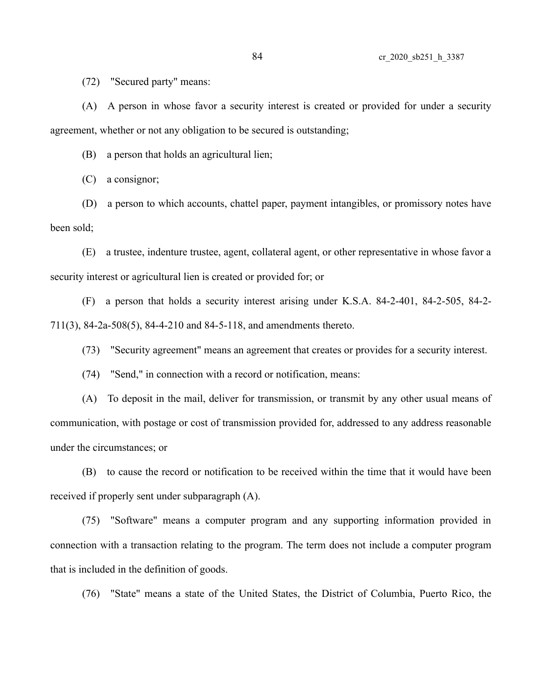(72) "Secured party" means:

(A) A person in whose favor a security interest is created or provided for under a security agreement, whether or not any obligation to be secured is outstanding;

(B) a person that holds an agricultural lien;

(C) a consignor;

(D) a person to which accounts, chattel paper, payment intangibles, or promissory notes have been sold;

(E) a trustee, indenture trustee, agent, collateral agent, or other representative in whose favor a security interest or agricultural lien is created or provided for; or

(F) a person that holds a security interest arising under K.S.A. 84-2-401, 84-2-505, 84-2- 711(3), 84-2a-508(5), 84-4-210 and 84-5-118, and amendments thereto.

(73) "Security agreement" means an agreement that creates or provides for a security interest.

(74) "Send," in connection with a record or notification, means:

(A) To deposit in the mail, deliver for transmission, or transmit by any other usual means of communication, with postage or cost of transmission provided for, addressed to any address reasonable under the circumstances; or

(B) to cause the record or notification to be received within the time that it would have been received if properly sent under subparagraph (A).

(75) "Software" means a computer program and any supporting information provided in connection with a transaction relating to the program. The term does not include a computer program that is included in the definition of goods.

(76) "State" means a state of the United States, the District of Columbia, Puerto Rico, the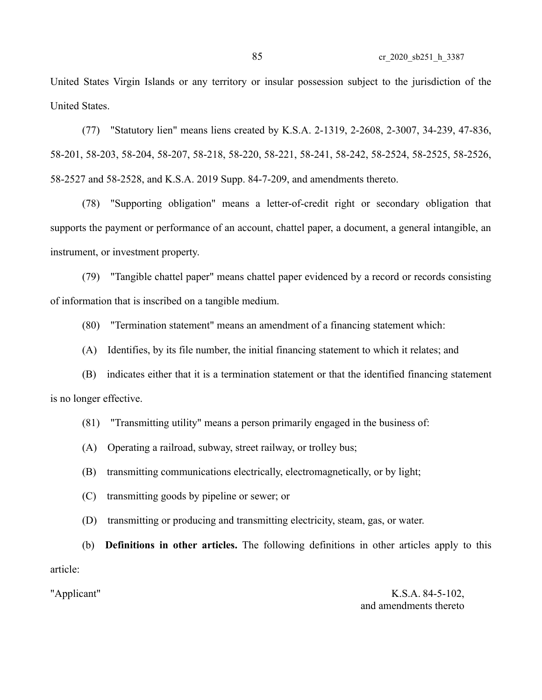United States Virgin Islands or any territory or insular possession subject to the jurisdiction of the United States.

(77) "Statutory lien" means liens created by K.S.A. 2-1319, 2-2608, 2-3007, 34-239, 47-836, 58-201, 58-203, 58-204, 58-207, 58-218, 58-220, 58-221, 58-241, 58-242, 58-2524, 58-2525, 58-2526, 58-2527 and 58-2528, and K.S.A. 2019 Supp. 84-7-209, and amendments thereto.

(78) "Supporting obligation" means a letter-of-credit right or secondary obligation that supports the payment or performance of an account, chattel paper, a document, a general intangible, an instrument, or investment property.

(79) "Tangible chattel paper" means chattel paper evidenced by a record or records consisting of information that is inscribed on a tangible medium.

(80) "Termination statement" means an amendment of a financing statement which:

(A) Identifies, by its file number, the initial financing statement to which it relates; and

(B) indicates either that it is a termination statement or that the identified financing statement is no longer effective.

(81) "Transmitting utility" means a person primarily engaged in the business of:

(A) Operating a railroad, subway, street railway, or trolley bus;

(B) transmitting communications electrically, electromagnetically, or by light;

(C) transmitting goods by pipeline or sewer; or

(D) transmitting or producing and transmitting electricity, steam, gas, or water.

(b) **Definitions in other articles.** The following definitions in other articles apply to this article:

"Applicant" K.S.A. 84-5-102, and amendments thereto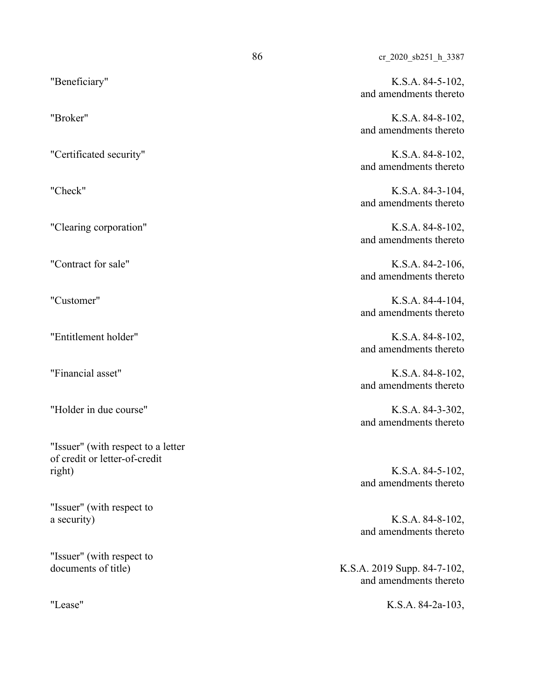"Beneficiary" K.S.A. 84-5-102, and amendments thereto

"Broker" K.S.A. 84-8-102, and amendments thereto

"Certificated security" K.S.A. 84-8-102, and amendments thereto

"Check" K.S.A. 84-3-104, and amendments thereto

"Clearing corporation" K.S.A. 84-8-102, and amendments thereto

"Contract for sale" K.S.A. 84-2-106, and amendments thereto

"Customer" K.S.A. 84-4-104, and amendments thereto

"Entitlement holder" K.S.A. 84-8-102, and amendments thereto

"Financial asset" K.S.A. 84-8-102, and amendments thereto

and amendments thereto

and amendments thereto

and amendments thereto

documents of title) K.S.A. 2019 Supp. 84-7-102, and amendments thereto

"Lease" K.S.A. 84-2a-103,

"Holder in due course" K.S.A. 84-3-302,

"Issuer" (with respect to a letter of credit or letter-of-credit right) K.S.A. 84-5-102,

"Issuer" (with respect to a security) K.S.A. 84-8-102,

"Issuer" (with respect to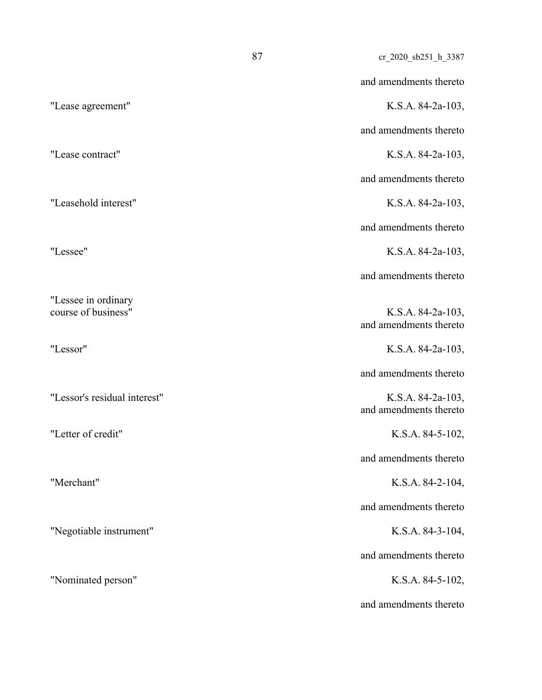|                                            | 87 | cr_2020_sb251_h_3387                        |
|--------------------------------------------|----|---------------------------------------------|
|                                            |    | and amendments thereto                      |
| "Lease agreement"                          |    | K.S.A. 84-2a-103,                           |
|                                            |    | and amendments thereto                      |
| "Lease contract"                           |    | K.S.A. 84-2a-103,                           |
|                                            |    | and amendments thereto                      |
| "Leasehold interest"                       |    | K.S.A. 84-2a-103,                           |
|                                            |    | and amendments thereto                      |
| "Lessee"                                   |    | K.S.A. 84-2a-103,                           |
|                                            |    | and amendments thereto                      |
| "Lessee in ordinary<br>course of business" |    | K.S.A. 84-2a-103,<br>and amendments thereto |
| "Lessor"                                   |    | K.S.A. 84-2a-103,                           |
|                                            |    | and amendments thereto                      |
| "Lessor's residual interest"               |    | K.S.A. 84-2a-103,<br>and amendments thereto |
| "Letter of credit"                         |    | K.S.A. 84-5-102,                            |
|                                            |    | and amendments thereto                      |
| "Merchant"                                 |    | K.S.A. 84-2-104,                            |
|                                            |    | and amendments thereto                      |
| "Negotiable instrument"                    |    | K.S.A. 84-3-104,                            |
|                                            |    | and amendments thereto                      |
| "Nominated person"                         |    | K.S.A. 84-5-102,                            |
|                                            |    | and amendments thereto                      |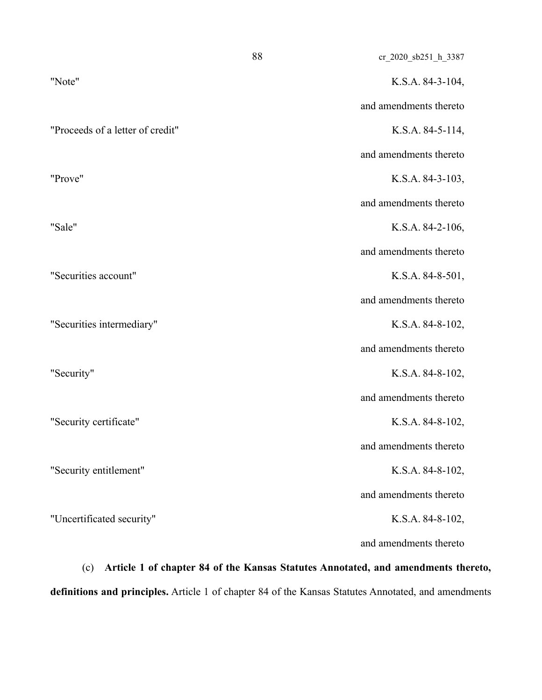| K.S.A. 84-3-104,       |
|------------------------|
|                        |
| and amendments thereto |
| K.S.A. 84-5-114,       |
| and amendments thereto |
| K.S.A. 84-3-103,       |
| and amendments thereto |
| K.S.A. 84-2-106,       |
| and amendments thereto |
| K.S.A. $84-8-501$ ,    |
| and amendments thereto |
| K.S.A. 84-8-102,       |
| and amendments thereto |
| K.S.A. 84-8-102,       |
| and amendments thereto |
| K.S.A. 84-8-102,       |
| and amendments thereto |
| K.S.A. 84-8-102,       |
| and amendments thereto |
| K.S.A. 84-8-102,       |
| and amendments thereto |
|                        |

(c) **Article 1 of chapter 84 of the Kansas Statutes Annotated, and amendments thereto, definitions and principles.** Article 1 of chapter 84 of the Kansas Statutes Annotated, and amendments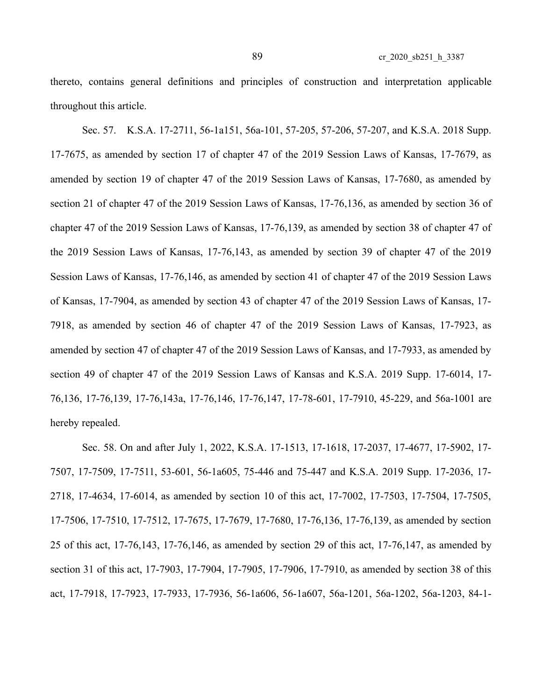thereto, contains general definitions and principles of construction and interpretation applicable throughout this article.

Sec. 57. K.S.A. 17-2711, 56-1a151, 56a-101, 57-205, 57-206, 57-207, and K.S.A. 2018 Supp. 17-7675, as amended by section 17 of chapter 47 of the 2019 Session Laws of Kansas, 17-7679, as amended by section 19 of chapter 47 of the 2019 Session Laws of Kansas, 17-7680, as amended by section 21 of chapter 47 of the 2019 Session Laws of Kansas, 17-76,136, as amended by section 36 of chapter 47 of the 2019 Session Laws of Kansas, 17-76,139, as amended by section 38 of chapter 47 of the 2019 Session Laws of Kansas, 17-76,143, as amended by section 39 of chapter 47 of the 2019 Session Laws of Kansas, 17-76,146, as amended by section 41 of chapter 47 of the 2019 Session Laws of Kansas, 17-7904, as amended by section 43 of chapter 47 of the 2019 Session Laws of Kansas, 17- 7918, as amended by section 46 of chapter 47 of the 2019 Session Laws of Kansas, 17-7923, as amended by section 47 of chapter 47 of the 2019 Session Laws of Kansas, and 17-7933, as amended by section 49 of chapter 47 of the 2019 Session Laws of Kansas and K.S.A. 2019 Supp. 17-6014, 17- 76,136, 17-76,139, 17-76,143a, 17-76,146, 17-76,147, 17-78-601, 17-7910, 45-229, and 56a-1001 are hereby repealed.

Sec. 58. On and after July 1, 2022, K.S.A. 17-1513, 17-1618, 17-2037, 17-4677, 17-5902, 17- 7507, 17-7509, 17-7511, 53-601, 56-1a605, 75-446 and 75-447 and K.S.A. 2019 Supp. 17-2036, 17- 2718, 17-4634, 17-6014, as amended by section 10 of this act, 17-7002, 17-7503, 17-7504, 17-7505, 17-7506, 17-7510, 17-7512, 17-7675, 17-7679, 17-7680, 17-76,136, 17-76,139, as amended by section 25 of this act, 17-76,143, 17-76,146, as amended by section 29 of this act, 17-76,147, as amended by section 31 of this act, 17-7903, 17-7904, 17-7905, 17-7906, 17-7910, as amended by section 38 of this act, 17-7918, 17-7923, 17-7933, 17-7936, 56-1a606, 56-1a607, 56a-1201, 56a-1202, 56a-1203, 84-1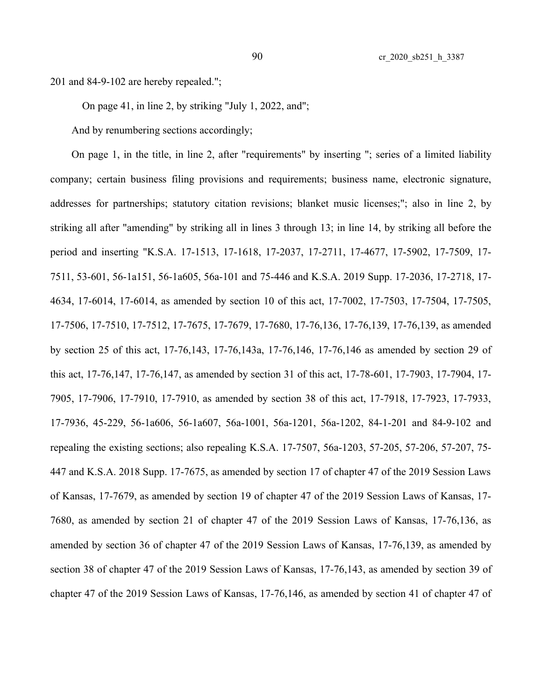201 and 84-9-102 are hereby repealed.";

On page 41, in line 2, by striking "July 1, 2022, and";

And by renumbering sections accordingly;

On page 1, in the title, in line 2, after "requirements" by inserting "; series of a limited liability company; certain business filing provisions and requirements; business name, electronic signature, addresses for partnerships; statutory citation revisions; blanket music licenses;"; also in line 2, by striking all after "amending" by striking all in lines 3 through 13; in line 14, by striking all before the period and inserting "K.S.A. 17-1513, 17-1618, 17-2037, 17-2711, 17-4677, 17-5902, 17-7509, 17- 7511, 53-601, 56-1a151, 56-1a605, 56a-101 and 75-446 and K.S.A. 2019 Supp. 17-2036, 17-2718, 17- 4634, 17-6014, 17-6014, as amended by section 10 of this act, 17-7002, 17-7503, 17-7504, 17-7505, 17-7506, 17-7510, 17-7512, 17-7675, 17-7679, 17-7680, 17-76,136, 17-76,139, 17-76,139, as amended by section 25 of this act, 17-76,143, 17-76,143a, 17-76,146, 17-76,146 as amended by section 29 of this act, 17-76,147, 17-76,147, as amended by section 31 of this act, 17-78-601, 17-7903, 17-7904, 17- 7905, 17-7906, 17-7910, 17-7910, as amended by section 38 of this act, 17-7918, 17-7923, 17-7933, 17-7936, 45-229, 56-1a606, 56-1a607, 56a-1001, 56a-1201, 56a-1202, 84-1-201 and 84-9-102 and repealing the existing sections; also repealing K.S.A. 17-7507, 56a-1203, 57-205, 57-206, 57-207, 75- 447 and K.S.A. 2018 Supp. 17-7675, as amended by section 17 of chapter 47 of the 2019 Session Laws of Kansas, 17-7679, as amended by section 19 of chapter 47 of the 2019 Session Laws of Kansas, 17- 7680, as amended by section 21 of chapter 47 of the 2019 Session Laws of Kansas, 17-76,136, as amended by section 36 of chapter 47 of the 2019 Session Laws of Kansas, 17-76,139, as amended by section 38 of chapter 47 of the 2019 Session Laws of Kansas, 17-76,143, as amended by section 39 of chapter 47 of the 2019 Session Laws of Kansas, 17-76,146, as amended by section 41 of chapter 47 of